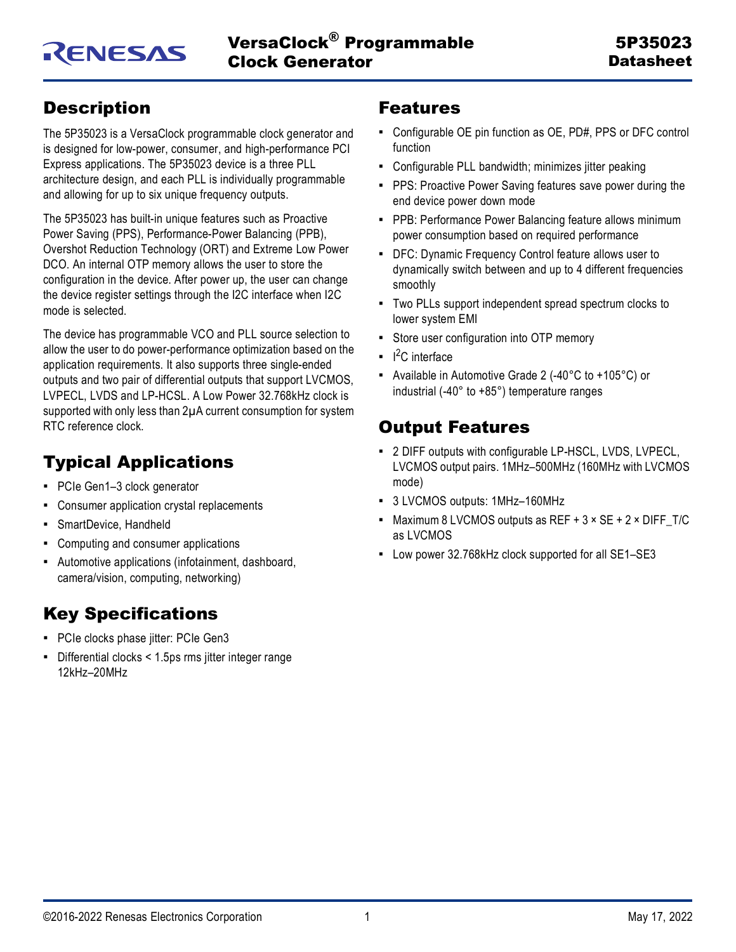## <span id="page-0-0"></span>**Description**

The 5P35023 is a VersaClock programmable clock generator and is designed for low-power, consumer, and high-performance PCI Express applications. The 5P35023 device is a three PLL architecture design, and each PLL is individually programmable and allowing for up to six unique frequency outputs.

The 5P35023 has built-in unique features such as Proactive Power Saving (PPS), Performance-Power Balancing (PPB), Overshot Reduction Technology (ORT) and Extreme Low Power DCO. An internal OTP memory allows the user to store the configuration in the device. After power up, the user can change the device register settings through the I2C interface when I2C mode is selected.

The device has programmable VCO and PLL source selection to allow the user to do power-performance optimization based on the application requirements. It also supports three single-ended outputs and two pair of differential outputs that support LVCMOS, LVPECL, LVDS and LP-HCSL. A Low Power 32.768kHz clock is supported with only less than 2µA current consumption for system RTC reference clock.

# <span id="page-0-1"></span>Typical Applications

- PCIe Gen1-3 clock generator
- Consumer application crystal replacements
- SmartDevice, Handheld
- Computing and consumer applications
- Automotive applications (infotainment, dashboard, camera/vision, computing, networking)

## <span id="page-0-2"></span>Key Specifications

- PCIe clocks phase jitter: PCIe Gen3
- Differential clocks < 1.5ps rms jitter integer range 12kHz–20MHz

## <span id="page-0-3"></span>Features

- Configurable OE pin function as OE, PD#, PPS or DFC control function
- Configurable PLL bandwidth; minimizes jitter peaking
- **PPS: Proactive Power Saving features save power during the** end device power down mode
- PPB: Performance Power Balancing feature allows minimum power consumption based on required performance
- DFC: Dynamic Frequency Control feature allows user to dynamically switch between and up to 4 different frequencies smoothly
- Two PLLs support independent spread spectrum clocks to lower system EMI
- Store user configuration into OTP memory
- $\blacksquare$   $\blacksquare$ <sup>2</sup>C interface
- Available in Automotive Grade 2 (-40°C to +105°C) or industrial (-40° to +85°) temperature ranges

## <span id="page-0-4"></span>Output Features

- 2 DIFF outputs with configurable LP-HSCL, LVDS, LVPECL, LVCMOS output pairs. 1MHz–500MHz (160MHz with LVCMOS mode)
- 3 LVCMOS outputs: 1MHz–160MHz
- Maximum 8 LVCMOS outputs as REF +  $3 \times$  SE +  $2 \times$  DIFF\_T/C as LVCMOS
- Low power 32.768kHz clock supported for all SE1–SE3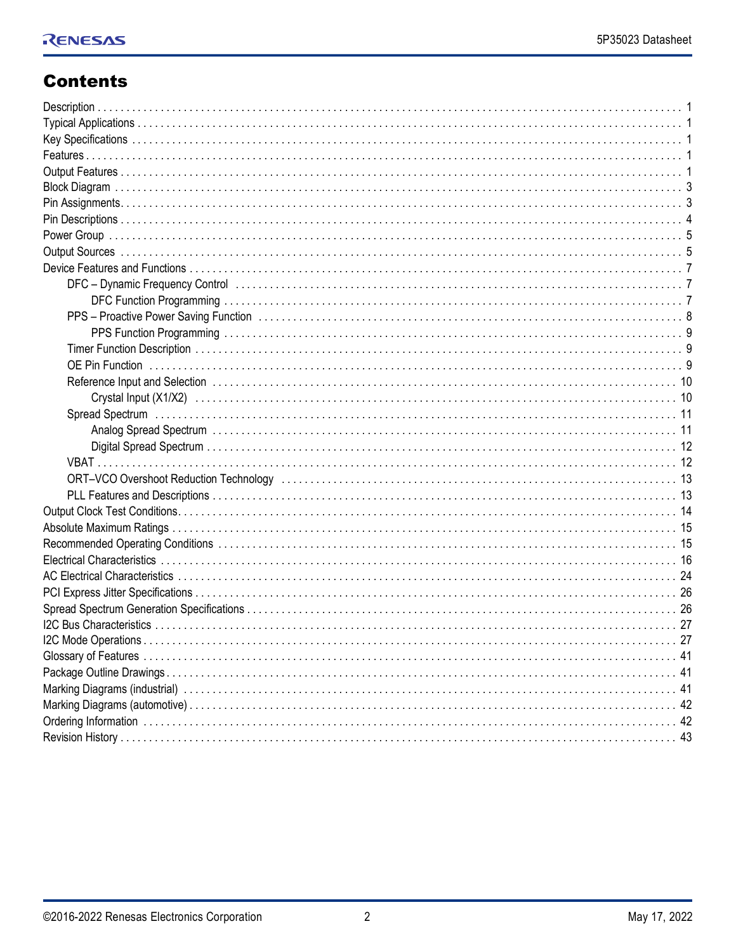## **Contents**

| DFC - Dynamic Frequency Control (and the context of the context of the context of the context of the context of the context of the context of the context of the context of the context of the context of the context of the c |
|--------------------------------------------------------------------------------------------------------------------------------------------------------------------------------------------------------------------------------|
|                                                                                                                                                                                                                                |
|                                                                                                                                                                                                                                |
|                                                                                                                                                                                                                                |
|                                                                                                                                                                                                                                |
|                                                                                                                                                                                                                                |
|                                                                                                                                                                                                                                |
|                                                                                                                                                                                                                                |
|                                                                                                                                                                                                                                |
|                                                                                                                                                                                                                                |
|                                                                                                                                                                                                                                |
|                                                                                                                                                                                                                                |
| ORT-VCO Overshoot Reduction Technology (and accommodation of the control of the control of the control of the c                                                                                                                |
|                                                                                                                                                                                                                                |
|                                                                                                                                                                                                                                |
|                                                                                                                                                                                                                                |
|                                                                                                                                                                                                                                |
|                                                                                                                                                                                                                                |
|                                                                                                                                                                                                                                |
|                                                                                                                                                                                                                                |
|                                                                                                                                                                                                                                |
|                                                                                                                                                                                                                                |
|                                                                                                                                                                                                                                |
|                                                                                                                                                                                                                                |
|                                                                                                                                                                                                                                |
|                                                                                                                                                                                                                                |
|                                                                                                                                                                                                                                |
|                                                                                                                                                                                                                                |
|                                                                                                                                                                                                                                |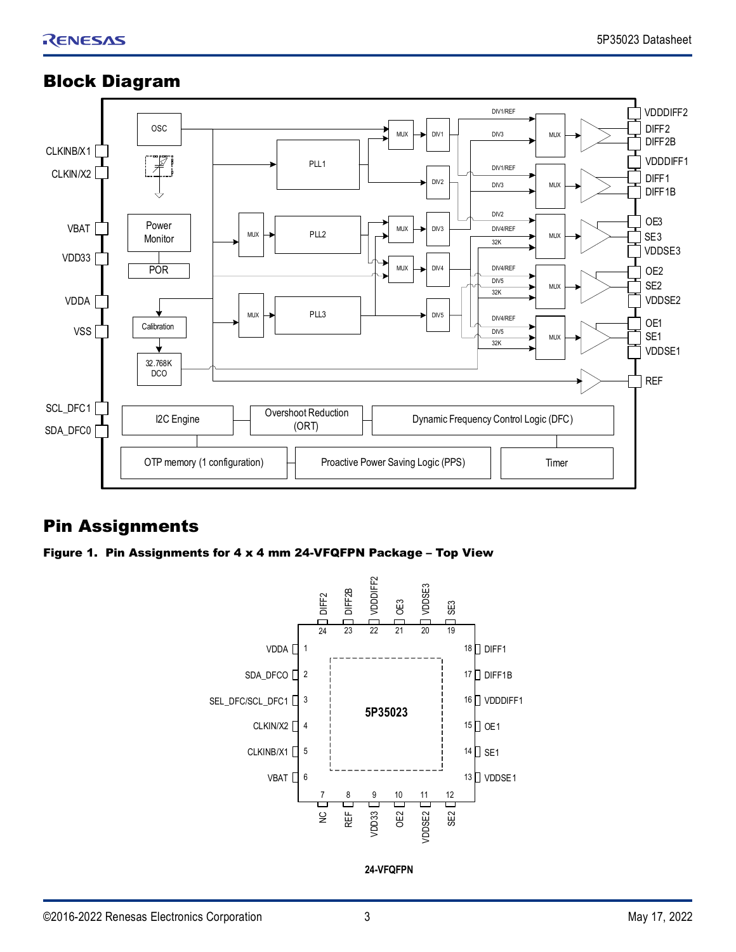#### Overshoot Reduction (ORT) OSC PLL2  $\Box$  MUX  $\Box$  DIV3 DIFF2 DIFF2B DIFF<sub>1</sub> DIFF1B SE3 SE2 SE1 PLL1 DIV1 PLL3  $\begin{array}{|c|c|c|c|c|c|c|c|c|} \hline \text{PLL3} & \text{DIV5} \end{array}$ DIV4 DIV2 OE3 OE2 OE1 CLKIN/X2 CLKINB/X1 SDA\_DFC0 SCL\_DFC1 OTP memory (1 configuration) MUX MUX MUX MUX  $M<sub>U</sub>$  $M<sub>U</sub>$  $M<sub>U</sub>$ MU) MUX DIV2 DIV4/REF 32K DIV4/REF 32K 32K DIV5 DIV4/REF DIV5 DIV3 DIV1/REF DIV1/REF DIV3 Proactive Power Saving Logic (PPS) I2C Engine REF VDDSE1 VDDSE2 VDDSE3 VDDDIFF1 VDDDIFF2 Timer Dynamic Frequency Control Logic (DFC) POR Power Monitor VDD33 VBAT 32.768K DCO VSS<sup>1</sup> | Calibration VDDA  $M<sub>U</sub>$

## <span id="page-2-0"></span>Block Diagram

## <span id="page-2-1"></span>Pin Assignments

Figure 1. Pin Assignments for 4 x 4 mm 24-VFQFPN Package – Top View



**24-VFQFPN**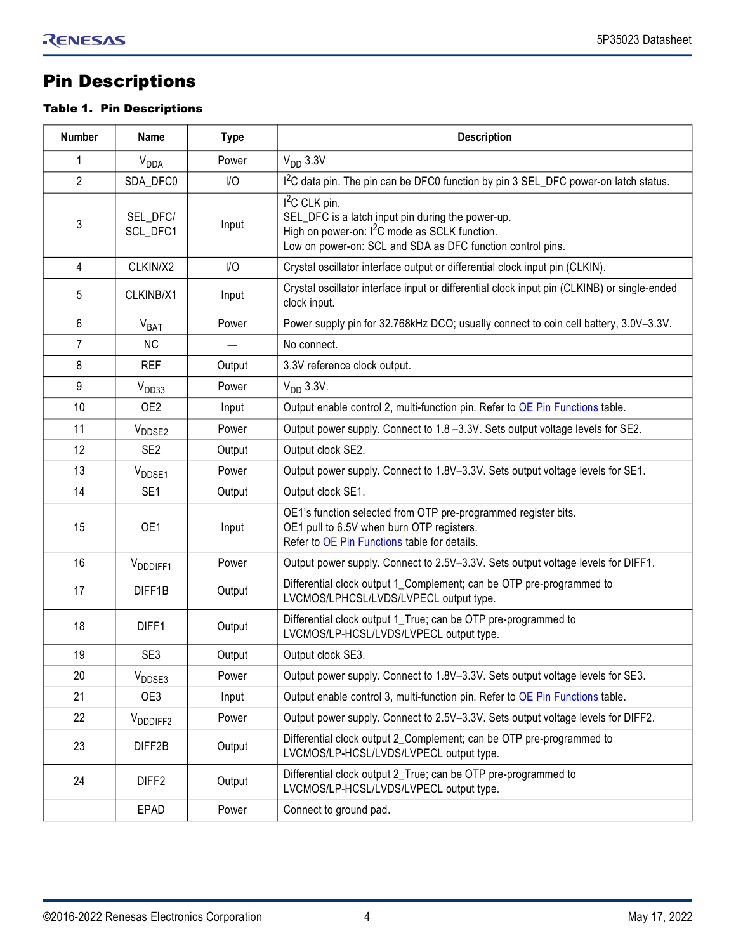## <span id="page-3-0"></span>Pin Descriptions

#### Table 1. Pin Descriptions

| <b>Number</b>  | <b>Name</b>            | <b>Type</b> | <b>Description</b>                                                                                                                                                                                        |
|----------------|------------------------|-------------|-----------------------------------------------------------------------------------------------------------------------------------------------------------------------------------------------------------|
| $\mathbf{1}$   | <b>V<sub>DDA</sub></b> | Power       | $VDD$ 3.3V                                                                                                                                                                                                |
| $\overline{2}$ | SDA_DFC0               | I/O         | I <sup>2</sup> C data pin. The pin can be DFC0 function by pin 3 SEL_DFC power-on latch status.                                                                                                           |
| 3              | SEL_DFC/<br>SCL_DFC1   | Input       | I <sup>2</sup> C CLK pin.<br>SEL_DFC is a latch input pin during the power-up.<br>High on power-on: I <sup>2</sup> C mode as SCLK function.<br>Low on power-on: SCL and SDA as DFC function control pins. |
| 4              | CLKIN/X2               | I/O         | Crystal oscillator interface output or differential clock input pin (CLKIN).                                                                                                                              |
| 5              | CLKINB/X1              | Input       | Crystal oscillator interface input or differential clock input pin (CLKINB) or single-ended<br>clock input.                                                                                               |
| 6              | V <sub>BAT</sub>       | Power       | Power supply pin for 32.768kHz DCO; usually connect to coin cell battery, 3.0V-3.3V.                                                                                                                      |
| $\overline{7}$ | <b>NC</b>              |             | No connect.                                                                                                                                                                                               |
| 8              | <b>REF</b>             | Output      | 3.3V reference clock output.                                                                                                                                                                              |
| 9              | V <sub>DD33</sub>      | Power       | $VDD$ 3.3V.                                                                                                                                                                                               |
| 10             | OE <sub>2</sub>        | Input       | Output enable control 2, multi-function pin. Refer to OE Pin Functions table.                                                                                                                             |
| 11             | V <sub>DDSE2</sub>     | Power       | Output power supply. Connect to 1.8 -3.3V. Sets output voltage levels for SE2.                                                                                                                            |
| 12             | SE <sub>2</sub>        | Output      | Output clock SE2.                                                                                                                                                                                         |
| 13             | V <sub>DDSE1</sub>     | Power       | Output power supply. Connect to 1.8V-3.3V. Sets output voltage levels for SE1.                                                                                                                            |
| 14             | SE <sub>1</sub>        | Output      | Output clock SE1.                                                                                                                                                                                         |
| 15             | OE1                    | Input       | OE1's function selected from OTP pre-programmed register bits.<br>OE1 pull to 6.5V when burn OTP registers.<br>Refer to OE Pin Functions table for details.                                               |
| 16             | V <sub>DDDIFF1</sub>   | Power       | Output power supply. Connect to 2.5V-3.3V. Sets output voltage levels for DIFF1.                                                                                                                          |
| 17             | DIFF1B                 | Output      | Differential clock output 1_Complement; can be OTP pre-programmed to<br>LVCMOS/LPHCSL/LVDS/LVPECL output type.                                                                                            |
| 18             | DIFF1                  | Output      | Differential clock output 1_True; can be OTP pre-programmed to<br>LVCMOS/LP-HCSL/LVDS/LVPECL output type.                                                                                                 |
| 19             | SE <sub>3</sub>        | Output      | Output clock SE3.                                                                                                                                                                                         |
| 20             | $V_{\text{DDE3}}$      | Power       | Output power supply. Connect to 1.8V-3.3V. Sets output voltage levels for SE3.                                                                                                                            |
| 21             | OE3                    | Input       | Output enable control 3, multi-function pin. Refer to OE Pin Functions table.                                                                                                                             |
| 22             | V <sub>DDDIFF2</sub>   | Power       | Output power supply. Connect to 2.5V-3.3V. Sets output voltage levels for DIFF2.                                                                                                                          |
| 23             | DIFF2B                 | Output      | Differential clock output 2_Complement; can be OTP pre-programmed to<br>LVCMOS/LP-HCSL/LVDS/LVPECL output type.                                                                                           |
| 24             | DIFF <sub>2</sub>      | Output      | Differential clock output 2_True; can be OTP pre-programmed to<br>LVCMOS/LP-HCSL/LVDS/LVPECL output type.                                                                                                 |
|                | EPAD                   | Power       | Connect to ground pad.                                                                                                                                                                                    |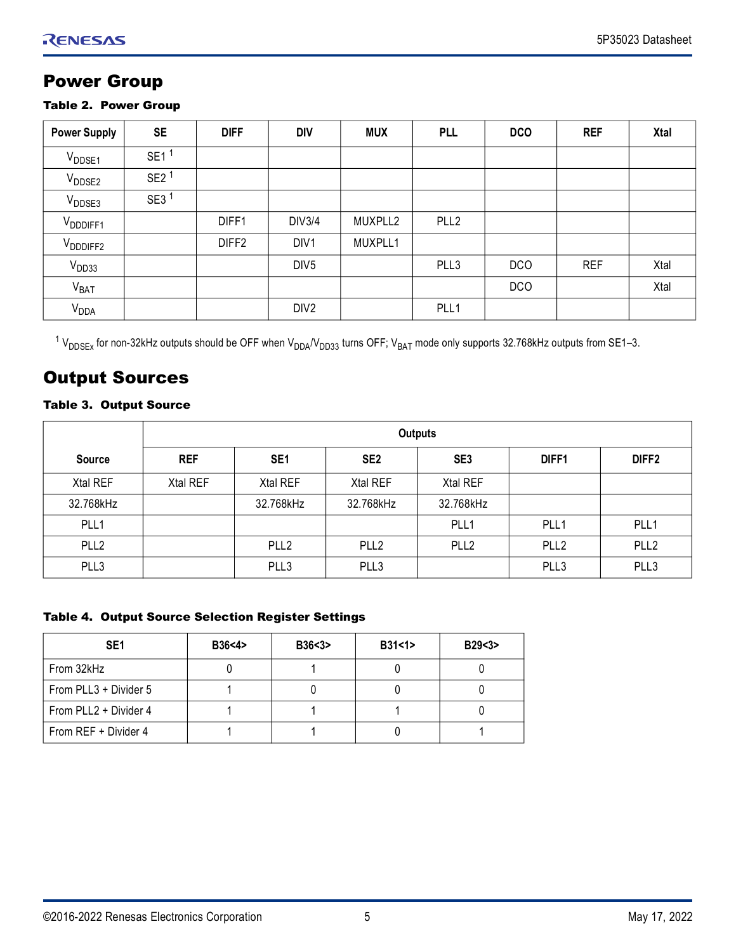## <span id="page-4-0"></span>Power Group

#### Table 2. Power Group

| <b>Power Supply</b>  | <b>SE</b>        | <b>DIFF</b>       | <b>DIV</b>       | <b>MUX</b> | <b>PLL</b>       | <b>DCO</b> | <b>REF</b> | <b>Xtal</b> |
|----------------------|------------------|-------------------|------------------|------------|------------------|------------|------------|-------------|
| V <sub>DDSE1</sub>   | SE <sub>1</sub>  |                   |                  |            |                  |            |            |             |
| V <sub>DDSE2</sub>   | SE2 <sup>1</sup> |                   |                  |            |                  |            |            |             |
| V <sub>DDSE3</sub>   | SE3 <sup>1</sup> |                   |                  |            |                  |            |            |             |
| V <sub>DDDIFF1</sub> |                  | DIFF1             | <b>DIV3/4</b>    | MUXPLL2    | PLL <sub>2</sub> |            |            |             |
| V <sub>DDDIFF2</sub> |                  | DIFF <sub>2</sub> | DIV1             | MUXPLL1    |                  |            |            |             |
| V <sub>DD33</sub>    |                  |                   | DIV <sub>5</sub> |            | PLL3             | <b>DCO</b> | <b>REF</b> | Xtal        |
| V <sub>BAT</sub>     |                  |                   |                  |            |                  | <b>DCO</b> |            | Xtal        |
| $V_{DDA}$            |                  |                   | DIV <sub>2</sub> |            | PLL1             |            |            |             |

 $^1$  V<sub>DDSEx</sub> for non-32kHz outputs should be OFF when V<sub>DDA</sub>/V<sub>DD33</sub> turns OFF; V<sub>BAT</sub> mode only supports 32.768kHz outputs from SE1–3.

## <span id="page-4-1"></span>Output Sources

## Table 3. Output Source

|                  | <b>Outputs</b> |                  |                  |                  |                  |                   |
|------------------|----------------|------------------|------------------|------------------|------------------|-------------------|
| <b>Source</b>    | <b>REF</b>     | SE <sub>1</sub>  | SE <sub>2</sub>  | SE <sub>3</sub>  | DIFF1            | DIFF <sub>2</sub> |
| Xtal REF         | Xtal REF       | Xtal REF         | Xtal REF         | Xtal REF         |                  |                   |
| 32.768kHz        |                | 32.768kHz        | 32.768kHz        | 32.768kHz        |                  |                   |
| PLL1             |                |                  |                  | PLL <sub>1</sub> | PLL <sub>1</sub> | PLL1              |
| PLL <sub>2</sub> |                | PLL <sub>2</sub> | PLL <sub>2</sub> | PLL <sub>2</sub> | PLL <sub>2</sub> | PLL <sub>2</sub>  |
| PLL3             |                | PLL3             | PLL3             |                  | PLL3             | PLL3              |

#### Table 4. Output Source Selection Register Settings

| SE <sub>1</sub>       | B36<4> | B36 < 3 | B31 < 1 | B29<3> |
|-----------------------|--------|---------|---------|--------|
| From 32kHz            |        |         |         |        |
| From PLL3 + Divider 5 |        |         |         |        |
| From PLL2 + Divider 4 |        |         |         |        |
| From REF + Divider 4  |        |         |         |        |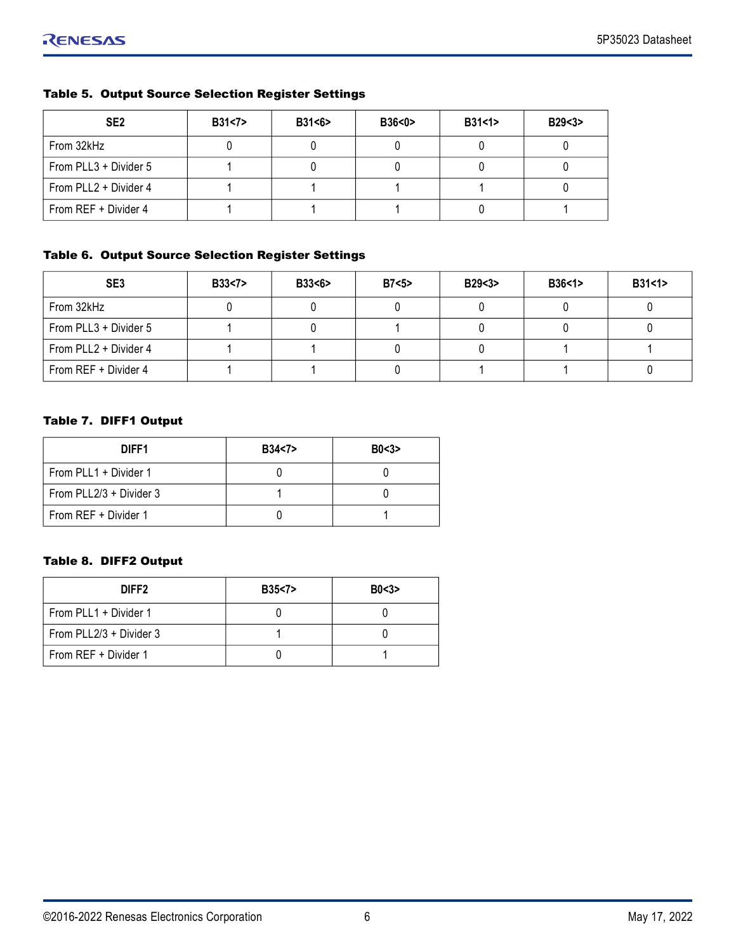| SE <sub>2</sub>       | B31<7> | B31 < 6 | B36 < 0 | B31<1> | B29 < 3 |
|-----------------------|--------|---------|---------|--------|---------|
| From 32kHz            |        |         |         |        |         |
| From PLL3 + Divider 5 |        |         |         |        |         |
| From PLL2 + Divider 4 |        |         |         |        |         |
| From REF + Divider 4  |        |         |         |        |         |

## Table 5. Output Source Selection Register Settings

#### Table 6. Output Source Selection Register Settings

| SE <sub>3</sub>       | <b>B33&lt;7&gt;</b> | B33<6> | B7 < 5 | B29<3> | B36<1> | B31 < 1 |
|-----------------------|---------------------|--------|--------|--------|--------|---------|
| From 32kHz            |                     |        |        |        |        |         |
| From PLL3 + Divider 5 |                     |        |        |        |        |         |
| From PLL2 + Divider 4 |                     |        |        |        |        |         |
| From REF + Divider 4  |                     |        |        |        |        |         |

#### Table 7. DIFF1 Output

| DIFF1                   | B34<7> | B0 < 3 |
|-------------------------|--------|--------|
| From PLL1 + Divider 1   |        |        |
| From PLL2/3 + Divider 3 |        |        |
| From REF + Divider 1    |        |        |

## Table 8. DIFF2 Output

| DIFF <sub>2</sub>       | B35 < 7 | B0<3> |
|-------------------------|---------|-------|
| From PLL1 + Divider 1   |         |       |
| From PLL2/3 + Divider 3 |         |       |
| From REF + Divider 1    |         |       |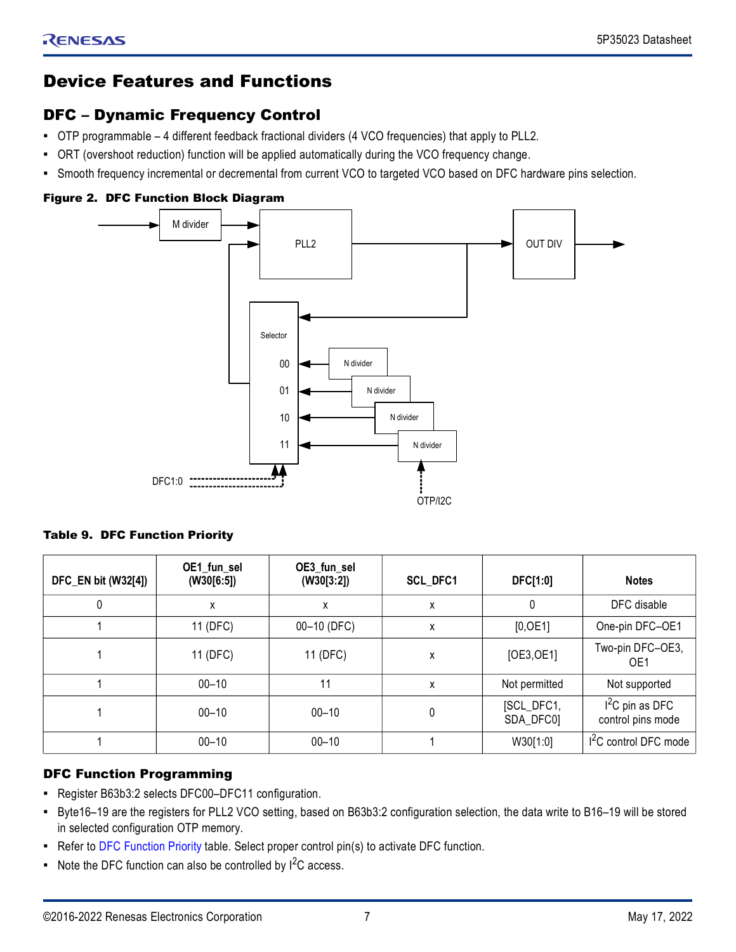## <span id="page-6-0"></span>Device Features and Functions

## <span id="page-6-1"></span>DFC – Dynamic Frequency Control

- OTP programmable 4 different feedback fractional dividers (4 VCO frequencies) that apply to PLL2.
- ORT (overshoot reduction) function will be applied automatically during the VCO frequency change.
- Smooth frequency incremental or decremental from current VCO to targeted VCO based on DFC hardware pins selection.

#### Figure 2. DFC Function Block Diagram



#### <span id="page-6-3"></span>Table 9. DFC Function Priority

| DFC_EN bit (W32[4]) | OE1_fun_sel<br>(W30[6:5]) | OE3_fun_sel<br>(W30[3:2]) | SCL_DFC1 | DFC[1:0]                | <b>Notes</b>                          |
|---------------------|---------------------------|---------------------------|----------|-------------------------|---------------------------------------|
| 0                   | X                         | х                         | X        | 0                       | DFC disable                           |
|                     | 11 (DFC)                  | 00-10 (DFC)               | X        | [0, 0E1]                | One-pin DFC-OE1                       |
|                     | 11 (DFC)                  | 11 (DFC)                  | Χ        | [OE3, OE1]              | Two-pin DFC-OE3,<br>OE <sub>1</sub>   |
|                     | $00 - 10$                 | 11                        | X        | Not permitted           | Not supported                         |
|                     | $00 - 10$                 | $00 - 10$                 | 0        | [SCL_DFC1,<br>SDA_DFC0] | $I2C$ pin as DFC<br>control pins mode |
|                     | $00 - 10$                 | $00 - 10$                 |          | W30[1:0]                | $I2C$ control DFC mode                |

## <span id="page-6-2"></span>DFC Function Programming

- Register B63b3:2 selects DFC00–DFC11 configuration.
- Byte16–19 are the registers for PLL2 VCO setting, based on B63b3:2 configuration selection, the data write to B16–19 will be stored in selected configuration OTP memory.
- Refer to [DFC Function Priority](#page-6-3) table. Select proper control pin(s) to activate DFC function.
- $\blacksquare$  Note the DFC function can also be controlled by  $I^2C$  access.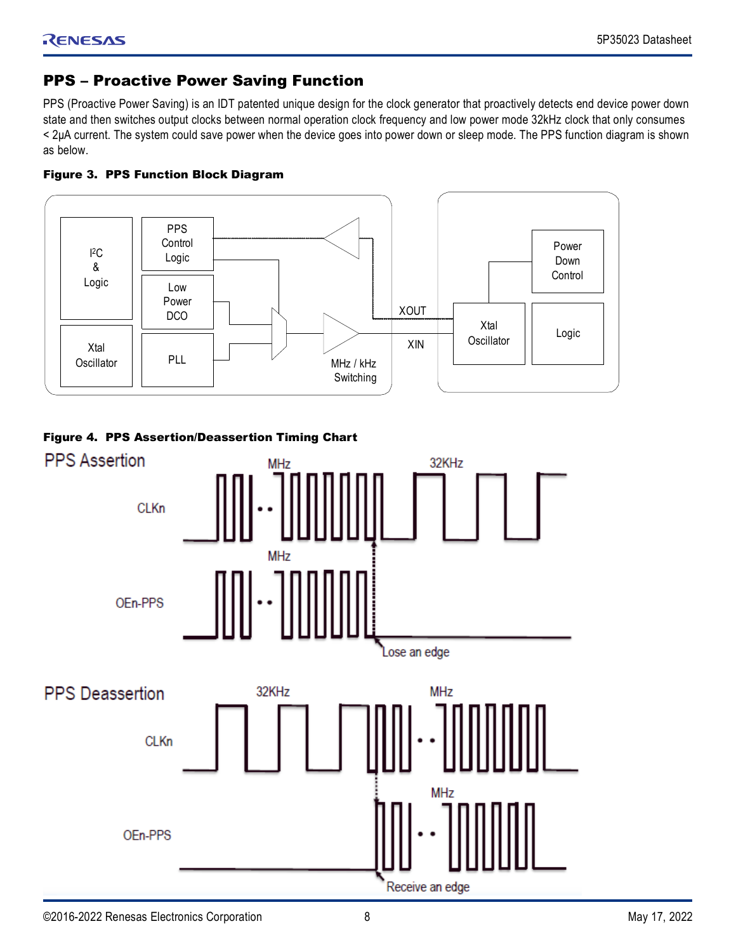## <span id="page-7-0"></span>PPS – Proactive Power Saving Function

PPS (Proactive Power Saving) is an IDT patented unique design for the clock generator that proactively detects end device power down state and then switches output clocks between normal operation clock frequency and low power mode 32kHz clock that only consumes < 2μA current. The system could save power when the device goes into power down or sleep mode. The PPS function diagram is shown as below.





## <span id="page-7-1"></span>Figure 4. PPS Assertion/Deassertion Timing Chart

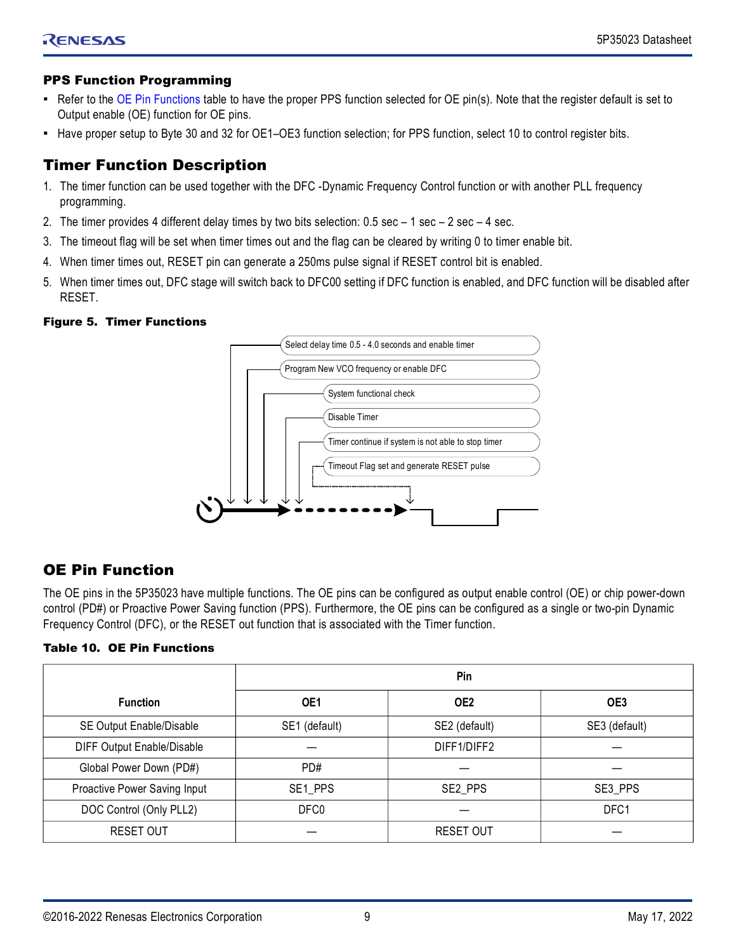## <span id="page-8-0"></span>PPS Function Programming

- Refer to the [OE Pin Functions](#page-8-3) table to have the proper PPS function selected for OE pin(s). Note that the register default is set to Output enable (OE) function for OE pins.
- Have proper setup to Byte 30 and 32 for OE1–OE3 function selection; for PPS function, select 10 to control register bits.

## <span id="page-8-1"></span>Timer Function Description

- 1. The timer function can be used together with the DFC -Dynamic Frequency Control function or with another PLL frequency programming.
- 2. The timer provides 4 different delay times by two bits selection: 0.5 sec 1 sec 2 sec 4 sec.
- 3. The timeout flag will be set when timer times out and the flag can be cleared by writing 0 to timer enable bit.
- 4. When timer times out, RESET pin can generate a 250ms pulse signal if RESET control bit is enabled.
- 5. When timer times out, DFC stage will switch back to DFC00 setting if DFC function is enabled, and DFC function will be disabled after RESET.

#### Figure 5. Timer Functions



## <span id="page-8-2"></span>OE Pin Function

The OE pins in the 5P35023 have multiple functions. The OE pins can be configured as output enable control (OE) or chip power-down control (PD#) or Proactive Power Saving function (PPS). Furthermore, the OE pins can be configured as a single or two-pin Dynamic Frequency Control (DFC), or the RESET out function that is associated with the Timer function.

## <span id="page-8-3"></span>Table 10. OE Pin Functions

|                              | Pin           |                  |                 |  |  |
|------------------------------|---------------|------------------|-----------------|--|--|
| <b>Function</b>              | OE1           | OE <sub>2</sub>  | OE <sub>3</sub> |  |  |
| SE Output Enable/Disable     | SE1 (default) | SE2 (default)    | SE3 (default)   |  |  |
| DIFF Output Enable/Disable   |               | DIFF1/DIFF2      |                 |  |  |
| Global Power Down (PD#)      | PD#           |                  |                 |  |  |
| Proactive Power Saving Input | SE1_PPS       | SE2 PPS          | SE3 PPS         |  |  |
| DOC Control (Only PLL2)      | DFC0          |                  | DFC1            |  |  |
| <b>RESET OUT</b>             |               | <b>RESET OUT</b> |                 |  |  |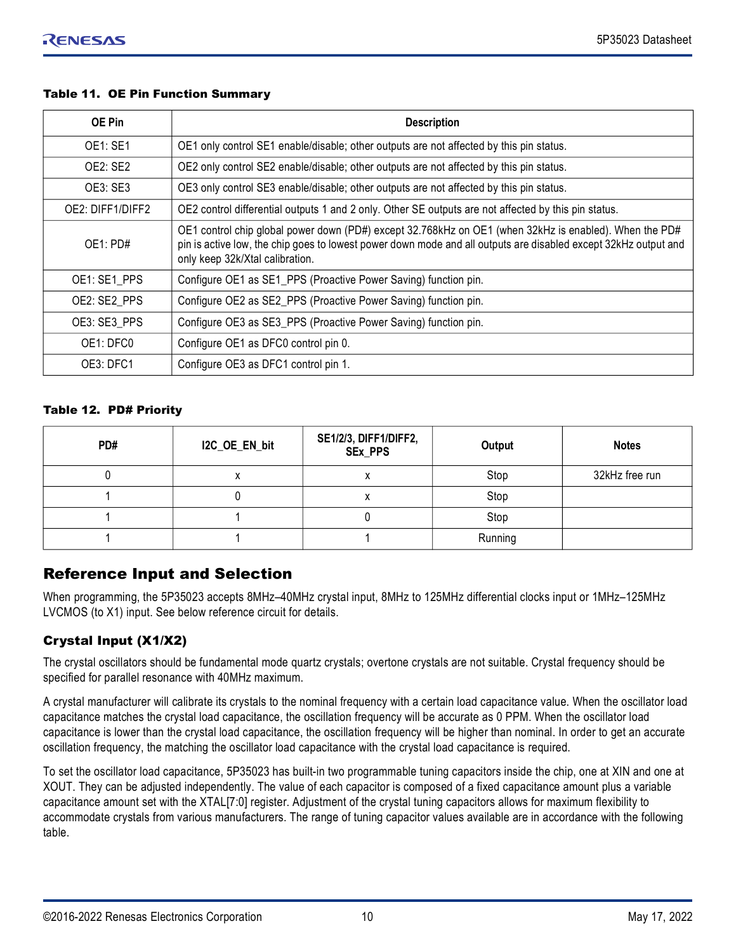#### Table 11. OE Pin Function Summary

| <b>OE Pin</b>    | <b>Description</b>                                                                                                                                                                                                                                           |
|------------------|--------------------------------------------------------------------------------------------------------------------------------------------------------------------------------------------------------------------------------------------------------------|
| <b>OE1: SE1</b>  | OE1 only control SE1 enable/disable; other outputs are not affected by this pin status.                                                                                                                                                                      |
| <b>OE2: SE2</b>  | OE2 only control SE2 enable/disable; other outputs are not affected by this pin status.                                                                                                                                                                      |
| OE3: SE3         | OE3 only control SE3 enable/disable; other outputs are not affected by this pin status.                                                                                                                                                                      |
| OE2: DIFF1/DIFF2 | OE2 control differential outputs 1 and 2 only. Other SE outputs are not affected by this pin status.                                                                                                                                                         |
| OE1: PDE         | OE1 control chip global power down (PD#) except 32.768kHz on OE1 (when 32kHz is enabled). When the PD#<br>pin is active low, the chip goes to lowest power down mode and all outputs are disabled except 32kHz output and<br>only keep 32k/Xtal calibration. |
| OE1: SE1 PPS     | Configure OE1 as SE1_PPS (Proactive Power Saving) function pin.                                                                                                                                                                                              |
| OE2: SE2 PPS     | Configure OE2 as SE2_PPS (Proactive Power Saving) function pin.                                                                                                                                                                                              |
| OE3: SE3 PPS     | Configure OE3 as SE3_PPS (Proactive Power Saving) function pin.                                                                                                                                                                                              |
| OE1: DFC0        | Configure OE1 as DFC0 control pin 0.                                                                                                                                                                                                                         |
| OE3: DFC1        | Configure OE3 as DFC1 control pin 1.                                                                                                                                                                                                                         |

#### Table 12. PD# Priority

| PD# | I2C_OE_EN_bit | SE1/2/3, DIFF1/DIFF2,<br>SEx_PPS | Output  | <b>Notes</b>   |
|-----|---------------|----------------------------------|---------|----------------|
|     | Λ             | $\lambda$                        | Stop    | 32kHz free run |
|     |               | ∧                                | Stop    |                |
|     |               |                                  | Stop    |                |
|     |               |                                  | Running |                |

## <span id="page-9-0"></span>Reference Input and Selection

When programming, the 5P35023 accepts 8MHz–40MHz crystal input, 8MHz to 125MHz differential clocks input or 1MHz–125MHz LVCMOS (to X1) input. See below reference circuit for details.

## <span id="page-9-1"></span>Crystal Input (X1/X2)

The crystal oscillators should be fundamental mode quartz crystals; overtone crystals are not suitable. Crystal frequency should be specified for parallel resonance with 40MHz maximum.

A crystal manufacturer will calibrate its crystals to the nominal frequency with a certain load capacitance value. When the oscillator load capacitance matches the crystal load capacitance, the oscillation frequency will be accurate as 0 PPM. When the oscillator load capacitance is lower than the crystal load capacitance, the oscillation frequency will be higher than nominal. In order to get an accurate oscillation frequency, the matching the oscillator load capacitance with the crystal load capacitance is required.

To set the oscillator load capacitance, 5P35023 has built-in two programmable tuning capacitors inside the chip, one at XIN and one at XOUT. They can be adjusted independently. The value of each capacitor is composed of a fixed capacitance amount plus a variable capacitance amount set with the XTAL[7:0] register. Adjustment of the crystal tuning capacitors allows for maximum flexibility to accommodate crystals from various manufacturers. The range of tuning capacitor values available are in accordance with the following table.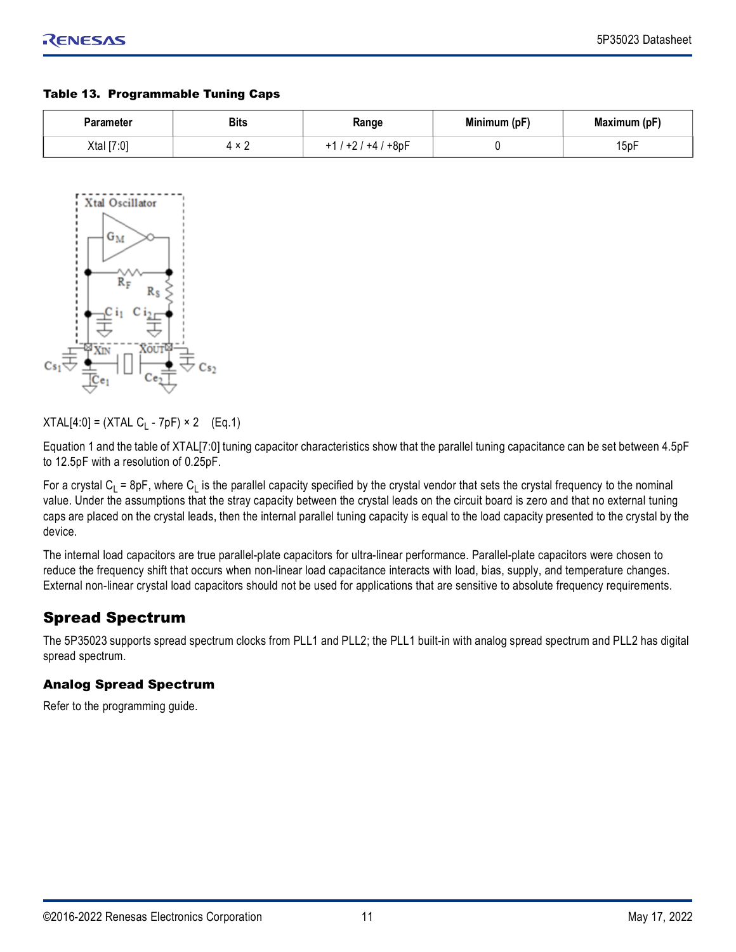#### Table 13. Programmable Tuning Caps

| Parameter  | <b>Bits</b> | Range      | Minimum (pF) | Maximum (pF) |
|------------|-------------|------------|--------------|--------------|
| Xtal [7:0] | 4 x         | +8pF<br>+4 |              | Ē<br>15p⊦    |



 $XTAL[4:0] = (XTAL C<sub>1</sub> - 7pF) \times 2$  (Eq.1)

Equation 1 and the table of XTAL[7:0] tuning capacitor characteristics show that the parallel tuning capacitance can be set between 4.5pF to 12.5pF with a resolution of 0.25pF.

For a crystal C<sub>L</sub> = 8pF, where C<sub>L</sub> is the parallel capacity specified by the crystal vendor that sets the crystal frequency to the nominal value. Under the assumptions that the stray capacity between the crystal leads on the circuit board is zero and that no external tuning caps are placed on the crystal leads, then the internal parallel tuning capacity is equal to the load capacity presented to the crystal by the device.

The internal load capacitors are true parallel-plate capacitors for ultra-linear performance. Parallel-plate capacitors were chosen to reduce the frequency shift that occurs when non-linear load capacitance interacts with load, bias, supply, and temperature changes. External non-linear crystal load capacitors should not be used for applications that are sensitive to absolute frequency requirements.

## <span id="page-10-0"></span>Spread Spectrum

The 5P35023 supports spread spectrum clocks from PLL1 and PLL2; the PLL1 built-in with analog spread spectrum and PLL2 has digital spread spectrum.

## <span id="page-10-1"></span>Analog Spread Spectrum

Refer to the programming guide.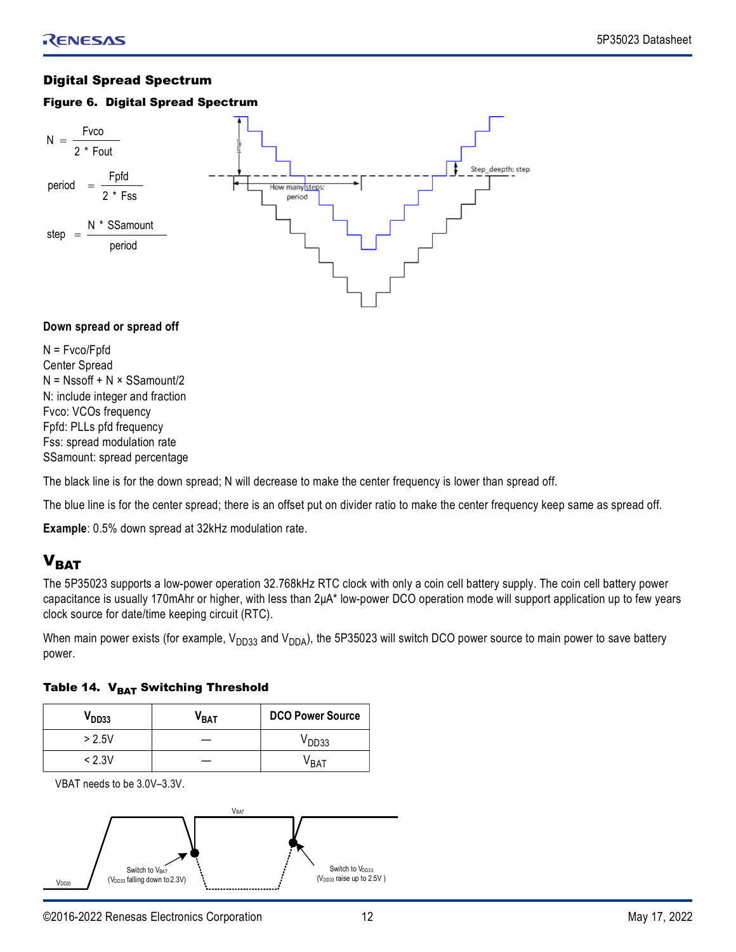## <span id="page-11-0"></span>Digital Spread Spectrum

#### Figure 6. Digital Spread Spectrum



#### **Down spread or spread off**

N = Fvco/Fpfd Center Spread  $N = N$ ssoff + N × SSamount/2 N: include integer and fraction Fvco: VCOs frequency Fpfd: PLLs pfd frequency Fss: spread modulation rate SSamount: spread percentage

The black line is for the down spread; N will decrease to make the center frequency is lower than spread off.

The blue line is for the center spread; there is an offset put on divider ratio to make the center frequency keep same as spread off.

**Example**: 0.5% down spread at 32kHz modulation rate.

## <span id="page-11-1"></span> $V<sub>BAT</sub>$

The 5P35023 supports a low-power operation 32.768kHz RTC clock with only a coin cell battery supply. The coin cell battery power capacitance is usually 170mAhr or higher, with less than 2μA\* low-power DCO operation mode will support application up to few years clock source for date/time keeping circuit (RTC).

When main power exists (for example,  $V_{DD33}$  and  $V_{DDA}$ ), the 5P35023 will switch DCO power source to main power to save battery power.

|  |  | Table 14. V <sub>BAT</sub> Switching Threshold |
|--|--|------------------------------------------------|
|--|--|------------------------------------------------|

| $\mathsf{V}_{\mathsf{DD33}}$ | V <sub>BAT</sub> | <b>DCO Power Source</b> |
|------------------------------|------------------|-------------------------|
| > 2.5V                       |                  | V <sub>DD33</sub>       |
| < 2.3V                       |                  | VRAT                    |

VBAT needs to be 3.0V–3.3V.

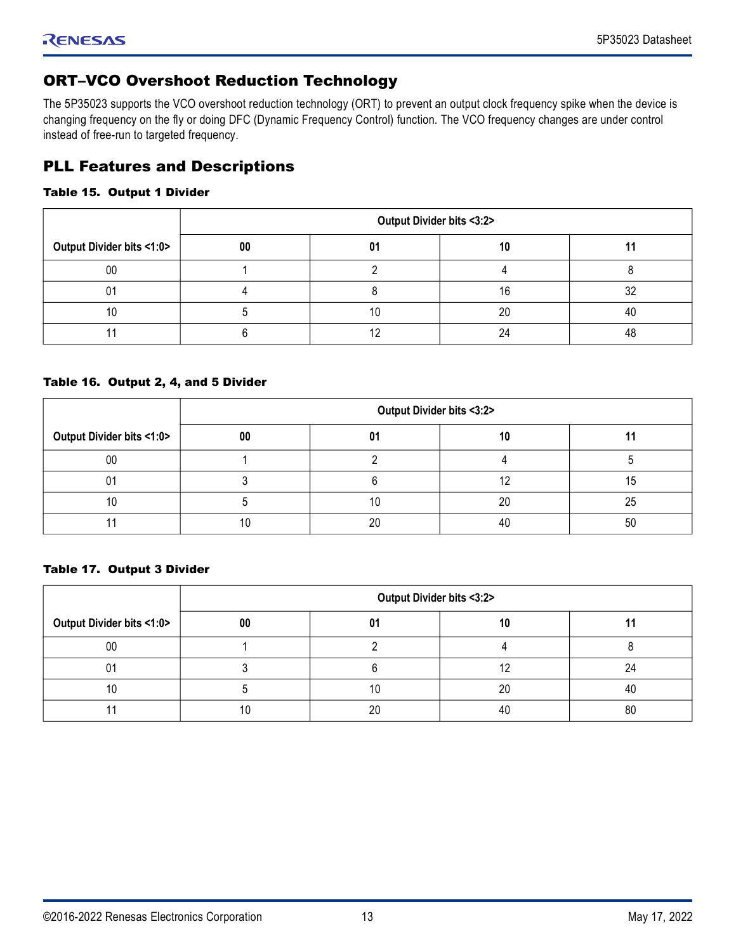## <span id="page-12-0"></span>ORT–VCO Overshoot Reduction Technology

The 5P35023 supports the VCO overshoot reduction technology (ORT) to prevent an output clock frequency spike when the device is changing frequency on the fly or doing DFC (Dynamic Frequency Control) function. The VCO frequency changes are under control instead of free-run to targeted frequency.

## <span id="page-12-1"></span>PLL Features and Descriptions

#### Table 15. Output 1 Divider

|                           | Output Divider bits <3:2> |    |    |     |  |  |
|---------------------------|---------------------------|----|----|-----|--|--|
| Output Divider bits <1:0> | 00                        | 01 | 10 |     |  |  |
| 00                        |                           |    |    |     |  |  |
| υ1                        |                           |    | 16 | ne. |  |  |
|                           |                           | 10 | 20 | 40  |  |  |
|                           |                           |    |    | 10  |  |  |

#### Table 16. Output 2, 4, and 5 Divider

|                                        | Output Divider bits <3:2> |    |    |    |  |
|----------------------------------------|---------------------------|----|----|----|--|
| <b>Output Divider bits &lt;1:0&gt;</b> | 00                        | 01 | 10 |    |  |
| 00                                     |                           |    |    |    |  |
|                                        |                           |    |    |    |  |
|                                        |                           | ١U | 20 | 25 |  |
|                                        |                           | 20 | 40 | 50 |  |

#### Table 17. Output 3 Divider

|                                        | Output Divider bits <3:2> |    |    |    |  |
|----------------------------------------|---------------------------|----|----|----|--|
| <b>Output Divider bits &lt;1:0&gt;</b> | 00                        | 01 |    |    |  |
| 00                                     |                           |    |    |    |  |
|                                        |                           |    |    |    |  |
|                                        |                           | ιU | 20 | 4( |  |
|                                        |                           | ንቦ | 40 | 80 |  |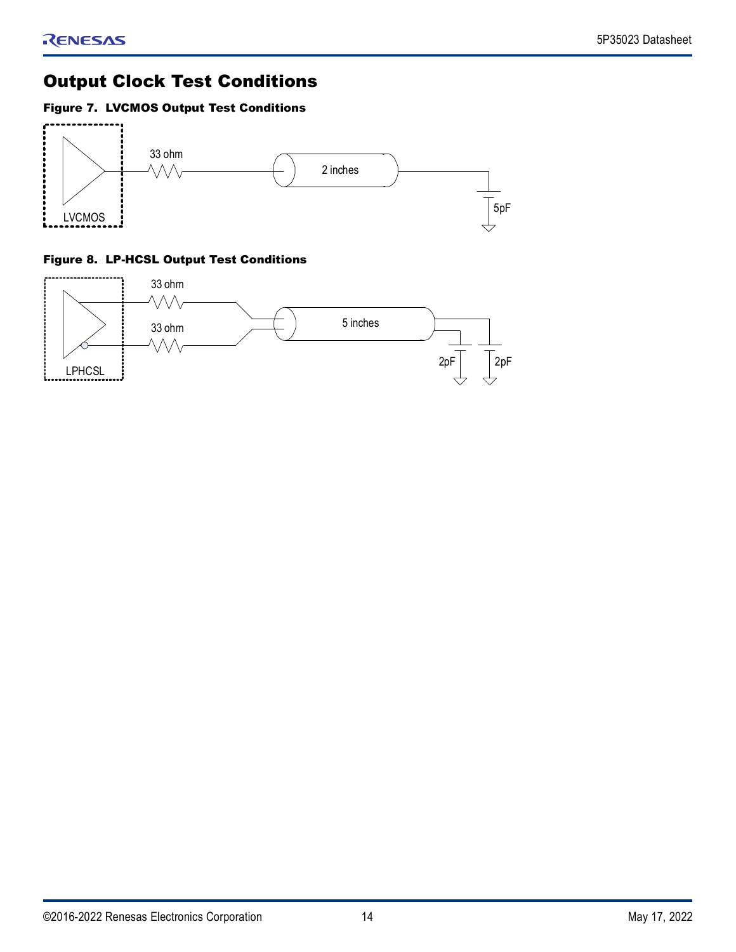## <span id="page-13-0"></span>Output Clock Test Conditions

## Figure 7. LVCMOS Output Test Conditions



## Figure 8. LP-HCSL Output Test Conditions

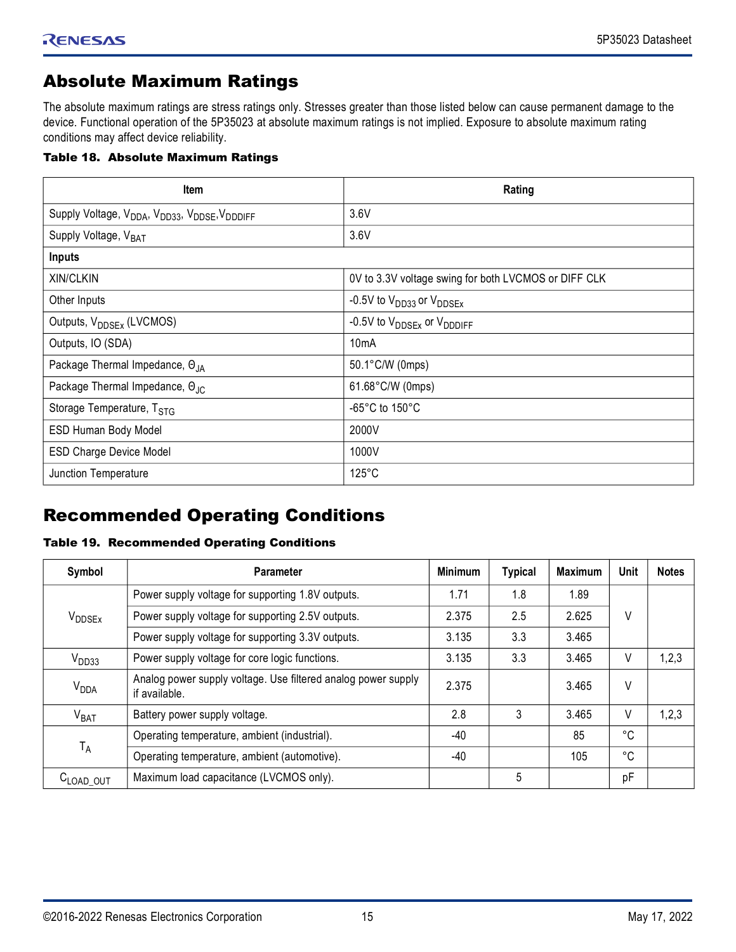## <span id="page-14-0"></span>Absolute Maximum Ratings

The absolute maximum ratings are stress ratings only. Stresses greater than those listed below can cause permanent damage to the device. Functional operation of the 5P35023 at absolute maximum ratings is not implied. Exposure to absolute maximum rating conditions may affect device reliability.

#### Table 18. Absolute Maximum Ratings

| Item                                                                                           | Rating                                               |
|------------------------------------------------------------------------------------------------|------------------------------------------------------|
| Supply Voltage, V <sub>DDA</sub> , V <sub>DD33</sub> , V <sub>DDSE</sub> , V <sub>DDDIFF</sub> | 3.6V                                                 |
| Supply Voltage, V <sub>BAT</sub>                                                               | 3.6V                                                 |
| Inputs                                                                                         |                                                      |
| XIN/CLKIN                                                                                      | 0V to 3.3V voltage swing for both LVCMOS or DIFF CLK |
| Other Inputs                                                                                   | -0.5V to V <sub>DD33</sub> or V <sub>DDSEx</sub>     |
| Outputs, V <sub>DDSEx</sub> (LVCMOS)                                                           | -0.5V to V <sub>DDSEx</sub> or V <sub>DDDIFF</sub>   |
| Outputs, IO (SDA)                                                                              | 10 <sub>m</sub> A                                    |
| Package Thermal Impedance, OJA                                                                 | 50.1°C/W (0mps)                                      |
| Package Thermal Impedance, OJ <sub>C</sub>                                                     | 61.68°C/W (0mps)                                     |
| Storage Temperature, TSTG                                                                      | -65 $^{\circ}$ C to 150 $^{\circ}$ C                 |
| ESD Human Body Model                                                                           | 2000V                                                |
| <b>ESD Charge Device Model</b>                                                                 | 1000V                                                |
| Junction Temperature                                                                           | $125^{\circ}$ C                                      |

## <span id="page-14-1"></span>Recommended Operating Conditions

## Table 19. Recommended Operating Conditions

| Symbol                            | <b>Parameter</b>                                                               | <b>Minimum</b> | <b>Typical</b> | <b>Maximum</b> | <b>Unit</b> | <b>Notes</b> |
|-----------------------------------|--------------------------------------------------------------------------------|----------------|----------------|----------------|-------------|--------------|
|                                   | Power supply voltage for supporting 1.8V outputs.                              | 1.71           | 1.8            | 1.89           |             |              |
| V <sub>DDSEx</sub>                | Power supply voltage for supporting 2.5V outputs.                              | 2.375          | 2.5            | 2.625          | V           |              |
|                                   | Power supply voltage for supporting 3.3V outputs.                              | 3.135          | 3.3            | 3.465          |             |              |
| V <sub>DD33</sub>                 | Power supply voltage for core logic functions.                                 | 3.135          | 3.3            | 3.465          | V           | 1,2,3        |
| <b>V<sub>DDA</sub></b>            | Analog power supply voltage. Use filtered analog power supply<br>if available. | 2.375          |                | 3.465          | V           |              |
| V <sub>BAT</sub>                  | Battery power supply voltage.                                                  | 2.8            | 3              | 3.465          | V           | 1, 2, 3      |
|                                   | Operating temperature, ambient (industrial).                                   | -40            |                | 85             | °C          |              |
| $T_A$                             | Operating temperature, ambient (automotive).                                   | -40            |                | 105            | °C          |              |
| $\mathtt{C}_{\mathsf{LOAD\_OUT}}$ | Maximum load capacitance (LVCMOS only).                                        |                | 5              |                | pF          |              |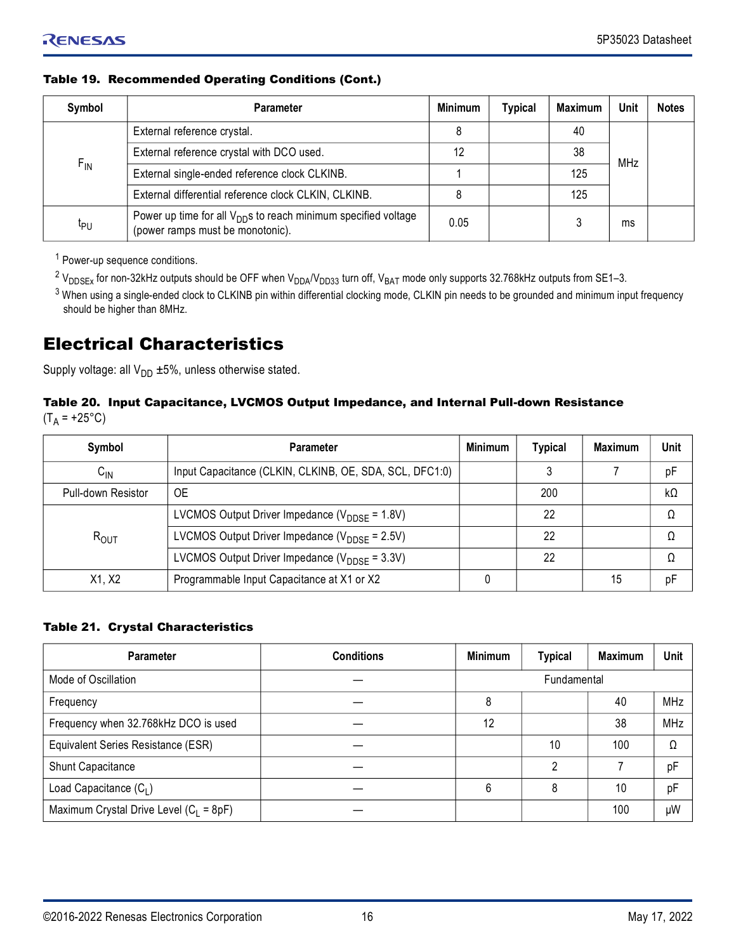## Table 19. Recommended Operating Conditions (Cont.)

| Symbol          | <b>Parameter</b>                                                                                               | <b>Minimum</b> | <b>Typical</b> | <b>Maximum</b> | Unit | <b>Notes</b> |
|-----------------|----------------------------------------------------------------------------------------------------------------|----------------|----------------|----------------|------|--------------|
|                 | External reference crystal.                                                                                    | 8              |                | 40             |      |              |
|                 | External reference crystal with DCO used.                                                                      |                |                | 38             |      |              |
| $F_{IN}$        | External single-ended reference clock CLKINB.                                                                  |                |                | 125            |      |              |
|                 | External differential reference clock CLKIN, CLKINB.                                                           | MHz<br>125     |                |                |      |              |
| t <sub>PU</sub> | Power up time for all V <sub>DD</sub> s to reach minimum specified voltage<br>(power ramps must be monotonic). | 0.05           |                |                | ms   |              |

<sup>1</sup> Power-up sequence conditions.

 $^2$  V<sub>DDSEx</sub> for non-32kHz outputs should be OFF when V<sub>DDA</sub>/V<sub>DD33</sub> turn off, V<sub>BAT</sub> mode only supports 32.768kHz outputs from SE1–3.

 $^3$  When using a single-ended clock to CLKINB pin within differential clocking mode, CLKIN pin needs to be grounded and minimum input frequency should be higher than 8MHz.

## <span id="page-15-0"></span>Electrical Characteristics

Supply voltage: all  $V_{DD}$  ±5%, unless otherwise stated.

#### Table 20. Input Capacitance, LVCMOS Output Impedance, and Internal Pull-down Resistance  $(T_A = +25^{\circ}C)$

| Symbol             | <b>Parameter</b>                                           | <b>Minimum</b> | <b>Typical</b> | <b>Maximum</b> | <b>Unit</b> |
|--------------------|------------------------------------------------------------|----------------|----------------|----------------|-------------|
| $C_{IN}$           | Input Capacitance (CLKIN, CLKINB, OE, SDA, SCL, DFC1:0)    |                |                |                | pF          |
| Pull-down Resistor | 0E                                                         |                | 200            |                | $k\Omega$   |
|                    | LVCMOS Output Driver Impedance ( $V_{\text{DDSF}}$ = 1.8V) |                | 22             |                | Ω           |
| $R_{OUIT}$         | LVCMOS Output Driver Impedance ( $V_{\text{DDSF}}$ = 2.5V) |                | 22             |                |             |
|                    | LVCMOS Output Driver Impedance ( $V_{\text{DDSF}}$ = 3.3V) |                | 22             |                | Ω           |
| X1, X2             | Programmable Input Capacitance at X1 or X2                 |                |                | 15             | pF          |

#### Table 21. Crystal Characteristics

| <b>Parameter</b>                          | <b>Conditions</b> | <b>Minimum</b> | <b>Typical</b> | <b>Maximum</b> | Unit       |
|-------------------------------------------|-------------------|----------------|----------------|----------------|------------|
| Mode of Oscillation                       |                   | Fundamental    |                |                |            |
| Frequency                                 |                   | 8              |                | 40             | <b>MHz</b> |
| Frequency when 32.768kHz DCO is used      |                   | 12             |                | 38             | MHz        |
| Equivalent Series Resistance (ESR)        |                   |                | 10             | 100            | Ω          |
| Shunt Capacitance                         |                   |                | റ              |                | pF         |
| Load Capacitance $(C_1)$                  |                   | 6              | 8              | 10             | pF         |
| Maximum Crystal Drive Level $(C_1 = 8pF)$ |                   |                |                | 100            | μW         |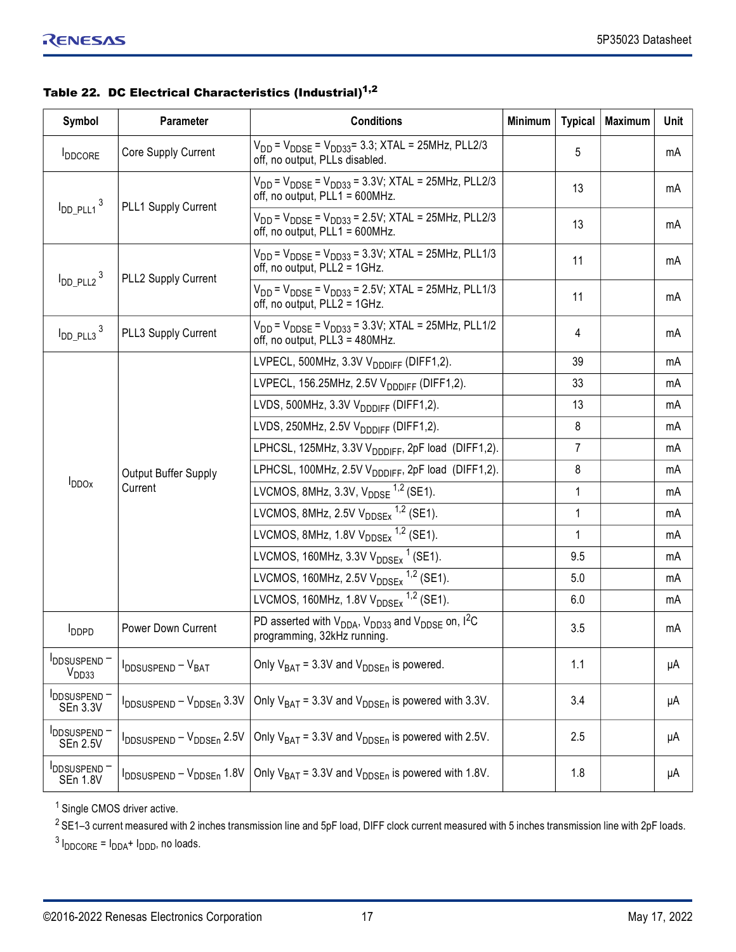|  | Table 22. DC Electrical Characteristics (Industrial) <sup>1,2</sup> |  |
|--|---------------------------------------------------------------------|--|
|  |                                                                     |  |

| Symbol                                  | Parameter                               | <b>Conditions</b>                                                                                          | <b>Minimum</b> | <b>Typical</b> | Maximum | Unit |
|-----------------------------------------|-----------------------------------------|------------------------------------------------------------------------------------------------------------|----------------|----------------|---------|------|
| <b>I</b> DDCORE                         | Core Supply Current                     | $V_{DD}$ = $V_{DDSE}$ = $V_{DD33}$ = 3.3; XTAL = 25MHz, PLL2/3<br>off, no output, PLLs disabled.           |                | 5              |         | mA   |
| $I_{DD\_PLL1}$ <sup>3</sup>             | PLL1 Supply Current                     | $V_{DD}$ = $V_{DDSE}$ = $V_{DD33}$ = 3.3V; XTAL = 25MHz, PLL2/3<br>off, no output, PLL1 = 600MHz.          |                | 13             |         | mA   |
|                                         |                                         | $V_{DD}$ = $V_{DDSE}$ = $V_{DD33}$ = 2.5V; XTAL = 25MHz, PLL2/3<br>off, no output, PLL1 = 600MHz.          |                | 13             |         | mA   |
| $I_{DD_PLL2}$ <sup>3</sup>              | PLL2 Supply Current                     | $V_{DD}$ = $V_{DDSE}$ = $V_{DD33}$ = 3.3V; XTAL = 25MHz, PLL1/3<br>off, no output, PLL2 = 1GHz.            |                | 11             |         | mA   |
|                                         |                                         | $V_{DD}$ = $V_{DDSE}$ = $V_{DD33}$ = 2.5V; XTAL = 25MHz, PLL1/3<br>off, no output, PLL2 = 1GHz.            |                | 11             |         | mA   |
| $I_{DD\_PLL3}$ <sup>3</sup>             | PLL3 Supply Current                     | $V_{DD}$ = $V_{DDSE}$ = $V_{DD33}$ = 3.3V; XTAL = 25MHz, PLL1/2<br>off, no output, PLL3 = 480MHz.          |                | 4              |         | mA   |
|                                         |                                         | LVPECL, 500MHz, 3.3V V <sub>DDDIFF</sub> (DIFF1,2).                                                        |                | 39             |         | mA   |
|                                         |                                         | LVPECL, 156.25MHz, 2.5V V <sub>DDDIFF</sub> (DIFF1,2).                                                     |                | 33             |         | mA   |
|                                         | Output Buffer Supply<br>Current         | LVDS, 500MHz, 3.3V V <sub>DDDIFF</sub> (DIFF1,2).                                                          |                | 13             |         | mA   |
|                                         |                                         | LVDS, 250MHz, 2.5V $V_{DDDIFF}$ (DIFF1,2).                                                                 |                | 8              |         | mA   |
|                                         |                                         | LPHCSL, 125MHz, 3.3V V <sub>DDDIFF</sub> , 2pF load (DIFF1,2).                                             |                | 7              |         | mA   |
|                                         |                                         | LPHCSL, 100MHz, 2.5V V <sub>DDDIFF</sub> , 2pF load (DIFF1,2).                                             |                | 8              |         | mA   |
| $I_{DDOx}$                              |                                         | LVCMOS, 8MHz, 3.3V, $V_{\text{DDSE}}^{1,2}$ (SE1).                                                         |                | 1              |         | mA   |
|                                         |                                         | LVCMOS, 8MHz, 2.5V $V_{\text{DDSEX}}$ <sup>1,2</sup> (SE1).                                                |                | 1              |         | mA   |
|                                         |                                         | LVCMOS, 8MHz, 1.8V $V_{\text{DDSEx}}$ <sup>1,2</sup> (SE1).                                                |                | 1              |         | mA   |
|                                         |                                         | LVCMOS, 160MHz, 3.3V $V_{\text{DDSEx}}$ <sup>1</sup> (SE1).                                                |                | 9.5            |         | mA   |
|                                         |                                         | LVCMOS, 160MHz, 2.5V $V_{\text{DDSEx}}$ <sup>1,2</sup> (SE1).                                              |                | 5.0            |         | mA   |
|                                         |                                         | LVCMOS, 160MHz, 1.8V $V_{DDSE}$ <sup>1,2</sup> (SE1).                                                      |                | 6.0            |         | mA   |
| <b>I</b> <sub>DDPD</sub>                | Power Down Current                      | PD asserted with $V_{DDA}$ , $V_{DD33}$ and $V_{DDSE}$ on, I <sup>2</sup> C<br>programming, 32kHz running. |                | 3.5            |         | mA   |
| <b>IDDSUSPEND-</b><br>V <sub>DD33</sub> | $I_{\text{DDSUSPEND}} - V_{\text{BAT}}$ | Only $V_{BAT} = 3.3V$ and $V_{DDSEn}$ is powered.                                                          |                | 1.1            |         | μA   |
| DDSUSPEND-<br><b>SEn 3.3V</b>           | IDDSUSPEND - VDDSEn 3.3V                | Only $V_{BAT}$ = 3.3V and $V_{DDSFn}$ is powered with 3.3V.                                                |                | 3.4            |         | μA   |
| <b>IDDSUSPEND-</b><br><b>SEn 2.5V</b>   | IDDSUSPEND - VDDSEn 2.5V                | Only $V_{BAT}$ = 3.3V and $V_{DDSEn}$ is powered with 2.5V.                                                |                | 2.5            |         | μA   |
| <b>IDDSUSPEND-</b><br><b>SEn 1.8V</b>   | IDDSUSPEND - VDDSEn 1.8V                | Only $V_{BAT} = 3.3V$ and $V_{DDSFn}$ is powered with 1.8V.                                                |                | 1.8            |         | μA   |

<sup>1</sup> Single CMOS driver active.

 $2$  SE1–3 current measured with 2 inches transmission line and 5pF load, DIFF clock current measured with 5 inches transmission line with 2pF loads.

<sup>3</sup> I<sub>DDCORE</sub> = I<sub>DDA</sub>+ I<sub>DDD</sub>, no loads.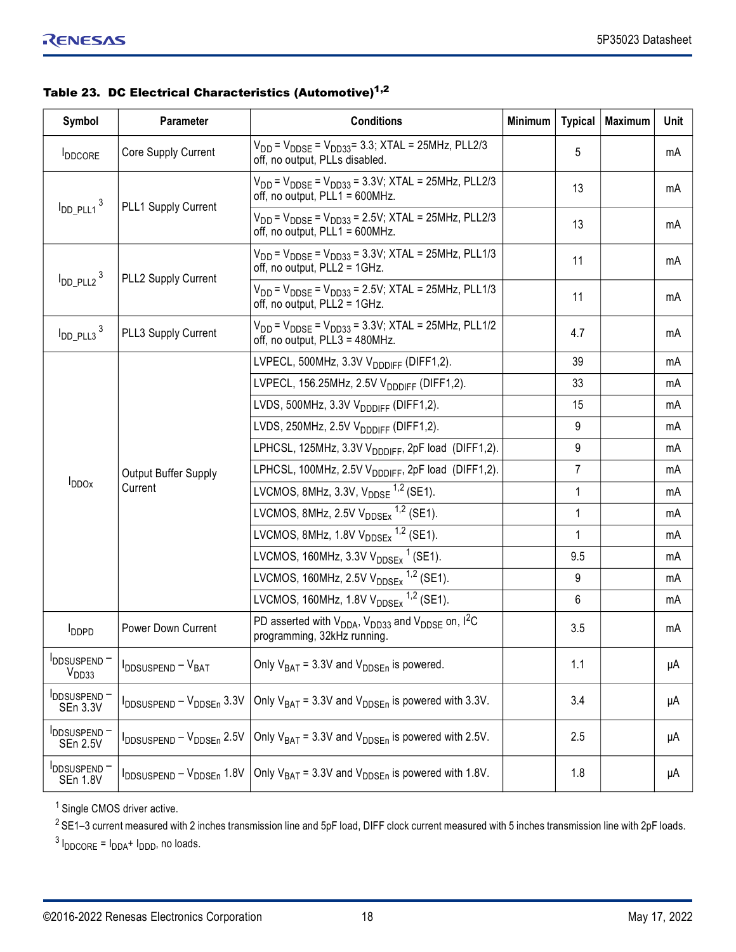| Table 23. DC Electrical Characteristics (Automotive) <sup>1,2</sup> |  |
|---------------------------------------------------------------------|--|
|                                                                     |  |

| Symbol                                | <b>Parameter</b>                          | <b>Conditions</b>                                                                                                          | <b>Minimum</b> | <b>Typical</b> | <b>Maximum</b> | Unit |
|---------------------------------------|-------------------------------------------|----------------------------------------------------------------------------------------------------------------------------|----------------|----------------|----------------|------|
| <b>I</b> DDCORE                       | Core Supply Current                       | $V_{DD}$ = $V_{DDSE}$ = $V_{DD33}$ = 3.3; XTAL = 25MHz, PLL2/3<br>off, no output, PLLs disabled.                           |                | 5              |                | mA   |
| $I_{DD\_PLL1}$ <sup>3</sup>           | PLL1 Supply Current                       | $V_{DD}$ = $V_{DDSE}$ = $V_{DD33}$ = 3.3V; XTAL = 25MHz, PLL2/3<br>off, no output, PLL1 = 600MHz.                          |                | 13             |                | mA   |
|                                       |                                           | $V_{DD}$ = $V_{DDSE}$ = $V_{DD33}$ = 2.5V; XTAL = 25MHz, PLL2/3<br>off, no output, PLL1 = 600MHz.                          |                | 13             |                | mA   |
| $I_{DD}$ PLL2 <sup>3</sup>            | PLL2 Supply Current                       | $V_{DD}$ = $V_{DDSE}$ = $V_{DD33}$ = 3.3V; XTAL = 25MHz, PLL1/3<br>off, no output, PLL2 = 1GHz.                            |                | 11             |                | mA   |
|                                       |                                           | $V_{DD}$ = $V_{DDSE}$ = $V_{DD33}$ = 2.5V; XTAL = 25MHz, PLL1/3<br>off, no output, PLL2 = 1GHz.                            |                | 11             |                | mA   |
| $I_{DD_PLL3}$ <sup>3</sup>            | PLL3 Supply Current                       | $V_{DD}$ = $V_{DDSE}$ = $V_{DD33}$ = 3.3V; XTAL = 25MHz, PLL1/2<br>off, no output, PLL3 = 480MHz.                          |                | 4.7            |                | mA   |
|                                       |                                           | LVPECL, 500MHz, 3.3V V <sub>DDDIFF</sub> (DIFF1,2).                                                                        |                | 39             |                | mA   |
|                                       |                                           | LVPECL, 156.25MHz, 2.5V V <sub>DDDIFF</sub> (DIFF1,2).                                                                     |                | 33             |                | mA   |
|                                       | Output Buffer Supply<br>Current           | LVDS, 500MHz, 3.3V V <sub>DDDIFF</sub> (DIFF1,2).                                                                          |                | 15             |                | mA   |
|                                       |                                           | LVDS, 250MHz, 2.5V $V_{DDDIFF}$ (DIFF1,2).                                                                                 |                | 9              |                | mA   |
|                                       |                                           | LPHCSL, 125MHz, 3.3V V <sub>DDDIFF</sub> , 2pF load (DIFF1,2).                                                             |                | 9              |                | mA   |
|                                       |                                           | LPHCSL, 100MHz, 2.5V V <sub>DDDIFF</sub> , 2pF load (DIFF1,2).                                                             |                | 7              |                | mA   |
| $I_{DDOx}$                            |                                           | LVCMOS, 8MHz, 3.3V, $V_{\text{DDSE}}^{1,2}$ (SE1).                                                                         |                | 1              |                | mA   |
|                                       |                                           | LVCMOS, 8MHz, 2.5V $V_{\text{DDSEx}}$ <sup>1,2</sup> (SE1).                                                                |                | 1              |                | mA   |
|                                       |                                           | LVCMOS, 8MHz, 1.8V $V_{\text{DDSEx}}$ <sup>1,2</sup> (SE1).                                                                |                | 1              |                | mA   |
|                                       |                                           | LVCMOS, 160MHz, 3.3V $V_{\text{DDSEx}}$ <sup>1</sup> (SE1).                                                                |                | 9.5            |                | mA   |
|                                       |                                           | LVCMOS, 160MHz, 2.5V $V_{DDSE}$ <sup>1,2</sup> (SE1).                                                                      |                | 9              |                | mA   |
|                                       |                                           | LVCMOS, 160MHz, 1.8V $V_{\text{DDSEx}}$ <sup>1,2</sup> (SE1).                                                              |                | 6              |                | mA   |
| <b>I</b> <sub>DDPD</sub>              | Power Down Current                        | PD asserted with $V_{DDA}$ , $V_{DD33}$ and $V_{DDSE}$ on, $I^2C$<br>programming, 32kHz running.                           |                | 3.5            |                | mA   |
| DDSUSPEND-<br>V <sub>DD33</sub>       | I <sub>DDSUSPEND</sub> - V <sub>BAT</sub> | Only $V_{BAT} = 3.3V$ and $V_{DDSEn}$ is powered.                                                                          |                | 1.1            |                | μA   |
| <b>IDDSUSPEND-</b><br>SEn 3.3V        | IDDSUSPEND - VDDSEn 3.3V                  | Only $V_{BAT} = 3.3V$ and $V_{DDSFn}$ is powered with 3.3V.                                                                |                | 3.4            |                | μA   |
| DDSUSPEND-<br>SEn 2.5V                | IDDSUSPEND - VDDSEn 2.5V                  | Only $V_{BAT} = 3.3V$ and $V_{DDSEn}$ is powered with 2.5V.                                                                |                | 2.5            |                | μA   |
| <b>IDDSUSPEND-</b><br><b>SEn 1.8V</b> |                                           | $I_{\text{DDSUBFEND}} - V_{\text{DDSEn}}$ 1.8V   Only $V_{\text{BAT}}$ = 3.3V and $V_{\text{DDSEn}}$ is powered with 1.8V. |                | 1.8            |                | μA   |

<sup>1</sup> Single CMOS driver active.

 $2$  SE1–3 current measured with 2 inches transmission line and 5pF load, DIFF clock current measured with 5 inches transmission line with 2pF loads.

<sup>3</sup> I<sub>DDCORE</sub> = I<sub>DDA</sub>+ I<sub>DDD</sub>, no loads.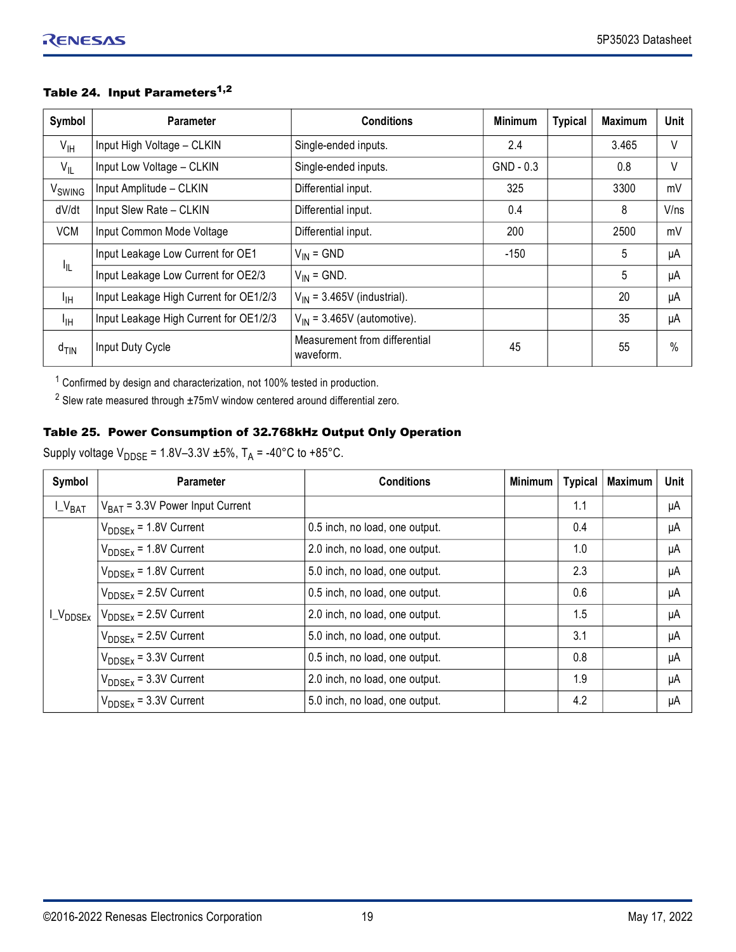| Symbol             | <b>Parameter</b>                       | <b>Conditions</b>                          | <b>Minimum</b> | <b>Typical</b> | <b>Maximum</b> | Unit |
|--------------------|----------------------------------------|--------------------------------------------|----------------|----------------|----------------|------|
| $V_{\text{IH}}$    | Input High Voltage - CLKIN             | Single-ended inputs.                       | 2.4            |                | 3.465          | V    |
| $V_{IL}$           | Input Low Voltage - CLKIN              | Single-ended inputs.                       | $GND - 0.3$    |                | 0.8            | V    |
| V <sub>SWING</sub> | Input Amplitude - CLKIN                | Differential input.                        | 325            |                | 3300           | mV   |
| dV/dt              | Input Slew Rate - CLKIN                | Differential input.                        | 0.4            |                | 8              | V/ns |
| <b>VCM</b>         | Input Common Mode Voltage              | Differential input.                        | 200            |                | 2500           | mV   |
|                    | Input Leakage Low Current for OE1      | $V_{IN} = GND$                             | $-150$         |                | 5              | μA   |
| 址                  | Input Leakage Low Current for OE2/3    | $V_{IN}$ = GND.                            |                |                | 5              | μA   |
| $I_{\text{IH}}$    | Input Leakage High Current for OE1/2/3 | $V_{IN}$ = 3.465V (industrial).            |                |                | 20             | μA   |
| $I_{\text{IH}}$    | Input Leakage High Current for OE1/2/3 | $V_{IN}$ = 3.465V (automotive).            |                |                | 35             | μA   |
| $d$ <sub>TIN</sub> | Input Duty Cycle                       | Measurement from differential<br>waveform. | 45             |                | 55             | $\%$ |

## Table 24. Input Parameters<sup>1,2</sup>

 $1$  Confirmed by design and characterization, not 100% tested in production.

 $^{2}$  Slew rate measured through  $\pm75$ mV window centered around differential zero.

## Table 25. Power Consumption of 32.768kHz Output Only Operation

Supply voltage  $V_{\text{DDSE}} = 1.8V - 3.3V \pm 5\%$ , T<sub>A</sub> = -40°C to +85°C.

| Symbol        | <b>Parameter</b>                     | <b>Conditions</b>              | Minimum | <b>Typical</b> | <b>Maximum</b> | Unit |
|---------------|--------------------------------------|--------------------------------|---------|----------------|----------------|------|
| $L_{V_{BAT}}$ | $V_{BAT}$ = 3.3V Power Input Current |                                |         | 1.1            |                | μA   |
|               | $V_{\text{DDSEx}}$ = 1.8V Current    | 0.5 inch, no load, one output. |         | 0.4            |                | μA   |
|               | $V_{\text{DDSEx}}$ = 1.8V Current    | 2.0 inch, no load, one output. |         | 1.0            |                | μA   |
|               | $V_{DDSEx}$ = 1.8V Current           | 5.0 inch, no load, one output. |         | 2.3            |                | μA   |
|               | $V_{\text{DDSEx}}$ = 2.5V Current    | 0.5 inch, no load, one output. |         | 0.6            |                | μA   |
| $L_{VDDSEx}$  | $V_{\text{DDSEx}}$ = 2.5V Current    | 2.0 inch, no load, one output. |         | 1.5            |                | μA   |
|               | $V_{\text{DDSEx}}$ = 2.5V Current    | 5.0 inch, no load, one output. |         | 3.1            |                | μA   |
|               | $V_{\text{DDSEx}}$ = 3.3V Current    | 0.5 inch, no load, one output. |         | 0.8            |                | μA   |
|               | $V_{\text{DDSEx}}$ = 3.3V Current    | 2.0 inch, no load, one output. |         | 1.9            |                | μA   |
|               | $V_{\text{DDSEx}}$ = 3.3V Current    | 5.0 inch, no load, one output. |         | 4.2            |                | μA   |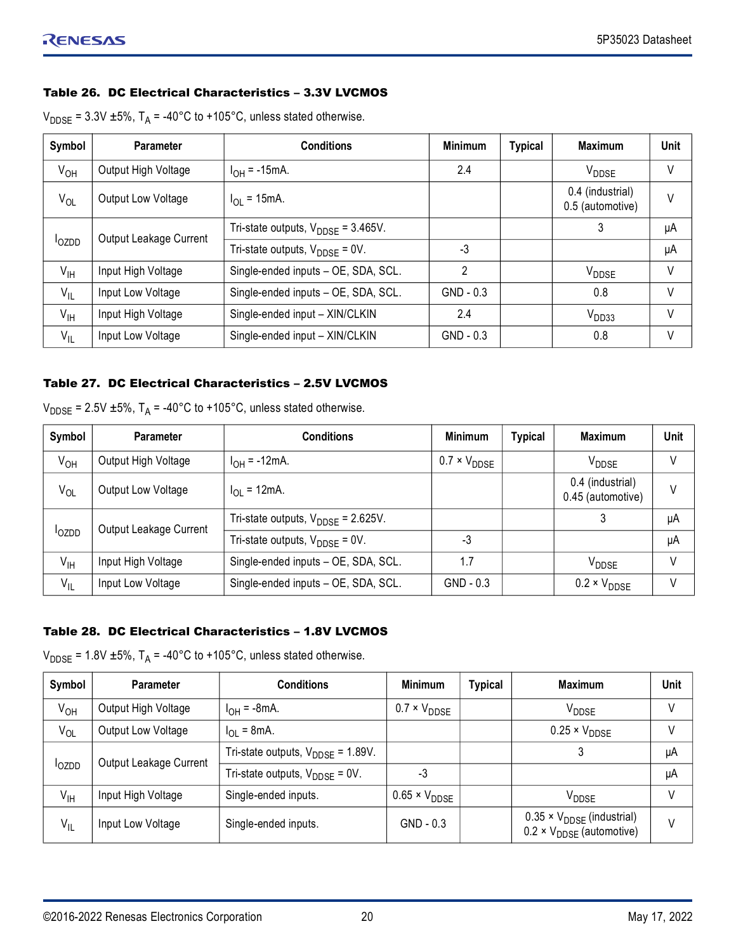#### <span id="page-19-0"></span>Table 26. DC Electrical Characteristics – 3.3V LVCMOS

|  |  | $V_{\text{DDSE}}$ = 3.3V ±5%, T <sub>A</sub> = -40°C to +105°C, unless stated otherwise. |
|--|--|------------------------------------------------------------------------------------------|
|--|--|------------------------------------------------------------------------------------------|

| Symbol          | <b>Parameter</b>       | <b>Conditions</b>                               | <b>Minimum</b> | <b>Typical</b> | <b>Maximum</b>                       | <b>Unit</b> |
|-----------------|------------------------|-------------------------------------------------|----------------|----------------|--------------------------------------|-------------|
| $V_{OH}$        | Output High Voltage    | $I_{OH} = -15$ mA.                              | 2.4            |                | V <sub>DDSE</sub>                    | V           |
| $V_{OL}$        | Output Low Voltage     | $I_{\Omega I}$ = 15mA.                          |                |                | 0.4 (industrial)<br>0.5 (automotive) | V           |
|                 | Output Leakage Current | Tri-state outputs, $V_{\text{DDSE}} = 3.465V$ . |                |                | 3                                    | μA          |
| <b>l</b> ozpp   |                        | Tri-state outputs, $V_{\text{DDSF}} = 0V$ .     | -3             |                |                                      | μA          |
| $V_{\text{IH}}$ | Input High Voltage     | Single-ended inputs - OE, SDA, SCL.             | 2              |                | V <sub>DDSE</sub>                    | V           |
| $V_{IL}$        | Input Low Voltage      | Single-ended inputs - OE, SDA, SCL.             | $GND - 0.3$    |                | 0.8                                  | V           |
| $V_{\text{IH}}$ | Input High Voltage     | Single-ended input - XIN/CLKIN                  | 2.4            |                | V <sub>DD33</sub>                    | V           |
| $V_{IL}$        | Input Low Voltage      | Single-ended input - XIN/CLKIN                  | $GND - 0.3$    |                | 0.8                                  | V           |

#### <span id="page-19-1"></span>Table 27. DC Electrical Characteristics – 2.5V LVCMOS

| Symbol          | <b>Parameter</b>       | <b>Conditions</b>                              | <b>Minimum</b>               | <b>Typical</b> | <b>Maximum</b>                        | Unit |
|-----------------|------------------------|------------------------------------------------|------------------------------|----------------|---------------------------------------|------|
| $V_{OH}$        | Output High Voltage    | $I_{OH} = -12mA$ .                             | $0.7 \times V_{\text{DDSE}}$ |                | V <sub>DDSE</sub>                     |      |
| $V_{OL}$        | Output Low Voltage     | $I_{\text{OI}} = 12 \text{mA}$ .               |                              |                | 0.4 (industrial)<br>0.45 (automotive) | V    |
| <b>l</b> ozpp   | Output Leakage Current | Tri-state outputs, $V_{\text{DDSF}}$ = 2.625V. |                              |                | 3                                     | μA   |
|                 |                        | Tri-state outputs, $V_{\text{DDSE}} = 0V$ .    | -3                           |                |                                       | μA   |
| $V_{\text{IH}}$ | Input High Voltage     | Single-ended inputs - OE, SDA, SCL.            | 1.7                          |                | V <sub>DDSE</sub>                     | V    |
| $V_{IL}$        | Input Low Voltage      | Single-ended inputs - OE, SDA, SCL.            | $GND - 0.3$                  |                | $0.2 \times V_{\text{DDSE}}$          |      |

#### <span id="page-19-2"></span>Table 28. DC Electrical Characteristics – 1.8V LVCMOS

| $V_{\text{DDSE}}$ = 1.8V ±5%, T <sub>A</sub> = -40°C to +105°C, unless stated otherwise. |  |
|------------------------------------------------------------------------------------------|--|
|------------------------------------------------------------------------------------------|--|

| Symbol          | <b>Parameter</b>       | <b>Conditions</b>                             | <b>Minimum</b>                | <b>Typical</b> | <b>Maximum</b>                                                                          | <b>Unit</b> |
|-----------------|------------------------|-----------------------------------------------|-------------------------------|----------------|-----------------------------------------------------------------------------------------|-------------|
| $V_{OH}$        | Output High Voltage    | $I_{OH} = -8mA$ .                             | $0.7 \times V_{\text{DDSE}}$  |                | V <sub>DDSE</sub>                                                                       | V           |
| $V_{OL}$        | Output Low Voltage     | $I_{\text{OI}} = 8 \text{mA}$ .               |                               |                | $0.25 \times V_{\text{DDSE}}$                                                           | V           |
| <b>l</b> ozdd   | Output Leakage Current | Tri-state outputs, $V_{\text{DDSF}}$ = 1.89V. |                               |                |                                                                                         | μA          |
|                 |                        | Tri-state outputs, $V_{\text{DDSF}} = 0V$ .   | -3                            |                |                                                                                         | μA          |
| $V_{\text{IH}}$ | Input High Voltage     | Single-ended inputs.                          | $0.65 \times V_{\text{DDSE}}$ |                | V <sub>DDSE</sub>                                                                       | V           |
| $V_{IL}$        | Input Low Voltage      | Single-ended inputs.                          | $GND - 0.3$                   |                | $0.35 \times V_{\text{DDSE}}$ (industrial)<br>$0.2 \times V_{\text{DDSE}}$ (automotive) | V           |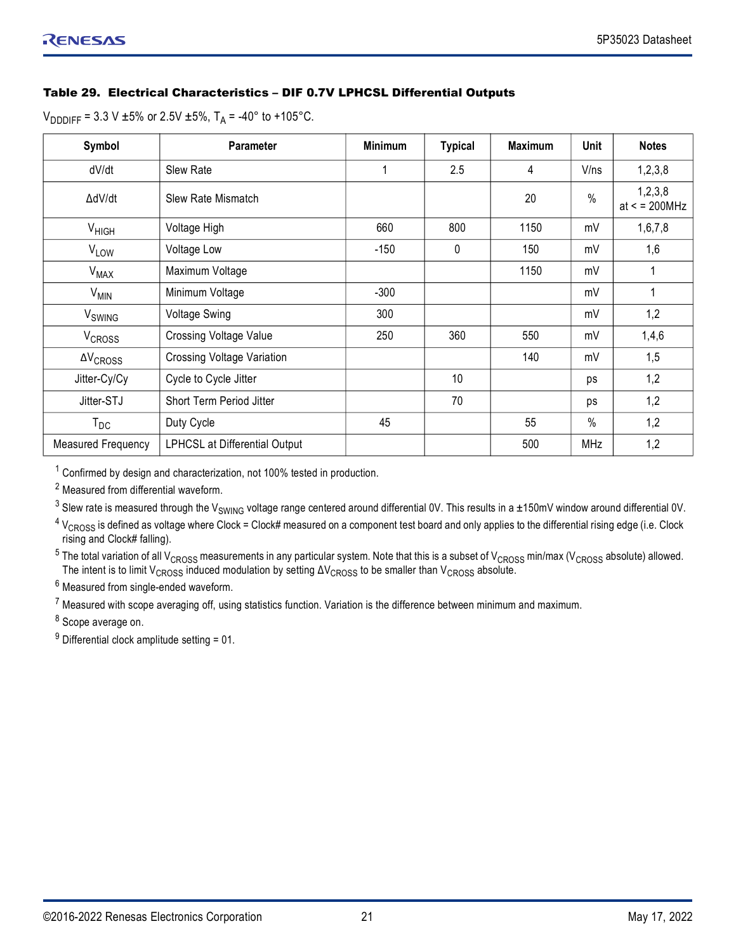## Table 29. Electrical Characteristics – DIF 0.7V LPHCSL Differential Outputs

 $V_{\text{DDDIFF}} = 3.3 \text{ V } \pm 5\% \text{ or } 2.5 \text{ V } \pm 5\%, T_A = -40^{\circ} \text{ to } +105^{\circ} \text{C}.$ 

| Symbol                 | <b>Parameter</b>                     | <b>Minimum</b> | <b>Typical</b> | <b>Maximum</b> | Unit       | <b>Notes</b>              |
|------------------------|--------------------------------------|----------------|----------------|----------------|------------|---------------------------|
| dV/dt                  | <b>Slew Rate</b>                     | 1              | 2.5            | 4              | V/ns       | 1, 2, 3, 8                |
| ∆dV/dt                 | Slew Rate Mismatch                   |                |                | 20             | $\%$       | 1, 2, 3, 8<br>at < 200MHz |
| $V_{HIGH}$             | Voltage High                         | 660            | 800            | 1150           | mV         | 1,6,7,8                   |
| <b>VLOW</b>            | Voltage Low                          | $-150$         | 0              | 150            | mV         | 1,6                       |
| <b>V<sub>MAX</sub></b> | Maximum Voltage                      |                |                | 1150           | mV         |                           |
| $V_{MIN}$              | Minimum Voltage                      | $-300$         |                |                | mV         | 1                         |
| V <sub>SWING</sub>     | <b>Voltage Swing</b>                 | 300            |                |                | mV         | 1,2                       |
| V <sub>CROSS</sub>     | <b>Crossing Voltage Value</b>        | 250            | 360            | 550            | mV         | 1,4,6                     |
| $\Delta V_{CROSS}$     | <b>Crossing Voltage Variation</b>    |                |                | 140            | mV         | 1,5                       |
| Jitter-Cy/Cy           | Cycle to Cycle Jitter                |                | 10             |                | ps         | 1,2                       |
| Jitter-STJ             | Short Term Period Jitter             |                | 70             |                | ps         | 1,2                       |
| $T_{DC}$               | Duty Cycle                           | 45             |                | 55             | $\%$       | 1,2                       |
| Measured Frequency     | <b>LPHCSL at Differential Output</b> |                |                | 500            | <b>MHz</b> | 1,2                       |

 $1$  Confirmed by design and characterization, not 100% tested in production.

<sup>2</sup> Measured from differential waveform.

 $^3$  Slew rate is measured through the V<sub>SWING</sub> voltage range centered around differential 0V. This results in a ±150mV window around differential 0V.

 $^4$  V<sub>CROSS</sub> is defined as voltage where Clock = Clock# measured on a component test board and only applies to the differential rising edge (i.e. Clock rising and Clock# falling).

 $^5$  The total variation of all V<sub>CROSS</sub> measurements in any particular system. Note that this is a subset of V<sub>CROSS</sub> min/max (V<sub>CROSS</sub> absolute) allowed. The intent is to limit V<sub>CROSS</sub> induced modulation by setting  $\Delta\rm{V_{CROS}}$  to be smaller than V $_{\rm{CROS}}$  absolute.

 $^6$  Measured from single-ended waveform.

 $^7$  Measured with scope averaging off, using statistics function. Variation is the difference between minimum and maximum.

<sup>8</sup> Scope average on.

 $9$  Differential clock amplitude setting = 01.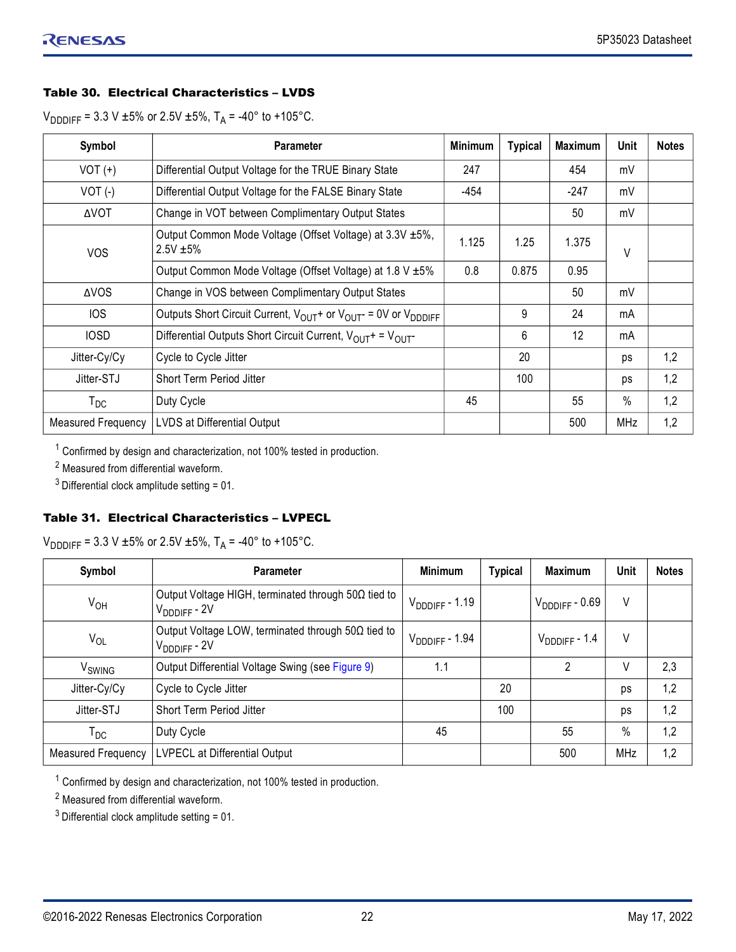## Table 30. Electrical Characteristics – LVDS

 $V_{\text{DDDIFF}}$  = 3.3 V ±5% or 2.5V ±5%, T<sub>A</sub> = -40° to +105°C.

| Symbol                    | <b>Parameter</b>                                                                                    | <b>Minimum</b> | <b>Typical</b> | <b>Maximum</b> | Unit | <b>Notes</b> |
|---------------------------|-----------------------------------------------------------------------------------------------------|----------------|----------------|----------------|------|--------------|
| $VOT (+)$                 | Differential Output Voltage for the TRUE Binary State                                               | 247            |                | 454            | mV   |              |
| $VOT$ (-)                 | Differential Output Voltage for the FALSE Binary State                                              | -454           |                | -247           | mV   |              |
| <b>AVOT</b>               | Change in VOT between Complimentary Output States                                                   |                |                | 50             | mV   |              |
| <b>VOS</b>                | Output Common Mode Voltage (Offset Voltage) at 3.3V ±5%,<br>$2.5V + 5%$                             | 1.125          | 1.25           | 1.375          | V    |              |
|                           | Output Common Mode Voltage (Offset Voltage) at 1.8 V ±5%                                            | 0.8            | 0.875          | 0.95           |      |              |
| <b>AVOS</b>               | Change in VOS between Complimentary Output States                                                   |                |                | 50             | mV   |              |
| <b>IOS</b>                | Outputs Short Circuit Current, V <sub>OUT</sub> + or V <sub>OUT</sub> - = 0V or V <sub>DDDIFF</sub> |                | 9              | 24             | mA   |              |
| <b>IOSD</b>               | Differential Outputs Short Circuit Current, $V_{OUT}$ = $V_{OUT}$                                   |                | 6              | 12             | mA   |              |
| Jitter-Cy/Cy              | Cycle to Cycle Jitter                                                                               |                | 20             |                | ps   | 1,2          |
| Jitter-STJ                | <b>Short Term Period Jitter</b>                                                                     |                | 100            |                | ps   | 1,2          |
| $T_{DC}$                  | Duty Cycle                                                                                          | 45             |                | 55             | $\%$ | 1,2          |
| <b>Measured Frequency</b> | LVDS at Differential Output                                                                         |                |                | 500            | MHz  | 1,2          |

 $1$  Confirmed by design and characterization, not 100% tested in production.

<sup>2</sup> Measured from differential waveform.

 $3$  Differential clock amplitude setting = 01.

## Table 31. Electrical Characteristics – LVPECL

 $V_{\text{DDDIFF}}$  = 3.3 V ±5% or 2.5V ±5%, T<sub>A</sub> = -40° to +105°C.

| Symbol                     | <b>Parameter</b>                                                               | <b>Minimum</b>     | <b>Typical</b> | <b>Maximum</b>            | <b>Unit</b> | <b>Notes</b> |
|----------------------------|--------------------------------------------------------------------------------|--------------------|----------------|---------------------------|-------------|--------------|
| $V_{OH}$                   | Output Voltage HIGH, terminated through 50Ω tied to<br>$V_{DDIIFF} - 2V$       | $V_{DDIFF} - 1.19$ |                | $V_{\text{DDIFF}}$ - 0.69 | V           |              |
| $V_{OL}$                   | Output Voltage LOW, terminated through $50\Omega$ tied to<br>$V_{DDIIFF} - 2V$ | $V_{DDIFF} - 1.94$ |                | $V_{DDDFF} - 1.4$         | V           |              |
| V <sub>SWING</sub>         | Output Differential Voltage Swing (see Figure 9)                               | 1.1                |                | 2                         | V           | 2,3          |
| Jitter-Cy/Cy               | Cycle to Cycle Jitter                                                          |                    | 20             |                           | ps          | 1,2          |
| Jitter-STJ                 | Short Term Period Jitter                                                       |                    | 100            |                           | ps          | 1,2          |
| $\mathsf{T}_{\mathsf{DC}}$ | Duty Cycle                                                                     | 45                 |                | 55                        | $\%$        | 1,2          |
| Measured Frequency         | LVPECL at Differential Output                                                  |                    |                | 500                       | <b>MHz</b>  | 1,2          |

 $1$  Confirmed by design and characterization, not 100% tested in production.

<sup>2</sup> Measured from differential waveform.

 $3$  Differential clock amplitude setting = 01.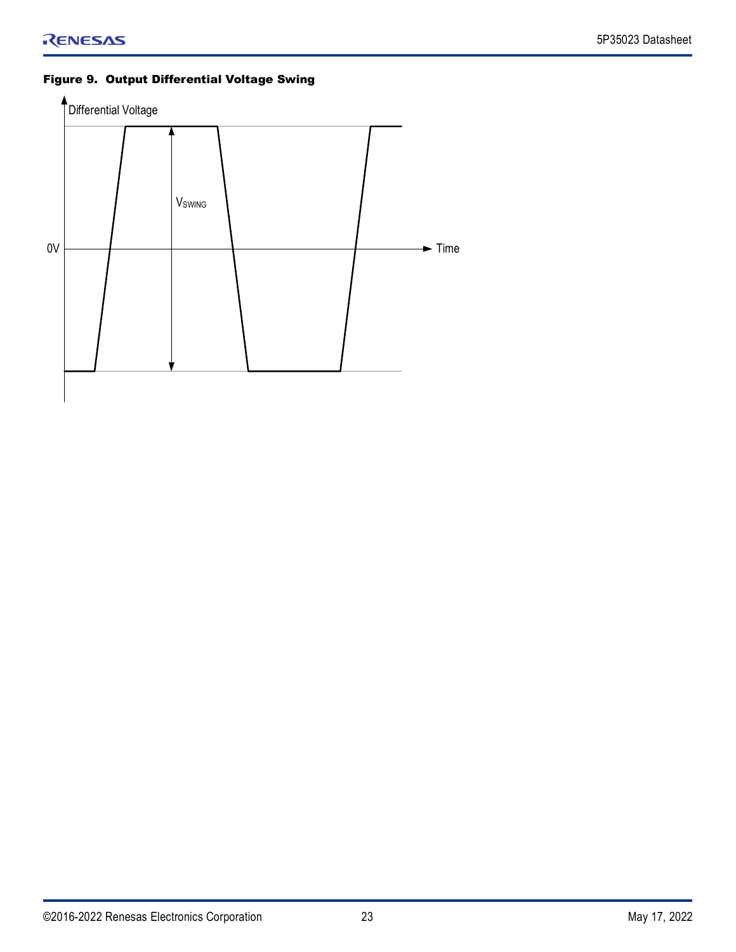## <span id="page-22-0"></span>Figure 9. Output Differential Voltage Swing

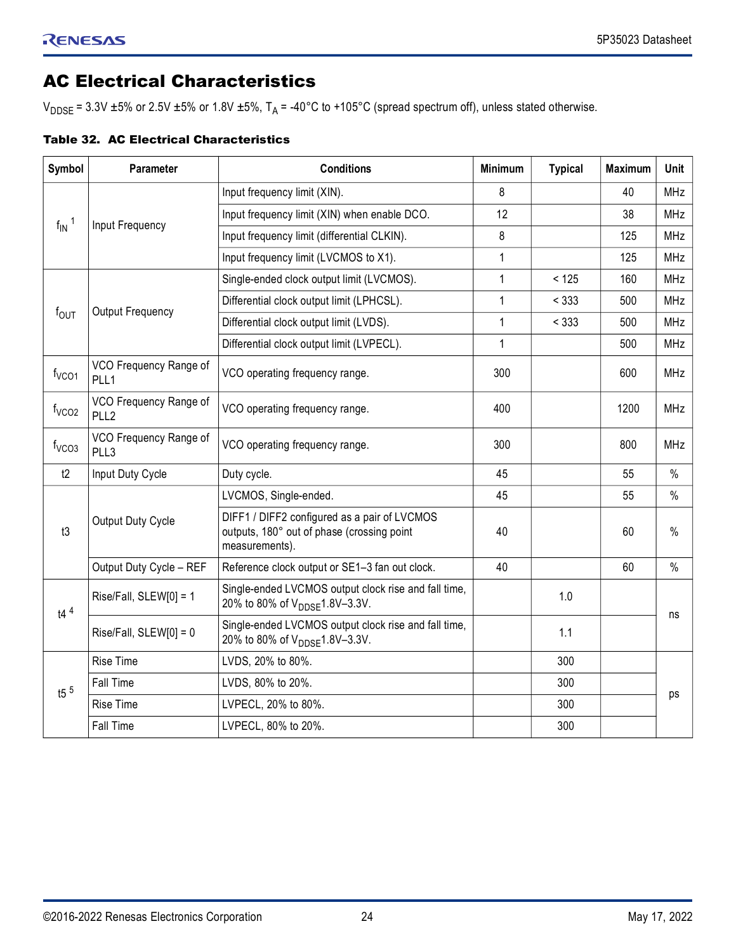## <span id="page-23-0"></span>AC Electrical Characteristics

V<sub>DDSE</sub> = 3.3V  $\pm$ 5% or 2.5V  $\pm$ 5% or 1.8V  $\pm$ 5%, T<sub>A</sub> = -40°C to +105°C (spread spectrum off), unless stated otherwise.

| <b>Table 32. AC Electrical Characteristics</b> |  |  |  |  |
|------------------------------------------------|--|--|--|--|
|------------------------------------------------|--|--|--|--|

| Symbol                | Parameter                                  | <b>Conditions</b>                                                                                            | <b>Minimum</b> | <b>Typical</b> | <b>Maximum</b> | Unit       |
|-----------------------|--------------------------------------------|--------------------------------------------------------------------------------------------------------------|----------------|----------------|----------------|------------|
|                       |                                            | Input frequency limit (XIN).                                                                                 | 8              |                | 40             | <b>MHz</b> |
|                       | Input Frequency                            | Input frequency limit (XIN) when enable DCO.                                                                 | 12             |                | 38             | <b>MHz</b> |
| $f_{IN}$ <sup>1</sup> |                                            | Input frequency limit (differential CLKIN).                                                                  | 8              |                | 125            | <b>MHz</b> |
|                       |                                            | Input frequency limit (LVCMOS to X1).                                                                        | 1              |                | 125            | MHz        |
|                       |                                            | Single-ended clock output limit (LVCMOS).                                                                    | $\mathbf{1}$   | < 125          | 160            | <b>MHz</b> |
|                       | <b>Output Frequency</b>                    | Differential clock output limit (LPHCSL).                                                                    | 1              | < 333          | 500            | <b>MHz</b> |
| $f_{\text{OUT}}$      |                                            | Differential clock output limit (LVDS).                                                                      | $\mathbf{1}$   | < 333          | 500            | <b>MHz</b> |
|                       |                                            | Differential clock output limit (LVPECL).                                                                    | $\mathbf{1}$   |                | 500            | <b>MHz</b> |
| f <sub>VCO1</sub>     | VCO Frequency Range of<br>PLL1             | VCO operating frequency range.                                                                               | 300            |                | 600            | <b>MHz</b> |
| f <sub>VCO2</sub>     | VCO Frequency Range of<br>PLL <sub>2</sub> | VCO operating frequency range.                                                                               | 400            |                | 1200           | <b>MHz</b> |
| f <sub>VCO3</sub>     | VCO Frequency Range of<br>PLL3             | VCO operating frequency range.                                                                               | 300            |                | 800            | <b>MHz</b> |
| t2                    | Input Duty Cycle                           | Duty cycle.                                                                                                  | 45             |                | 55             | $\%$       |
|                       |                                            | LVCMOS, Single-ended.                                                                                        | 45             |                | 55             | $\%$       |
| t3                    | Output Duty Cycle                          | DIFF1 / DIFF2 configured as a pair of LVCMOS<br>outputs, 180° out of phase (crossing point<br>measurements). | 40             |                | 60             | $\%$       |
|                       | Output Duty Cycle - REF                    | Reference clock output or SE1-3 fan out clock.                                                               | 40             |                | 60             | $\%$       |
| $t4^4$                | Rise/Fall, SLEW[0] = 1                     | Single-ended LVCMOS output clock rise and fall time,<br>20% to 80% of V <sub>DDSF</sub> 1.8V-3.3V.           |                | 1.0            |                |            |
|                       | Rise/Fall, SLEW[0] = 0                     | Single-ended LVCMOS output clock rise and fall time,<br>20% to 80% of V <sub>DDSF</sub> 1.8V-3.3V.           |                | 1.1            |                | ns         |
|                       | <b>Rise Time</b>                           | LVDS, 20% to 80%.                                                                                            |                | 300            |                |            |
| t5 $5$                | Fall Time                                  | LVDS, 80% to 20%.                                                                                            |                | 300            |                |            |
|                       | <b>Rise Time</b>                           | LVPECL, 20% to 80%.                                                                                          |                | 300            |                | ps         |
|                       | Fall Time                                  | LVPECL, 80% to 20%.                                                                                          |                | 300            |                |            |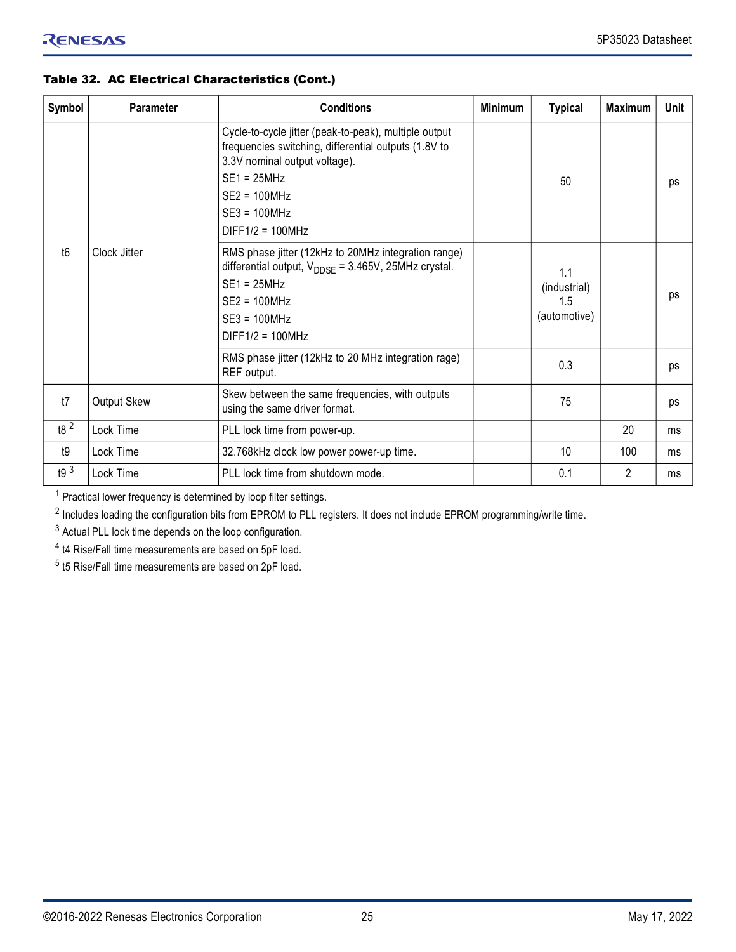## Table 32. AC Electrical Characteristics (Cont.)

| Symbol          | <b>Parameter</b> | <b>Conditions</b>                                                                                                                                                                                                           | <b>Minimum</b> | <b>Typical</b>                             | <b>Maximum</b> | <b>Unit</b> |
|-----------------|------------------|-----------------------------------------------------------------------------------------------------------------------------------------------------------------------------------------------------------------------------|----------------|--------------------------------------------|----------------|-------------|
|                 |                  | Cycle-to-cycle jitter (peak-to-peak), multiple output<br>frequencies switching, differential outputs (1.8V to<br>3.3V nominal output voltage).<br>$SE1 = 25MHz$<br>$SE2 = 100 MHz$<br>$SE3 = 100 MHz$<br>$DIFF1/2 = 100MHz$ |                | 50                                         |                | ps          |
| t <sub>6</sub>  | Clock Jitter     | RMS phase jitter (12kHz to 20MHz integration range)<br>differential output, $V_{\text{DDSE}} = 3.465V$ , 25MHz crystal.<br>$SE1 = 25MHz$<br>$SE2 = 100 MHz$<br>$SE3 = 100 MHz$<br>$DIFF1/2 = 100MHz$                        |                | 1.1<br>(industrial)<br>1.5<br>(automotive) |                | ps          |
|                 |                  | RMS phase jitter (12kHz to 20 MHz integration rage)<br>REF output.                                                                                                                                                          |                | 0.3                                        |                | ps          |
| t7              | Output Skew      | Skew between the same frequencies, with outputs<br>using the same driver format.                                                                                                                                            |                | 75                                         |                | ps          |
| t8 <sup>2</sup> | Lock Time        | PLL lock time from power-up.                                                                                                                                                                                                |                |                                            | 20             | ms          |
| t9              | Lock Time        | 32.768kHz clock low power power-up time.                                                                                                                                                                                    |                | 10                                         | 100            | ms          |
| t9 <sup>3</sup> | Lock Time        | PLL lock time from shutdown mode.                                                                                                                                                                                           |                | 0.1                                        | $\overline{2}$ | ms          |

<sup>1</sup> Practical lower frequency is determined by loop filter settings.

<sup>2</sup> Includes loading the configuration bits from EPROM to PLL registers. It does not include EPROM programming/write time.

 $3$  Actual PLL lock time depends on the loop configuration.

<sup>4</sup> t4 Rise/Fall time measurements are based on 5pF load.

<sup>5</sup> t5 Rise/Fall time measurements are based on 2pF load.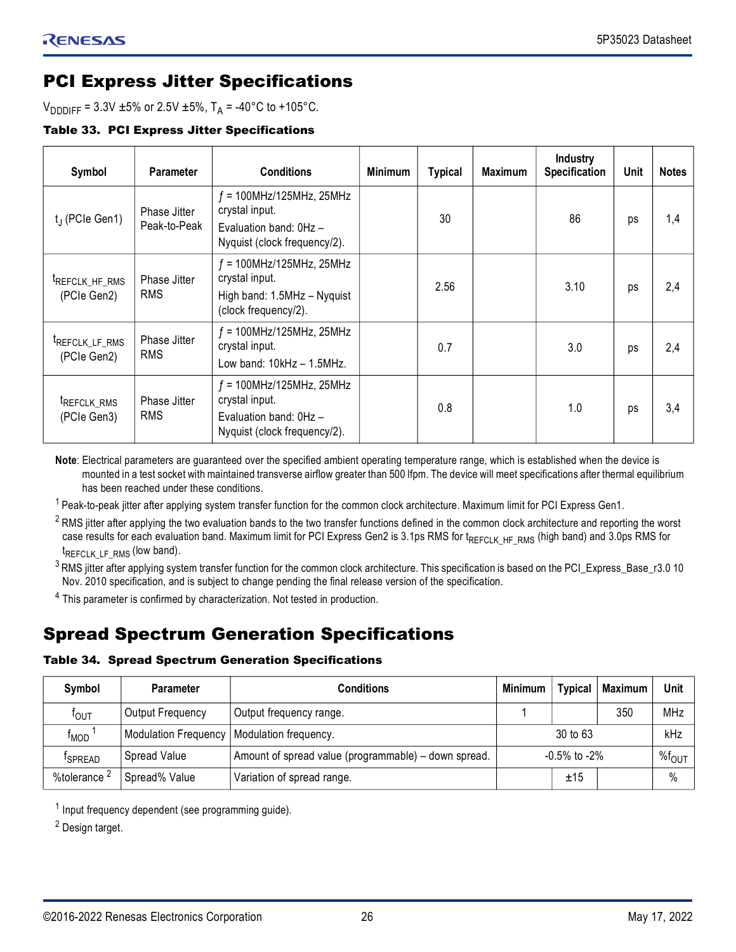## <span id="page-25-0"></span>PCI Express Jitter Specifications

 $V_{\text{DDDIFF}} = 3.3V \pm 5\% \text{ or } 2.5V \pm 5\%, T_A = -40\degree \text{C to } +105\degree \text{C}.$ 

Table 33. PCI Express Jitter Specifications

| Symbol                                    | <b>Parameter</b>                  | <b>Conditions</b>                                                                                         | <b>Minimum</b> | <b>Typical</b> | <b>Maximum</b> | <b>Industry</b><br>Specification | Unit | <b>Notes</b> |
|-------------------------------------------|-----------------------------------|-----------------------------------------------------------------------------------------------------------|----------------|----------------|----------------|----------------------------------|------|--------------|
| $t_J$ (PCIe Gen1)                         | Phase Jitter<br>Peak-to-Peak      | $f = 100$ MHz/125MHz, 25MHz<br>crystal input.<br>Evaluation band: $0Hz -$<br>Nyquist (clock frequency/2). |                | 30             |                | 86                               | ps   | 1,4          |
| <sup>t</sup> REFCLK_HF_RMS<br>(PCIe Gen2) | <b>Phase Jitter</b><br><b>RMS</b> | $f = 100$ MHz/125MHz, 25MHz<br>crystal input.<br>High band: 1.5MHz - Nyquist<br>(clock frequency/2).      |                | 2.56           |                | 3.10                             | ps   | 2,4          |
| FREFCLK_LF_RMS<br>(PCIe Gen2)             | <b>Phase Jitter</b><br><b>RMS</b> | $f = 100$ MHz/125MHz, 25MHz<br>crystal input.<br>Low band: 10kHz - 1.5MHz.                                |                | 0.7            |                | 3.0                              | ps   | 2,4          |
| TREFCLK_RMS<br>(PCIe Gen3)                | <b>Phase Jitter</b><br><b>RMS</b> | $f = 100$ MHz/125MHz, 25MHz<br>crystal input.<br>Evaluation band: 0Hz -<br>Nyquist (clock frequency/2).   |                | 0.8            |                | 1.0                              | ps   | 3,4          |

**Note**: Electrical parameters are guaranteed over the specified ambient operating temperature range, which is established when the device is mounted in a test socket with maintained transverse airflow greater than 500 lfpm. The device will meet specifications after thermal equilibrium has been reached under these conditions.

<sup>1</sup> Peak-to-peak jitter after applying system transfer function for the common clock architecture. Maximum limit for PCI Express Gen1.

<sup>2</sup> RMS jitter after applying the two evaluation bands to the two transfer functions defined in the common clock architecture and reporting the worst case results for each evaluation band. Maximum limit for PCI Express Gen2 is 3.1ps RMS for  $t_{REFC}$ <sub>K</sub>  $_{HFERMS}$  (high band) and 3.0ps RMS for t REFCLK\_LF\_RMS (low band).

<sup>3</sup> RMS jitter after applying system transfer function for the common clock architecture. This specification is based on the PCI\_Express\_Base\_r3.0 10 Nov. 2010 specification, and is subject to change pending the final release version of the specification.

<sup>4</sup> This parameter is confirmed by characterization. Not tested in production.

## <span id="page-25-1"></span>Spread Spectrum Generation Specifications

#### Table 34. Spread Spectrum Generation Specifications

| Symbol                  | <b>Parameter</b>                             | <b>Conditions</b>                                    | Minimum | <b>Typical</b>      | <b>Maximum</b> | Unit |  |
|-------------------------|----------------------------------------------|------------------------------------------------------|---------|---------------------|----------------|------|--|
| TOUT                    | Output Frequency                             | Output frequency range.                              |         | 350<br>$30$ to $63$ |                |      |  |
| <sup>T</sup> MOD        | Modulation Frequency   Modulation frequency. |                                                      |         | kHz                 |                |      |  |
| <sup>T</sup> SPREAD     | Spread Value                                 | Amount of spread value (programmable) – down spread. |         | $-0.5\%$ to $-2\%$  |                |      |  |
| %tolerance <sup>2</sup> | Spread% Value                                | Variation of spread range.                           |         | ±15                 |                | $\%$ |  |

<sup>1</sup> Input frequency dependent (see programming guide).

<sup>2</sup> Design target.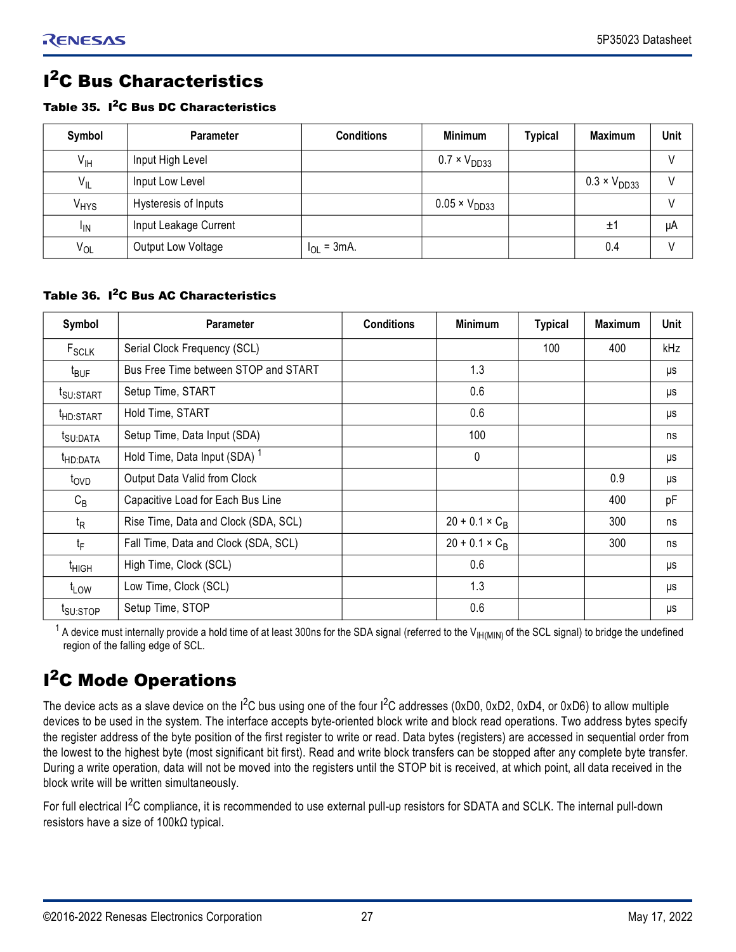## <span id="page-26-0"></span>**I<sup>2</sup>C Bus Characteristics**

#### Table 35. I 2C Bus DC Characteristics

| Symbol           | <b>Parameter</b>      | <b>Conditions</b> | <b>Minimum</b>         | <b>Typical</b> | <b>Maximum</b>        | <b>Unit</b> |
|------------------|-----------------------|-------------------|------------------------|----------------|-----------------------|-------------|
| $V_{\text{IH}}$  | Input High Level      |                   | $0.7 \times V_{DD33}$  |                |                       |             |
| $V_{IL}$         | Input Low Level       |                   |                        |                | $0.3 \times V_{DD33}$ |             |
| V <sub>HYS</sub> | Hysteresis of Inputs  |                   | $0.05 \times V_{DD33}$ |                |                       |             |
| <sup>I</sup> IN  | Input Leakage Current |                   |                        |                | ±1                    | μA          |
| $V_{OL}$         | Output Low Voltage    | $I_{OL}$ = 3mA.   |                        |                | 0.4                   |             |

## Table 36. I 2C Bus AC Characteristics

| Symbol                | <b>Parameter</b>                         | <b>Conditions</b> | <b>Minimum</b>        | <b>Typical</b> | <b>Maximum</b> | <b>Unit</b> |
|-----------------------|------------------------------------------|-------------------|-----------------------|----------------|----------------|-------------|
| $F_{SCLK}$            | Serial Clock Frequency (SCL)             |                   |                       | 100            | 400            | kHz         |
| $t_{\text{BUF}}$      | Bus Free Time between STOP and START     |                   | 1.3                   |                |                | μs          |
| <sup>t</sup> SU:START | Setup Time, START                        |                   | 0.6                   |                |                | μs          |
| HD:START              | Hold Time, START                         |                   | 0.6                   |                |                | μs          |
| t <sub>SU:DATA</sub>  | Setup Time, Data Input (SDA)             |                   | 100                   |                |                | ns          |
| <sup>t</sup> HD:DATA  | Hold Time, Data Input (SDA) <sup>1</sup> |                   | 0                     |                |                | μs          |
| t <sub>OVD</sub>      | Output Data Valid from Clock             |                   |                       |                | 0.9            | μs          |
| $C_B$                 | Capacitive Load for Each Bus Line        |                   |                       |                | 400            | pF          |
| $t_{\mathsf{R}}$      | Rise Time, Data and Clock (SDA, SCL)     |                   | $20 + 0.1 \times C_R$ |                | 300            | ns          |
| $t_F$                 | Fall Time, Data and Clock (SDA, SCL)     |                   | $20 + 0.1 \times C_R$ |                | 300            | ns          |
| <sup>t</sup> HIGH     | High Time, Clock (SCL)                   |                   | 0.6                   |                |                | μs          |
| t <sub>LOW</sub>      | Low Time, Clock (SCL)                    |                   | 1.3                   |                |                | μs          |
| t <sub>SU:STOP</sub>  | Setup Time, STOP                         |                   | 0.6                   |                |                | μs          |

 $^{\text{1}}$  A device must internally provide a hold time of at least 300ns for the SDA signal (referred to the V<sub>IH(MIN)</sub> of the SCL signal) to bridge the undefined region of the falling edge of SCL.

## <span id="page-26-1"></span>**I<sup>2</sup>C Mode Operations**

The device acts as a slave device on the  $I^2C$  bus using one of the four  $I^2C$  addresses (0xD0, 0xD2, 0xD4, or 0xD6) to allow multiple devices to be used in the system. The interface accepts byte-oriented block write and block read operations. Two address bytes specify the register address of the byte position of the first register to write or read. Data bytes (registers) are accessed in sequential order from the lowest to the highest byte (most significant bit first). Read and write block transfers can be stopped after any complete byte transfer. During a write operation, data will not be moved into the registers until the STOP bit is received, at which point, all data received in the block write will be written simultaneously.

For full electrical I<sup>2</sup>C compliance, it is recommended to use external pull-up resistors for SDATA and SCLK. The internal pull-down resistors have a size of 100kΩ typical.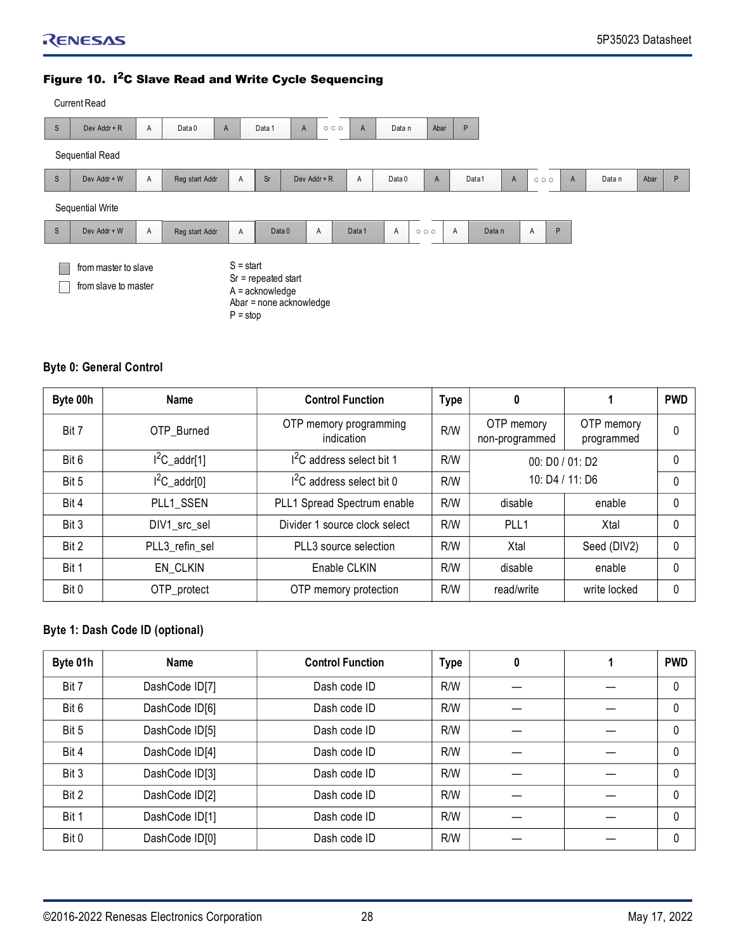#### Figure 10. I<sup>2</sup>C Slave Read and Write Cycle Sequencing

|              | <b>Current Read</b>                          |   |                |                           |                                            |                         |                                                          |        |        |             |                          |   |                   |              |        |      |   |
|--------------|----------------------------------------------|---|----------------|---------------------------|--------------------------------------------|-------------------------|----------------------------------------------------------|--------|--------|-------------|--------------------------|---|-------------------|--------------|--------|------|---|
| $\mathbb S$  | Dev Addr + R                                 | Α | Data 0         | A                         | Data 1                                     | $\mathsf{A}$            | $\begin{array}{ccc} & \circ & \circ & \circ \end{array}$ | A      | Data n | Abar        | P                        |   |                   |              |        |      |   |
|              | Sequential Read                              |   |                |                           |                                            |                         |                                                          |        |        |             |                          |   |                   |              |        |      |   |
| $\mathsf{S}$ | Dev Addr + W                                 | Α | Reg start Addr | A                         | <b>Sr</b>                                  | Dev Addr + R            |                                                          | Α      | Data 0 | A           | Data1                    | A | 000               | $\mathsf{A}$ | Data n | Abar | P |
|              | Sequential Write                             |   |                |                           |                                            |                         |                                                          |        |        |             |                          |   |                   |              |        |      |   |
| $\mathbb S$  | Dev Addr + W                                 | Α | Reg start Addr | A                         |                                            | Data 0                  | Α                                                        | Data 1 | Α      | $O$ $O$ $O$ | $\overline{A}$<br>Data n |   | $\mathsf{P}$<br>A |              |        |      |   |
|              | from master to slave<br>from slave to master |   |                | $S = start$<br>$P = stop$ | $Sr = repeated start$<br>$A =$ acknowledge | Abar = none acknowledge |                                                          |        |        |             |                          |   |                   |              |        |      |   |

## **Byte 0: General Control**

| Byte 00h | Name            | <b>Control Function</b>              | <b>Type</b> | 0                            |                          | <b>PWD</b> |
|----------|-----------------|--------------------------------------|-------------|------------------------------|--------------------------|------------|
| Bit 7    | OTP Burned      | OTP memory programming<br>indication | R/W         | OTP memory<br>non-programmed | OTP memory<br>programmed | 0          |
| Bit 6    | $I^2C$ _addr[1] | $12C$ address select bit 1           | R/W         | 00: D0 / 01: D2              |                          | 0          |
| Bit 5    | $I^2C$ _addr[0] | $12C$ address select bit 0           | R/W         | 10: D4 / 11: D6              | 0                        |            |
| Bit 4    | PLL1 SSEN       | PLL1 Spread Spectrum enable          | R/W         | disable<br>enable            |                          | 0          |
| Bit 3    | DIV1_src_sel    | Divider 1 source clock select        | R/W         | PLL <sub>1</sub>             | Xtal                     | 0          |
| Bit 2    | PLL3 refin sel  | PLL3 source selection                | R/W         | Xtal                         | Seed (DIV2)              | 0          |
| Bit 1    | EN CLKIN        | Enable CLKIN                         | R/W         | disable                      | enable                   | 0          |
| Bit 0    | OTP_protect     | OTP memory protection                | R/W         | read/write                   | write locked             | 0          |

## **Byte 1: Dash Code ID (optional)**

| Byte 01h | Name           | <b>Control Function</b> | <b>Type</b> | 0 | <b>PWD</b> |
|----------|----------------|-------------------------|-------------|---|------------|
| Bit 7    | DashCode ID[7] | Dash code ID            | R/W         |   | 0          |
| Bit 6    | DashCode ID[6] | Dash code ID            | R/W         |   | 0          |
| Bit 5    | DashCode ID[5] | Dash code ID            | R/W         |   | 0          |
| Bit 4    | DashCode ID[4] | Dash code ID            | R/W         |   | 0          |
| Bit 3    | DashCode ID[3] | Dash code ID            | R/W         |   | 0          |
| Bit 2    | DashCode ID[2] | Dash code ID            | R/W         |   | 0          |
| Bit 1    | DashCode ID[1] | Dash code ID            | R/W         |   | 0          |
| Bit 0    | DashCode ID[0] | Dash code ID            | R/W         |   | $\Omega$   |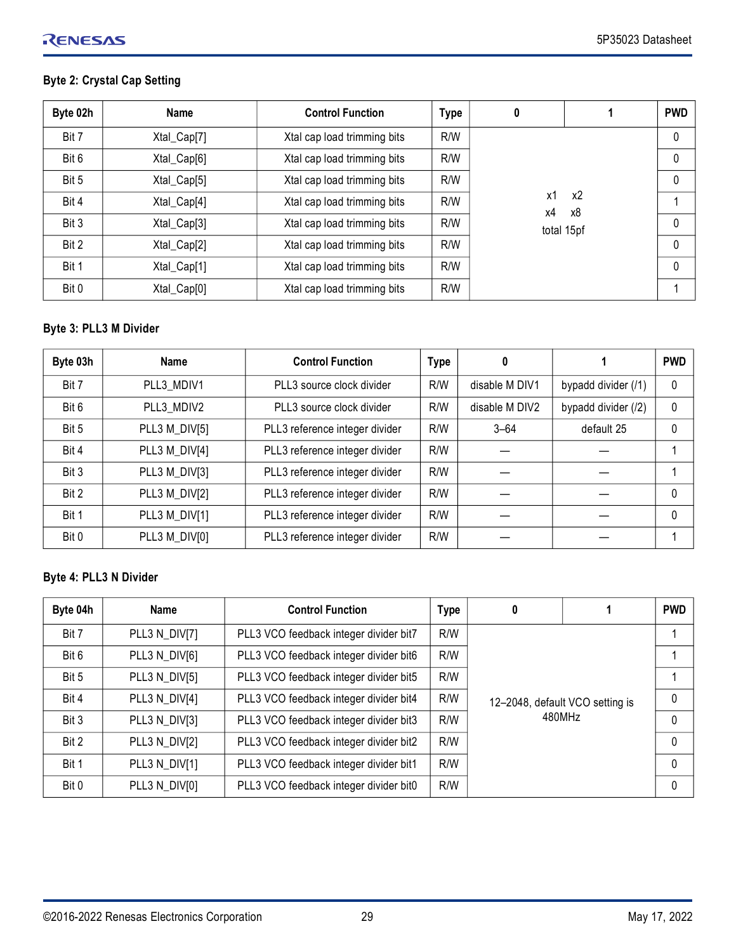## RENESAS

## **Byte 2: Crystal Cap Setting**

| Byte 02h | <b>Name</b> | <b>Control Function</b>     | <b>Type</b> | 0        |            | <b>PWD</b>   |  |  |
|----------|-------------|-----------------------------|-------------|----------|------------|--------------|--|--|
| Bit 7    | Xtal_Cap[7] | Xtal cap load trimming bits | R/W         |          |            |              |  |  |
| Bit 6    | Xtal_Cap[6] | Xtal cap load trimming bits | R/W         |          |            | 0            |  |  |
| Bit 5    | Xtal_Cap[5] | Xtal cap load trimming bits | R/W         |          |            |              |  |  |
| Bit 4    | Xtal_Cap[4] | Xtal cap load trimming bits | R/W         | x1<br>x4 | x2<br>х8   |              |  |  |
| Bit 3    | Xtal_Cap[3] | Xtal cap load trimming bits | R/W         |          | total 15pf | $\mathbf{0}$ |  |  |
| Bit 2    | Xtal_Cap[2] | Xtal cap load trimming bits | R/W         |          |            | $\Omega$     |  |  |
| Bit 1    | Xtal_Cap[1] | Xtal cap load trimming bits | R/W         |          |            | $\Omega$     |  |  |
| Bit 0    | Xtal_Cap[0] | Xtal cap load trimming bits | R/W         |          |            |              |  |  |

## **Byte 3: PLL3 M Divider**

| Byte 03h | <b>Name</b>   | <b>Control Function</b>        | <b>Type</b> | 0              |                     | <b>PWD</b> |
|----------|---------------|--------------------------------|-------------|----------------|---------------------|------------|
| Bit 7    | PLL3 MDIV1    | PLL3 source clock divider      | R/W         | disable M DIV1 | bypadd divider (/1) | $\Omega$   |
| Bit 6    | PLL3 MDIV2    | PLL3 source clock divider      | R/W         | disable M DIV2 | bypadd divider (/2) | $\Omega$   |
| Bit 5    | PLL3 M_DIV[5] | PLL3 reference integer divider | R/W         | $3 - 64$       | default 25          | 0          |
| Bit 4    | PLL3 M_DIV[4] | PLL3 reference integer divider | R/W         |                |                     |            |
| Bit 3    | PLL3 M_DIV[3] | PLL3 reference integer divider | R/W         |                |                     |            |
| Bit 2    | PLL3 M_DIV[2] | PLL3 reference integer divider | R/W         |                |                     | 0          |
| Bit 1    | PLL3 M_DIV[1] | PLL3 reference integer divider | R/W         |                |                     | $\Omega$   |
| Bit 0    | PLL3 M_DIV[0] | PLL3 reference integer divider | R/W         |                |                     |            |

## **Byte 4: PLL3 N Divider**

| Byte 04h | Name          | <b>Control Function</b>                | <b>Type</b> | 0                               |  | <b>PWD</b>   |
|----------|---------------|----------------------------------------|-------------|---------------------------------|--|--------------|
| Bit 7    | PLL3 N_DIV[7] | PLL3 VCO feedback integer divider bit7 | R/W         |                                 |  |              |
| Bit 6    | PLL3 N_DIV[6] | PLL3 VCO feedback integer divider bit6 | R/W         |                                 |  |              |
| Bit 5    | PLL3 N_DIV[5] | PLL3 VCO feedback integer divider bit5 | R/W         |                                 |  |              |
| Bit 4    | PLL3 N_DIV[4] | PLL3 VCO feedback integer divider bit4 | R/W         | 12-2048, default VCO setting is |  |              |
| Bit 3    | PLL3 N DIV[3] | PLL3 VCO feedback integer divider bit3 | R/W         | 480MHz                          |  | 0            |
| Bit 2    | PLL3 N_DIV[2] | PLL3 VCO feedback integer divider bit2 | R/W         |                                 |  | $\Omega$     |
| Bit 1    | PLL3 N_DIV[1] | PLL3 VCO feedback integer divider bit1 | R/W         |                                 |  | $\Omega$     |
| Bit 0    | PLL3 N_DIV[0] | PLL3 VCO feedback integer divider bit0 | R/W         |                                 |  | $\mathbf{0}$ |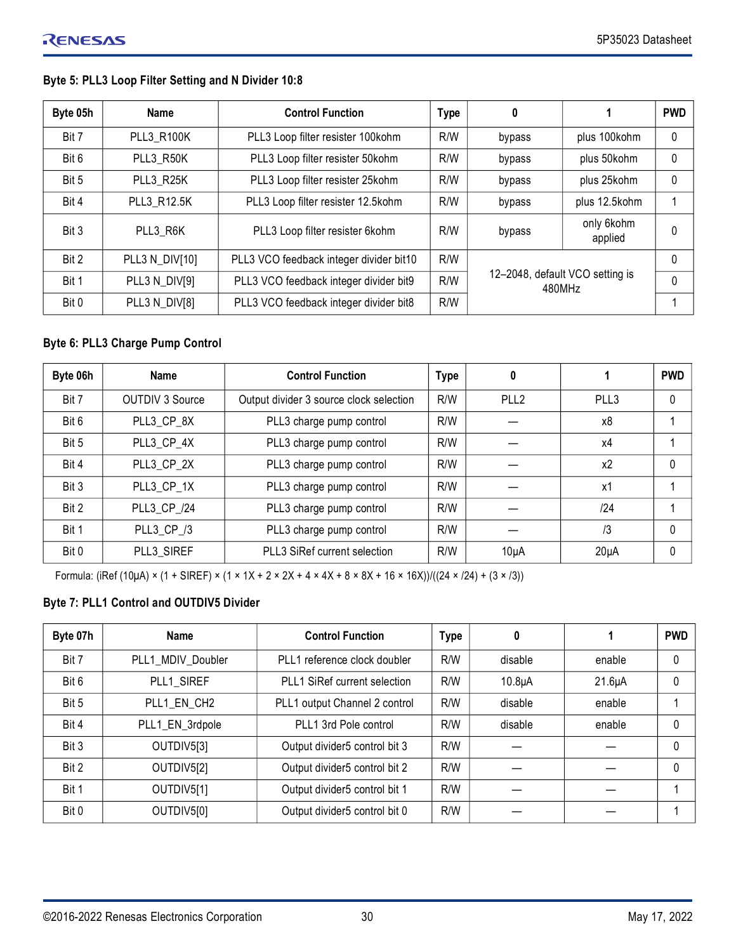## **Byte 5: PLL3 Loop Filter Setting and N Divider 10:8**

| Byte 05h | <b>Name</b>       | <b>Control Function</b>                 | <b>Type</b> | 0                                         |                       | <b>PWD</b> |
|----------|-------------------|-----------------------------------------|-------------|-------------------------------------------|-----------------------|------------|
| Bit 7    | <b>PLL3 R100K</b> | PLL3 Loop filter resister 100kohm       | R/W         | bypass                                    | plus 100kohm          | $\theta$   |
| Bit 6    | PLL3 R50K         | PLL3 Loop filter resister 50kohm        | R/W         | bypass                                    | plus 50kohm           | 0          |
| Bit 5    | PLL3 R25K         | PLL3 Loop filter resister 25kohm        | R/W         | bypass                                    | plus 25kohm           | 0          |
| Bit 4    | PLL3 R12.5K       | PLL3 Loop filter resister 12.5kohm      | R/W         | bypass                                    | plus 12.5kohm         |            |
| Bit 3    | PLL3 R6K          | PLL3 Loop filter resister 6kohm         | R/W         | bypass                                    | only 6kohm<br>applied | 0          |
| Bit 2    | PLL3 N_DIV[10]    | PLL3 VCO feedback integer divider bit10 | R/W         | 12-2048, default VCO setting is<br>480MHz |                       | $\Omega$   |
| Bit 1    | PLL3 N_DIV[9]     | PLL3 VCO feedback integer divider bit9  | R/W         |                                           |                       | 0          |
| Bit 0    | PLL3 N_DIV[8]     | PLL3 VCO feedback integer divider bit8  | R/W         |                                           |                       |            |

#### **Byte 6: PLL3 Charge Pump Control**

| Byte 06h | <b>Name</b>            | <b>Control Function</b>                 | <b>Type</b> | 0                |                | <b>PWD</b> |
|----------|------------------------|-----------------------------------------|-------------|------------------|----------------|------------|
| Bit 7    | <b>OUTDIV 3 Source</b> | Output divider 3 source clock selection | R/W         | PLL <sub>2</sub> | PLL3           | 0          |
| Bit 6    | PLL3 CP 8X             | PLL3 charge pump control                | R/W         |                  | x8             |            |
| Bit 5    | PLL3 CP 4X             | PLL3 charge pump control                | R/W         |                  | x4             |            |
| Bit 4    | PLL3 CP 2X             | PLL3 charge pump control                | R/W         |                  | x <sub>2</sub> | 0          |
| Bit 3    | PLL3 CP 1X             | PLL3 charge pump control                | R/W         |                  | x1             |            |
| Bit 2    | PLL3 CP /24            | PLL3 charge pump control                | R/W         |                  | 124            |            |
| Bit 1    | PLL3 CP /3             | PLL3 charge pump control                | R/W         |                  | /3             | 0          |
| Bit 0    | PLL3 SIREF             | PLL3 SiRef current selection            | R/W         | $10\muA$         | $20\mu A$      | 0          |

Formula: (iRef (10μA) × (1 + SIREF) × (1 × 1X + 2 × 2X + 4 × 4X + 8 × 8X + 16 × 16X))/((24 × /24) + (3 × /3))

## **Byte 7: PLL1 Control and OUTDIV5 Divider**

| Byte 07h | <b>Name</b>       | <b>Control Function</b>       | <b>Type</b> | 0                   |             | <b>PWD</b> |
|----------|-------------------|-------------------------------|-------------|---------------------|-------------|------------|
| Bit 7    | PLL1 MDIV Doubler | PLL1 reference clock doubler  | R/W         | disable             | enable      |            |
| Bit 6    | PLL1 SIREF        | PLL1 SiRef current selection  | R/W         | 10.8 <sub>µ</sub> A | $21.6\mu A$ |            |
| Bit 5    | PLL1 EN CH2       | PLL1 output Channel 2 control | R/W         | disable             | enable      |            |
| Bit 4    | PLL1_EN_3rdpole   | PLL1 3rd Pole control         | R/W         | disable             | enable      |            |
| Bit 3    | OUTDIV5[3]        | Output divider5 control bit 3 | R/W         |                     |             | 0          |
| Bit 2    | OUTDIV5[2]        | Output divider5 control bit 2 | R/W         |                     |             | 0          |
| Bit 1    | OUTDIV5[1]        | Output divider5 control bit 1 | R/W         |                     |             |            |
| Bit 0    | OUTDIV5[0]        | Output divider5 control bit 0 | R/W         |                     |             |            |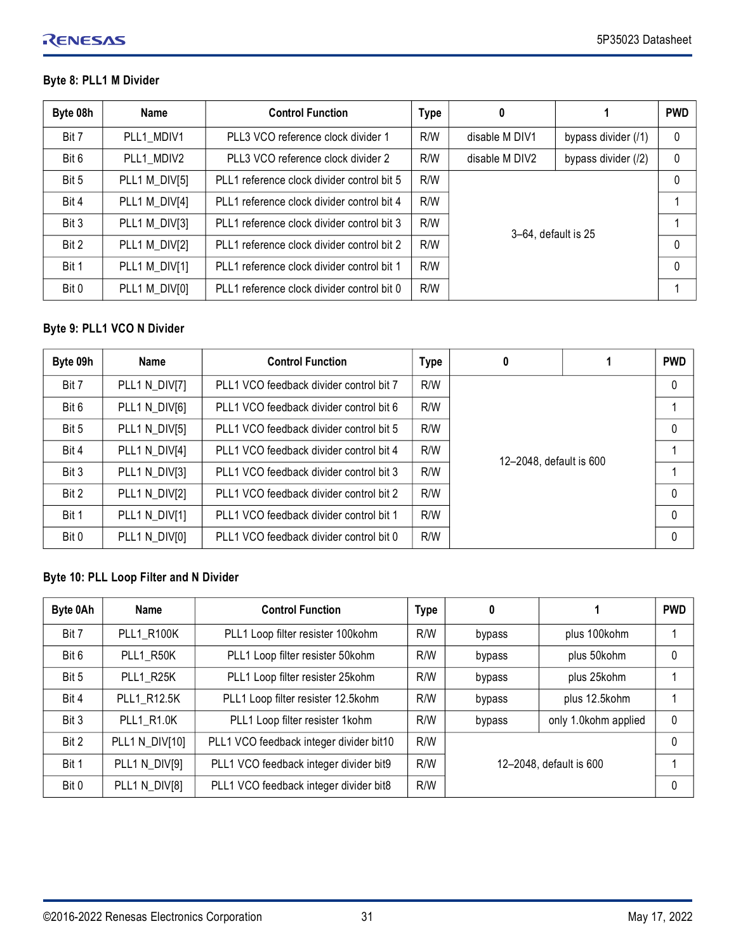## **Byte 8: PLL1 M Divider**

| Byte 08h | Name          | <b>Control Function</b>                    | <b>Type</b> | 0                   |                     | <b>PWD</b>   |
|----------|---------------|--------------------------------------------|-------------|---------------------|---------------------|--------------|
| Bit 7    | PLL1 MDIV1    | PLL3 VCO reference clock divider 1         | R/W         | disable M DIV1      | bypass divider (/1) | $\mathbf{0}$ |
| Bit 6    | PLL1 MDIV2    | PLL3 VCO reference clock divider 2         | R/W         | disable M DIV2      | bypass divider (/2) | $\mathbf{0}$ |
| Bit 5    | PLL1 M_DIV[5] | PLL1 reference clock divider control bit 5 | R/W         |                     |                     |              |
| Bit 4    | PLL1 M_DIV[4] | PLL1 reference clock divider control bit 4 | R/W         |                     |                     |              |
| Bit 3    | PLL1 M_DIV[3] | PLL1 reference clock divider control bit 3 | R/W         | 3-64, default is 25 |                     |              |
| Bit 2    | PLL1 M_DIV[2] | PLL1 reference clock divider control bit 2 | R/W         |                     |                     | $\mathbf 0$  |
| Bit 1    | PLL1 M_DIV[1] | PLL1 reference clock divider control bit 1 | R/W         |                     |                     | $\mathbf 0$  |
| Bit 0    | PLL1 M_DIV[0] | PLL1 reference clock divider control bit 0 | R/W         |                     |                     |              |

## **Byte 9: PLL1 VCO N Divider**

| Byte 09h | Name          | <b>Control Function</b>                 | <b>Type</b> | 0                       |  | <b>PWD</b>   |
|----------|---------------|-----------------------------------------|-------------|-------------------------|--|--------------|
| Bit 7    | PLL1 N_DIV[7] | PLL1 VCO feedback divider control bit 7 | R/W         | 12-2048, default is 600 |  | $\mathbf{0}$ |
| Bit 6    | PLL1 N_DIV[6] | PLL1 VCO feedback divider control bit 6 | R/W         |                         |  |              |
| Bit 5    | PLL1 N_DIV[5] | PLL1 VCO feedback divider control bit 5 | R/W         |                         |  | 0            |
| Bit 4    | PLL1 N DIV[4] | PLL1 VCO feedback divider control bit 4 | R/W         |                         |  | 1            |
| Bit 3    | PLL1 N DIV[3] | PLL1 VCO feedback divider control bit 3 | R/W         |                         |  |              |
| Bit 2    | PLL1 N DIV[2] | PLL1 VCO feedback divider control bit 2 | R/W         |                         |  | 0            |
| Bit 1    | PLL1 N DIV[1] | PLL1 VCO feedback divider control bit 1 | R/W         |                         |  | $\Omega$     |
| Bit 0    | PLL1 N_DIV[0] | PLL1 VCO feedback divider control bit 0 | R/W         |                         |  | 0            |

## **Byte 10: PLL Loop Filter and N Divider**

| Byte 0Ah | <b>Name</b>       | <b>Control Function</b>                 | <b>Type</b> | 0                       |                      | <b>PWD</b> |
|----------|-------------------|-----------------------------------------|-------------|-------------------------|----------------------|------------|
| Bit 7    | <b>PLL1 R100K</b> | PLL1 Loop filter resister 100kohm       | R/W         | bypass                  | plus 100kohm         |            |
| Bit 6    | PLL1 R50K         | PLL1 Loop filter resister 50kohm        | R/W         | bypass                  | plus 50kohm          |            |
| Bit 5    | PLL1 R25K         | PLL1 Loop filter resister 25kohm        | R/W         | bypass                  | plus 25kohm          |            |
| Bit 4    | PLL1 R12.5K       | PLL1 Loop filter resister 12.5kohm      | R/W         | bypass                  | plus 12.5kohm        |            |
| Bit 3    | <b>PLL1 R1.0K</b> | PLL1 Loop filter resister 1kohm         | R/W         | bypass                  | only 1.0kohm applied | $\Omega$   |
| Bit 2    | PLL1 N_DIV[10]    | PLL1 VCO feedback integer divider bit10 | R/W         |                         |                      | 0          |
| Bit 1    | PLL1 N_DIV[9]     | PLL1 VCO feedback integer divider bit9  | R/W         | 12-2048, default is 600 |                      |            |
| Bit 0    | PLL1 N_DIV[8]     | PLL1 VCO feedback integer divider bit8  | R/W         |                         |                      | $\Omega$   |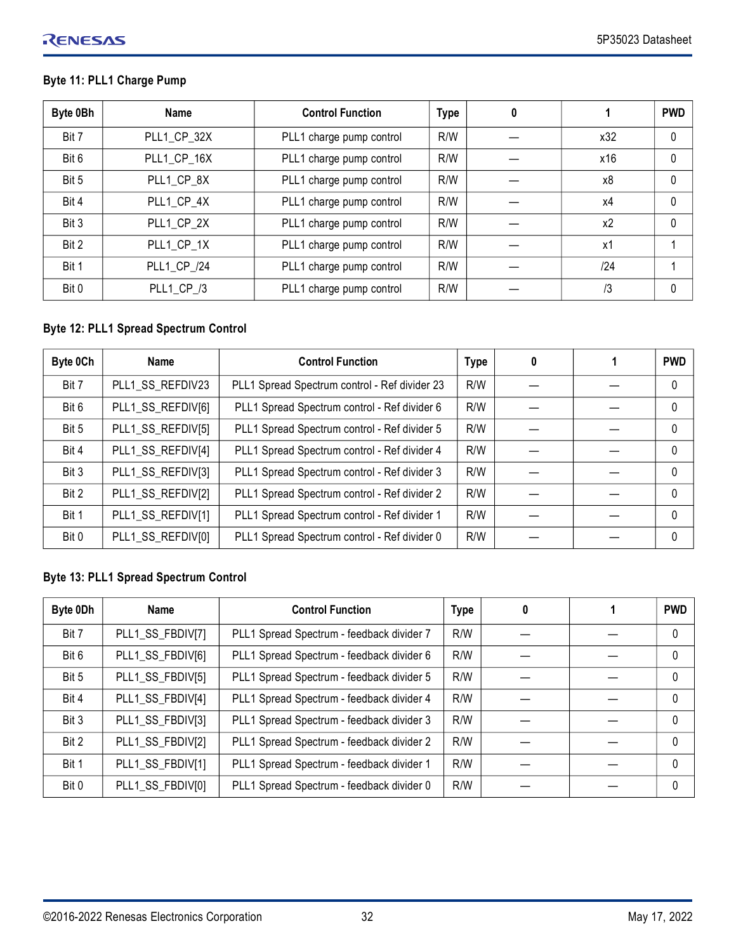## RENESAS

## **Byte 11: PLL1 Charge Pump**

| Byte 0Bh | Name        | <b>Control Function</b>  | <b>Type</b> | 0 |     | <b>PWD</b> |
|----------|-------------|--------------------------|-------------|---|-----|------------|
| Bit 7    | PLL1_CP_32X | PLL1 charge pump control | R/W         |   | x32 | 0          |
| Bit 6    | PLL1_CP_16X | PLL1 charge pump control | R/W         |   | x16 | $\Omega$   |
| Bit 5    | PLL1 CP 8X  | PLL1 charge pump control | R/W         |   | х8  | $\Omega$   |
| Bit 4    | PLL1 CP 4X  | PLL1 charge pump control | R/W         |   | x4  | $\Omega$   |
| Bit 3    | PLL1 CP 2X  | PLL1 charge pump control | R/W         |   | x2  | $\Omega$   |
| Bit 2    | PLL1 CP 1X  | PLL1 charge pump control | R/W         |   | x1  |            |
| Bit 1    | PLL1 CP /24 | PLL1 charge pump control | R/W         |   | /24 |            |
| Bit 0    | PLL1_CP_/3  | PLL1 charge pump control | R/W         |   | /3  | $\Omega$   |

## **Byte 12: PLL1 Spread Spectrum Control**

| Byte 0Ch | <b>Name</b>       | <b>Control Function</b>                       | <b>Type</b> | 0 | <b>PWD</b> |
|----------|-------------------|-----------------------------------------------|-------------|---|------------|
| Bit 7    | PLL1 SS REFDIV23  | PLL1 Spread Spectrum control - Ref divider 23 | R/W         |   |            |
| Bit 6    | PLL1_SS_REFDIV[6] | PLL1 Spread Spectrum control - Ref divider 6  | R/W         |   | 0          |
| Bit 5    | PLL1_SS_REFDIV[5] | PLL1 Spread Spectrum control - Ref divider 5  | R/W         |   | 0          |
| Bit 4    | PLL1_SS_REFDIV[4] | PLL1 Spread Spectrum control - Ref divider 4  | R/W         |   | $\Omega$   |
| Bit 3    | PLL1_SS_REFDIV[3] | PLL1 Spread Spectrum control - Ref divider 3  | R/W         |   | $\Omega$   |
| Bit 2    | PLL1_SS_REFDIV[2] | PLL1 Spread Spectrum control - Ref divider 2  | R/W         |   | $\Omega$   |
| Bit 1    | PLL1_SS_REFDIV[1] | PLL1 Spread Spectrum control - Ref divider 1  | R/W         |   | $\Omega$   |
| Bit 0    | PLL1_SS_REFDIV[0] | PLL1 Spread Spectrum control - Ref divider 0  | R/W         |   | 0          |

## **Byte 13: PLL1 Spread Spectrum Control**

| Byte 0Dh | Name             | <b>Control Function</b>                   | <b>Type</b> | 0 | <b>PWD</b> |
|----------|------------------|-------------------------------------------|-------------|---|------------|
| Bit 7    | PLL1_SS_FBDIV[7] | PLL1 Spread Spectrum - feedback divider 7 | R/W         |   | $\Omega$   |
| Bit 6    | PLL1_SS_FBDIV[6] | PLL1 Spread Spectrum - feedback divider 6 | R/W         |   | $\Omega$   |
| Bit 5    | PLL1_SS_FBDIV[5] | PLL1 Spread Spectrum - feedback divider 5 | R/W         |   | $\Omega$   |
| Bit 4    | PLL1_SS_FBDIV[4] | PLL1 Spread Spectrum - feedback divider 4 | R/W         |   | $\Omega$   |
| Bit 3    | PLL1_SS_FBDIV[3] | PLL1 Spread Spectrum - feedback divider 3 | R/W         |   | $\Omega$   |
| Bit 2    | PLL1_SS_FBDIV[2] | PLL1 Spread Spectrum - feedback divider 2 | R/W         |   | $\Omega$   |
| Bit 1    | PLL1_SS_FBDIV[1] | PLL1 Spread Spectrum - feedback divider 1 | R/W         |   | $\Omega$   |
| Bit 0    | PLL1_SS_FBDIV[0] | PLL1 Spread Spectrum - feedback divider 0 | R/W         |   | $\Omega$   |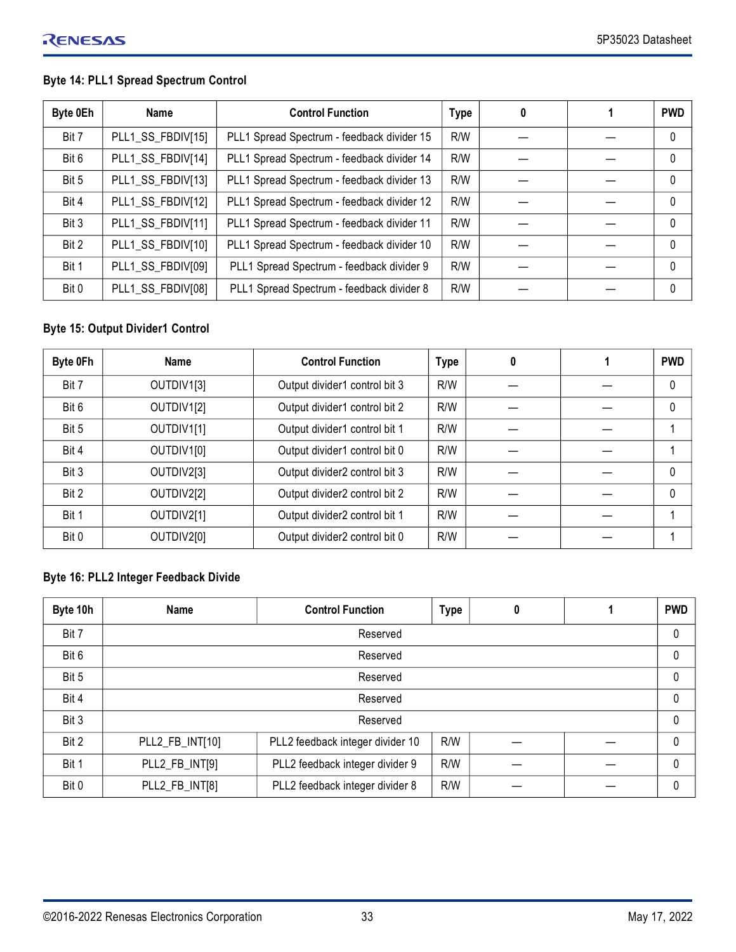## **Byte 14: PLL1 Spread Spectrum Control**

| Byte 0Eh | Name              | <b>Control Function</b>                    | <b>Type</b> | 0 | <b>PWD</b> |
|----------|-------------------|--------------------------------------------|-------------|---|------------|
| Bit 7    | PLL1_SS_FBDIV[15] | PLL1 Spread Spectrum - feedback divider 15 | R/W         |   | $\Omega$   |
| Bit 6    | PLL1_SS_FBDIV[14] | PLL1 Spread Spectrum - feedback divider 14 | R/W         |   | $\Omega$   |
| Bit 5    | PLL1_SS_FBDIV[13] | PLL1 Spread Spectrum - feedback divider 13 | R/W         |   | $\Omega$   |
| Bit 4    | PLL1_SS_FBDIV[12] | PLL1 Spread Spectrum - feedback divider 12 | R/W         |   | $\Omega$   |
| Bit 3    | PLL1_SS_FBDIV[11] | PLL1 Spread Spectrum - feedback divider 11 | R/W         |   | $\Omega$   |
| Bit 2    | PLL1_SS_FBDIV[10] | PLL1 Spread Spectrum - feedback divider 10 | R/W         |   | $\Omega$   |
| Bit 1    | PLL1_SS_FBDIV[09] | PLL1 Spread Spectrum - feedback divider 9  | R/W         |   | $\Omega$   |
| Bit 0    | PLL1_SS_FBDIV[08] | PLL1 Spread Spectrum - feedback divider 8  | R/W         |   | $\Omega$   |

## **Byte 15: Output Divider1 Control**

| Byte 0Fh | <b>Name</b> | <b>Control Function</b>       | <b>Type</b> | 0 | <b>PWD</b> |
|----------|-------------|-------------------------------|-------------|---|------------|
| Bit 7    | OUTDIV1[3]  | Output divider1 control bit 3 | R/W         |   | 0          |
| Bit 6    | OUTDIV1[2]  | Output divider1 control bit 2 | R/W         |   | $\Omega$   |
| Bit 5    | OUTDIV1[1]  | Output divider1 control bit 1 | R/W         |   |            |
| Bit 4    | OUTDIV1[0]  | Output divider1 control bit 0 | R/W         |   |            |
| Bit 3    | OUTDIV2[3]  | Output divider2 control bit 3 | R/W         |   | $\Omega$   |
| Bit 2    | OUTDIV2[2]  | Output divider2 control bit 2 | R/W         |   | $\Omega$   |
| Bit 1    | OUTDIV2[1]  | Output divider2 control bit 1 | R/W         |   |            |
| Bit 0    | OUTDIV2[0]  | Output divider2 control bit 0 | R/W         |   |            |

## **Byte 16: PLL2 Integer Feedback Divide**

| Byte 10h | <b>Name</b>     | <b>Control Function</b>          | <b>Type</b> | 0 |  | <b>PWD</b> |
|----------|-----------------|----------------------------------|-------------|---|--|------------|
| Bit 7    | Reserved        |                                  |             |   |  |            |
| Bit 6    | Reserved        |                                  |             |   |  |            |
| Bit 5    | Reserved        |                                  |             |   |  |            |
| Bit 4    | Reserved        |                                  |             |   |  |            |
| Bit 3    |                 | Reserved                         |             |   |  | $\Omega$   |
| Bit 2    | PLL2_FB_INT[10] | PLL2 feedback integer divider 10 | R/W         |   |  | $\Omega$   |
| Bit 1    | PLL2_FB_INT[9]  | PLL2 feedback integer divider 9  | R/W         |   |  | $\Omega$   |
| Bit 0    | PLL2_FB_INT[8]  | PLL2 feedback integer divider 8  | R/W         |   |  | $\Omega$   |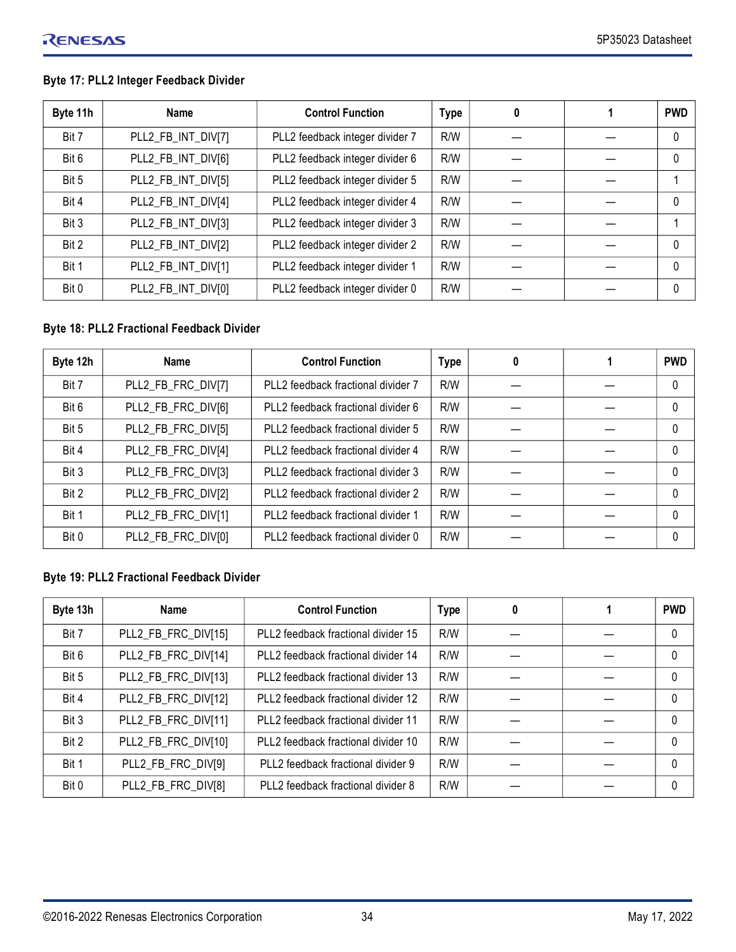## **Byte 17: PLL2 Integer Feedback Divider**

| Byte 11h | Name               | <b>Control Function</b>         | <b>Type</b> | 0 | <b>PWD</b> |
|----------|--------------------|---------------------------------|-------------|---|------------|
| Bit 7    | PLL2_FB_INT_DIV[7] | PLL2 feedback integer divider 7 | R/W         |   | $\Omega$   |
| Bit 6    | PLL2_FB_INT_DIV[6] | PLL2 feedback integer divider 6 | R/W         |   | $\Omega$   |
| Bit 5    | PLL2_FB_INT_DIV[5] | PLL2 feedback integer divider 5 | R/W         |   |            |
| Bit 4    | PLL2_FB_INT_DIV[4] | PLL2 feedback integer divider 4 | R/W         |   | $\Omega$   |
| Bit 3    | PLL2_FB_INT_DIV[3] | PLL2 feedback integer divider 3 | R/W         |   |            |
| Bit 2    | PLL2_FB_INT_DIV[2] | PLL2 feedback integer divider 2 | R/W         |   | $\Omega$   |
| Bit 1    | PLL2_FB_INT_DIV[1] | PLL2 feedback integer divider 1 | R/W         |   | $\Omega$   |
| Bit 0    | PLL2_FB_INT_DIV[0] | PLL2 feedback integer divider 0 | R/W         |   | $\Omega$   |

## **Byte 18: PLL2 Fractional Feedback Divider**

| Byte 12h | Name               | <b>Control Function</b>            | <b>Type</b> | 0 | <b>PWD</b> |
|----------|--------------------|------------------------------------|-------------|---|------------|
| Bit 7    | PLL2_FB_FRC_DIV[7] | PLL2 feedback fractional divider 7 | R/W         |   | 0          |
| Bit 6    | PLL2_FB_FRC_DIV[6] | PLL2 feedback fractional divider 6 | R/W         |   | $\Omega$   |
| Bit 5    | PLL2_FB_FRC_DIV[5] | PLL2 feedback fractional divider 5 | R/W         |   | $\Omega$   |
| Bit 4    | PLL2_FB_FRC_DIV[4] | PLL2 feedback fractional divider 4 | R/W         |   | $\Omega$   |
| Bit 3    | PLL2_FB_FRC_DIV[3] | PLL2 feedback fractional divider 3 | R/W         |   | $\Omega$   |
| Bit 2    | PLL2_FB_FRC_DIV[2] | PLL2 feedback fractional divider 2 | R/W         |   | $\Omega$   |
| Bit 1    | PLL2_FB_FRC_DIV[1] | PLL2 feedback fractional divider 1 | R/W         |   | $\Omega$   |
| Bit 0    | PLL2_FB_FRC_DIV[0] | PLL2 feedback fractional divider 0 | R/W         |   | $\Omega$   |

## **Byte 19: PLL2 Fractional Feedback Divider**

| Byte 13h | <b>Name</b>         | <b>Control Function</b>             | <b>Type</b> | 0 | <b>PWD</b> |
|----------|---------------------|-------------------------------------|-------------|---|------------|
| Bit 7    | PLL2_FB_FRC_DIV[15] | PLL2 feedback fractional divider 15 | R/W         |   | $\Omega$   |
| Bit 6    | PLL2_FB_FRC_DIV[14] | PLL2 feedback fractional divider 14 | R/W         |   | $\Omega$   |
| Bit 5    | PLL2_FB_FRC_DIV[13] | PLL2 feedback fractional divider 13 | R/W         |   | $\Omega$   |
| Bit 4    | PLL2_FB_FRC_DIV[12] | PLL2 feedback fractional divider 12 | R/W         |   | $\Omega$   |
| Bit 3    | PLL2_FB_FRC_DIV[11] | PLL2 feedback fractional divider 11 | R/W         |   | $\Omega$   |
| Bit 2    | PLL2_FB_FRC_DIV[10] | PLL2 feedback fractional divider 10 | R/W         |   | $\Omega$   |
| Bit 1    | PLL2_FB_FRC_DIV[9]  | PLL2 feedback fractional divider 9  | R/W         |   | $\Omega$   |
| Bit 0    | PLL2_FB_FRC_DIV[8]  | PLL2 feedback fractional divider 8  | R/W         |   | $\Omega$   |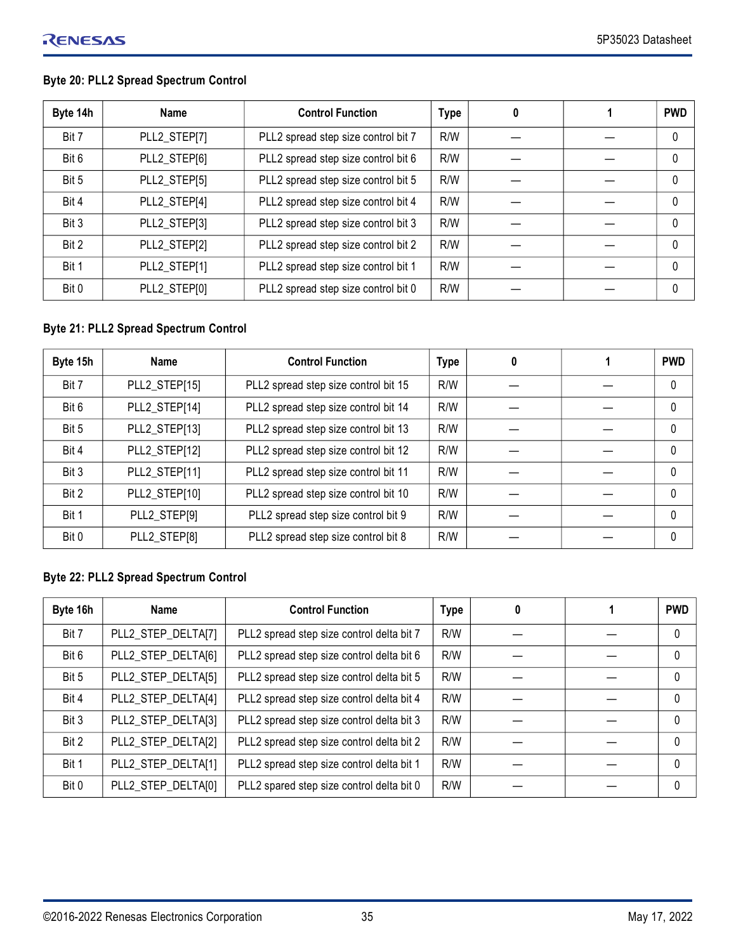## **Byte 20: PLL2 Spread Spectrum Control**

| Byte 14h | <b>Name</b>  | <b>Control Function</b>             | <b>Type</b> | 0 | <b>PWD</b>   |
|----------|--------------|-------------------------------------|-------------|---|--------------|
| Bit 7    | PLL2_STEP[7] | PLL2 spread step size control bit 7 | R/W         |   | $\mathbf{0}$ |
| Bit 6    | PLL2_STEP[6] | PLL2 spread step size control bit 6 | R/W         |   | $\mathbf{0}$ |
| Bit 5    | PLL2_STEP[5] | PLL2 spread step size control bit 5 | R/W         |   | $\mathbf{0}$ |
| Bit 4    | PLL2_STEP[4] | PLL2 spread step size control bit 4 | R/W         |   | $\mathbf{0}$ |
| Bit 3    | PLL2_STEP[3] | PLL2 spread step size control bit 3 | R/W         |   | $\mathbf{0}$ |
| Bit 2    | PLL2_STEP[2] | PLL2 spread step size control bit 2 | R/W         |   | 0            |
| Bit 1    | PLL2_STEP[1] | PLL2 spread step size control bit 1 | R/W         |   | 0            |
| Bit 0    | PLL2_STEP[0] | PLL2 spread step size control bit 0 | R/W         |   | 0            |

## **Byte 21: PLL2 Spread Spectrum Control**

| Byte 15h | Name          | <b>Control Function</b>              | <b>Type</b> | 0 | <b>PWD</b> |
|----------|---------------|--------------------------------------|-------------|---|------------|
| Bit 7    | PLL2_STEP[15] | PLL2 spread step size control bit 15 | R/W         |   | $\Omega$   |
| Bit 6    | PLL2 STEP[14] | PLL2 spread step size control bit 14 | R/W         |   | $\Omega$   |
| Bit 5    | PLL2_STEP[13] | PLL2 spread step size control bit 13 | R/W         |   | $\Omega$   |
| Bit 4    | PLL2_STEP[12] | PLL2 spread step size control bit 12 | R/W         |   | $\Omega$   |
| Bit 3    | PLL2_STEP[11] | PLL2 spread step size control bit 11 | R/W         |   | $\Omega$   |
| Bit 2    | PLL2_STEP[10] | PLL2 spread step size control bit 10 | R/W         |   | $\Omega$   |
| Bit 1    | PLL2_STEP[9]  | PLL2 spread step size control bit 9  | R/W         |   | $\Omega$   |
| Bit 0    | PLL2_STEP[8]  | PLL2 spread step size control bit 8  | R/W         |   | $\Omega$   |

## **Byte 22: PLL2 Spread Spectrum Control**

| Byte 16h | Name               | <b>Control Function</b>                   | <b>Type</b> | 0 | <b>PWD</b> |
|----------|--------------------|-------------------------------------------|-------------|---|------------|
| Bit 7    | PLL2_STEP_DELTA[7] | PLL2 spread step size control delta bit 7 | R/W         |   | $\Omega$   |
| Bit 6    | PLL2_STEP_DELTA[6] | PLL2 spread step size control delta bit 6 | R/W         |   | $\Omega$   |
| Bit 5    | PLL2_STEP_DELTA[5] | PLL2 spread step size control delta bit 5 | R/W         |   | $\Omega$   |
| Bit 4    | PLL2_STEP_DELTA[4] | PLL2 spread step size control delta bit 4 | R/W         |   | $\Omega$   |
| Bit 3    | PLL2_STEP_DELTA[3] | PLL2 spread step size control delta bit 3 | R/W         |   | $\Omega$   |
| Bit 2    | PLL2_STEP_DELTA[2] | PLL2 spread step size control delta bit 2 | R/W         |   | $\Omega$   |
| Bit 1    | PLL2_STEP_DELTA[1] | PLL2 spread step size control delta bit 1 | R/W         |   | $\Omega$   |
| Bit 0    | PLL2_STEP_DELTA[0] | PLL2 spared step size control delta bit 0 | R/W         |   | $\theta$   |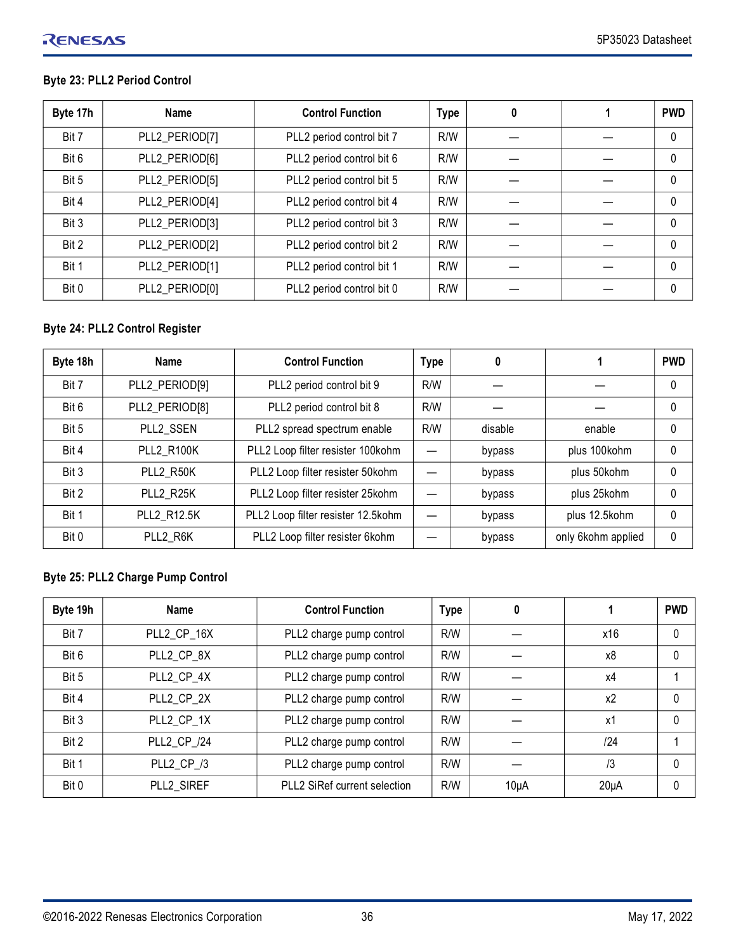## **Byte 23: PLL2 Period Control**

| Byte 17h | Name           | <b>Control Function</b>   | <b>Type</b> | 0 | <b>PWD</b> |
|----------|----------------|---------------------------|-------------|---|------------|
| Bit 7    | PLL2_PERIOD[7] | PLL2 period control bit 7 | R/W         |   | 0          |
| Bit 6    | PLL2_PERIOD[6] | PLL2 period control bit 6 | R/W         |   | 0          |
| Bit 5    | PLL2_PERIOD[5] | PLL2 period control bit 5 | R/W         |   | $\theta$   |
| Bit 4    | PLL2_PERIOD[4] | PLL2 period control bit 4 | R/W         |   | $\Omega$   |
| Bit 3    | PLL2_PERIOD[3] | PLL2 period control bit 3 | R/W         |   | $\Omega$   |
| Bit 2    | PLL2_PERIOD[2] | PLL2 period control bit 2 | R/W         |   | $\Omega$   |
| Bit 1    | PLL2_PERIOD[1] | PLL2 period control bit 1 | R/W         |   | $\theta$   |
| Bit 0    | PLL2_PERIOD[0] | PLL2 period control bit 0 | R/W         |   | 0          |

## **Byte 24: PLL2 Control Register**

| Byte 18h | Name              | <b>Control Function</b>            | <b>Type</b> | 0       |                    | <b>PWD</b> |
|----------|-------------------|------------------------------------|-------------|---------|--------------------|------------|
| Bit 7    | PLL2_PERIOD[9]    | PLL2 period control bit 9          | R/W         |         |                    | 0          |
| Bit 6    | PLL2_PERIOD[8]    | PLL2 period control bit 8          | R/W         |         |                    | 0          |
| Bit 5    | PLL2 SSEN         | PLL2 spread spectrum enable        | R/W         | disable | enable             | 0          |
| Bit 4    | <b>PLL2 R100K</b> | PLL2 Loop filter resister 100kohm  |             | bypass  | plus 100kohm       | 0          |
| Bit 3    | PLL2 R50K         | PLL2 Loop filter resister 50kohm   |             | bypass  | plus 50kohm        | $\Omega$   |
| Bit 2    | PLL2 R25K         | PLL2 Loop filter resister 25kohm   |             | bypass  | plus 25kohm        | $\Omega$   |
| Bit 1    | PLL2 R12.5K       | PLL2 Loop filter resister 12.5kohm |             | bypass  | plus 12.5kohm      | $\Omega$   |
| Bit 0    | PLL2 R6K          | PLL2 Loop filter resister 6kohm    |             | bypass  | only 6kohm applied | $\Omega$   |

## **Byte 25: PLL2 Charge Pump Control**

| Byte 19h | <b>Name</b> | <b>Control Function</b>      | <b>Type</b> | 0        |           | <b>PWD</b> |
|----------|-------------|------------------------------|-------------|----------|-----------|------------|
| Bit 7    | PLL2 CP 16X | PLL2 charge pump control     | R/W         |          | x16       | 0          |
| Bit 6    | PLL2 CP 8X  | PLL2 charge pump control     | R/W         |          | x8        | 0          |
| Bit 5    | PLL2 CP 4X  | PLL2 charge pump control     | R/W         |          | x4        |            |
| Bit 4    | PLL2 CP 2X  | PLL2 charge pump control     | R/W         |          | x2        | $\Omega$   |
| Bit 3    | PLL2_CP_1X  | PLL2 charge pump control     | R/W         |          | х1        | 0          |
| Bit 2    | PLL2_CP_/24 | PLL2 charge pump control     | R/W         |          | 124       |            |
| Bit 1    | PLL2 CP /3  | PLL2 charge pump control     | R/W         |          | /3        | 0          |
| Bit 0    | PLL2 SIREF  | PLL2 SiRef current selection | R/W         | $10\muA$ | $20\mu A$ |            |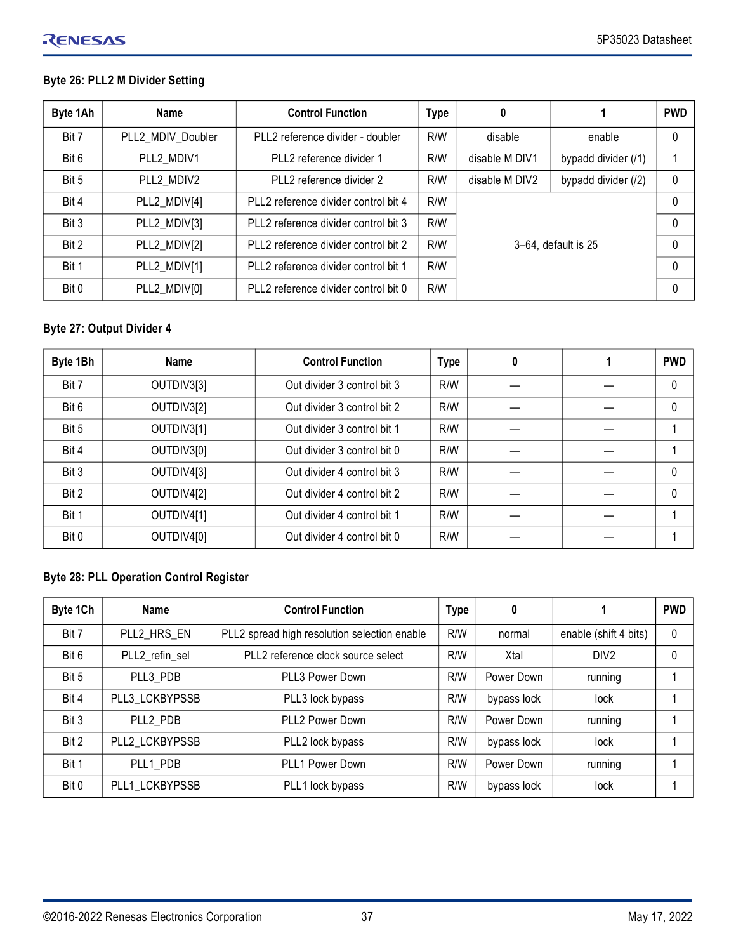## **Byte 26: PLL2 M Divider Setting**

| Byte 1Ah | Name              | <b>Control Function</b>              | <b>Type</b> | 0              |                     | <b>PWD</b> |
|----------|-------------------|--------------------------------------|-------------|----------------|---------------------|------------|
| Bit 7    | PLL2 MDIV Doubler | PLL2 reference divider - doubler     | R/W         | disable        | enable              | 0          |
| Bit 6    | PLL2 MDIV1        | PLL2 reference divider 1             | R/W         | disable M DIV1 | bypadd divider (/1) |            |
| Bit 5    | PLL2 MDIV2        | PLL2 reference divider 2             | R/W         | disable M DIV2 | bypadd divider (/2) | 0          |
| Bit 4    | PLL2_MDIV[4]      | PLL2 reference divider control bit 4 | R/W         |                |                     | 0          |
| Bit 3    | PLL2_MDIV[3]      | PLL2 reference divider control bit 3 | R/W         |                |                     | $\Omega$   |
| Bit 2    | PLL2_MDIV[2]      | PLL2 reference divider control bit 2 | R/W         |                | 3-64, default is 25 | $\Omega$   |
| Bit 1    | PLL2_MDIV[1]      | PLL2 reference divider control bit 1 | R/W         |                |                     | $\Omega$   |
| Bit 0    | PLL2_MDIV[0]      | PLL2 reference divider control bit 0 | R/W         |                |                     | $\Omega$   |

## **Byte 27: Output Divider 4**

| Byte 1Bh | Name       | <b>Control Function</b>     | <b>Type</b> | 0 | <b>PWD</b> |
|----------|------------|-----------------------------|-------------|---|------------|
| Bit 7    | OUTDIV3[3] | Out divider 3 control bit 3 | R/W         |   | $\Omega$   |
| Bit 6    | OUTDIV3[2] | Out divider 3 control bit 2 | R/W         |   | $\Omega$   |
| Bit 5    | OUTDIV3[1] | Out divider 3 control bit 1 | R/W         |   |            |
| Bit 4    | OUTDIV3[0] | Out divider 3 control bit 0 | R/W         |   |            |
| Bit 3    | OUTDIV4[3] | Out divider 4 control bit 3 | R/W         |   | $\Omega$   |
| Bit 2    | OUTDIV4[2] | Out divider 4 control bit 2 | R/W         |   | $\Omega$   |
| Bit 1    | OUTDIV4[1] | Out divider 4 control bit 1 | R/W         |   |            |
| Bit 0    | OUTDIV4[0] | Out divider 4 control bit 0 | R/W         |   |            |

## **Byte 28: PLL Operation Control Register**

| Byte 1Ch | <b>Name</b>    | <b>Control Function</b>                      | <b>Type</b> | 0           |                       | <b>PWD</b> |
|----------|----------------|----------------------------------------------|-------------|-------------|-----------------------|------------|
| Bit 7    | PLL2 HRS EN    | PLL2 spread high resolution selection enable | R/W         | normal      | enable (shift 4 bits) | 0          |
| Bit 6    | PLL2 refin sel | PLL2 reference clock source select           | R/W         | Xtal        | DIV <sub>2</sub>      | 0          |
| Bit 5    | PLL3 PDB       | PLL3 Power Down                              | R/W         | Power Down  | running               |            |
| Bit 4    | PLL3 LCKBYPSSB | PLL3 lock bypass                             | R/W         | bypass lock | lock                  |            |
| Bit 3    | PLL2 PDB       | PLL2 Power Down                              | R/W         | Power Down  | running               |            |
| Bit 2    | PLL2 LCKBYPSSB | PLL2 lock bypass                             | R/W         | bypass lock | lock                  |            |
| Bit 1    | PLL1 PDB       | PLL1 Power Down                              | R/W         | Power Down  | running               |            |
| Bit 0    | PLL1 LCKBYPSSB | PLL1 lock bypass                             | R/W         | bypass lock | lock                  |            |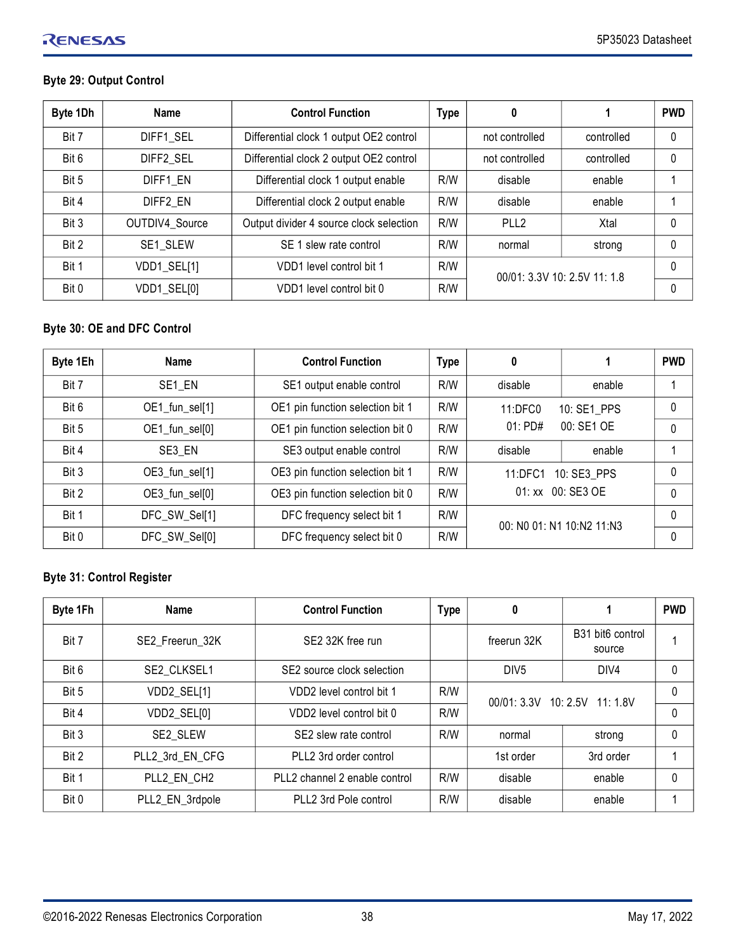## **Byte 29: Output Control**

| Byte 1Dh | <b>Name</b>    | <b>Control Function</b>                 | <b>Type</b> | 0                            |            | <b>PWD</b> |
|----------|----------------|-----------------------------------------|-------------|------------------------------|------------|------------|
| Bit 7    | DIFF1 SEL      | Differential clock 1 output OE2 control |             | not controlled               | controlled | 0          |
| Bit 6    | DIFF2 SEL      | Differential clock 2 output OE2 control |             | not controlled               | controlled | 0          |
| Bit 5    | DIFF1 EN       | Differential clock 1 output enable      | R/W         | disable                      | enable     |            |
| Bit 4    | DIFF2 EN       | Differential clock 2 output enable      | R/W         | disable                      | enable     |            |
| Bit 3    | OUTDIV4_Source | Output divider 4 source clock selection | R/W         | PLL <sub>2</sub>             | Xtal       | 0          |
| Bit 2    | SE1 SLEW       | SE 1 slew rate control                  | R/W         | normal                       | strong     | 0          |
| Bit 1    | VDD1_SEL[1]    | VDD1 level control bit 1                | R/W         | 00/01: 3.3V 10: 2.5V 11: 1.8 |            | $\Omega$   |
| Bit 0    | VDD1_SEL[0]    | VDD1 level control bit 0                | R/W         |                              |            | 0          |

## **Byte 30: OE and DFC Control**

| Byte 1Eh | <b>Name</b>    | <b>Control Function</b>          | <b>Type</b> | 0                                                 |        | <b>PWD</b>   |
|----------|----------------|----------------------------------|-------------|---------------------------------------------------|--------|--------------|
| Bit 7    | SE1 EN         | SE1 output enable control        | R/W         | disable                                           | enable |              |
| Bit 6    | OE1_fun_sel[1] | OE1 pin function selection bit 1 | R/W         | 10: SE1 PPS<br>11:DFC0<br>00: SE1 OE<br>$01:$ PD# |        | 0            |
| Bit 5    | OE1_fun_sel[0] | OE1 pin function selection bit 0 | R/W         |                                                   |        | $\Omega$     |
| Bit 4    | SE3 EN         | SE3 output enable control        | R/W         | disable                                           | enable |              |
| Bit 3    | OE3_fun_sel[1] | OE3 pin function selection bit 1 | R/W         | 10: SE3 PPS<br>11:DFC1<br>01: xx 00: SE3 OE       |        | 0            |
| Bit 2    | OE3_fun_sel[0] | OE3 pin function selection bit 0 | R/W         |                                                   |        | $\mathbf{0}$ |
| Bit 1    | DFC_SW_Sel[1]  | DFC frequency select bit 1       | R/W         | 00: NO 01: N1 10:N2 11:N3                         |        | $\Omega$     |
| Bit 0    | DFC_SW_Sel[0]  | DFC frequency select bit 0       | R/W         |                                                   |        | 0            |

## **Byte 31: Control Register**

| Byte 1Fh | Name            | <b>Control Function</b>       | <b>Type</b> | 0                             |                                                    | <b>PWD</b> |
|----------|-----------------|-------------------------------|-------------|-------------------------------|----------------------------------------------------|------------|
| Bit 7    | SE2 Freerun 32K | SE2 32K free run              |             | freerun 32K                   | B <sub>31</sub> bit <sub>6</sub> control<br>source |            |
| Bit 6    | SE2 CLKSEL1     | SE2 source clock selection    |             | DIV <sub>5</sub>              | DIV4                                               | 0          |
| Bit 5    | VDD2_SEL[1]     | VDD2 level control bit 1      | R/W         | 00/01: 3.3V 10: 2.5V 11: 1.8V |                                                    | 0          |
| Bit 4    | VDD2_SEL[0]     | VDD2 level control bit 0      | R/W         |                               |                                                    | 0          |
| Bit 3    | SE2 SLEW        | SE2 slew rate control         | R/W         | normal                        | strong                                             | 0          |
| Bit 2    | PLL2 3rd EN CFG | PLL2 3rd order control        |             | 1st order                     | 3rd order                                          |            |
| Bit 1    | PLL2 EN CH2     | PLL2 channel 2 enable control | R/W         | disable                       | enable                                             | 0          |
| Bit 0    | PLL2_EN_3rdpole | PLL2 3rd Pole control         | R/W         | disable                       | enable                                             |            |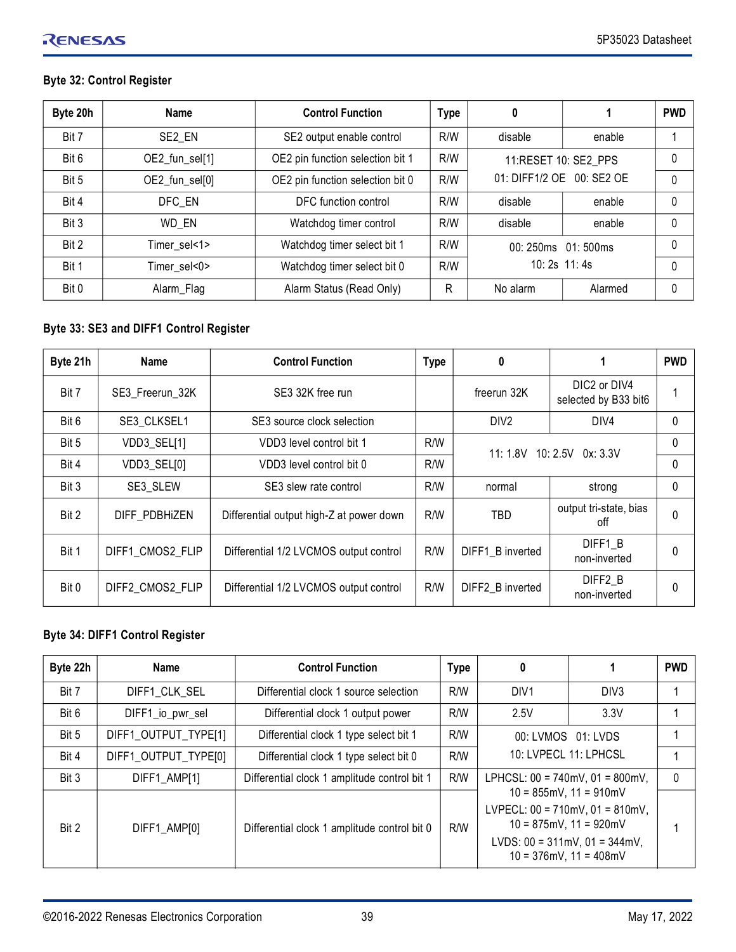## RENESAS

## **Byte 32: Control Register**

| Byte 20h | Name               | <b>Control Function</b>          | <b>Type</b> | 0                                                 |         | <b>PWD</b> |
|----------|--------------------|----------------------------------|-------------|---------------------------------------------------|---------|------------|
| Bit 7    | SE <sub>2</sub> EN | SE2 output enable control        | R/W         | disable                                           | enable  |            |
| Bit 6    | OE2_fun_sel[1]     | OE2 pin function selection bit 1 | R/W         | 11:RESET 10: SE2 PPS<br>01: DIFF1/2 OE 00: SE2 OE |         |            |
| Bit 5    | OE2_fun_sel[0]     | OE2 pin function selection bit 0 | R/W         |                                                   |         | $\Omega$   |
| Bit 4    | DFC EN             | DFC function control             | R/W         | disable                                           | enable  | 0          |
| Bit 3    | WD EN              | Watchdog timer control           | R/W         | disable                                           | enable  | 0          |
| Bit 2    | Timer sel<1>       | Watchdog timer select bit 1      | R/W         | 00: 250ms 01: 500ms<br>$10:2s$ 11:4s              |         | 0          |
| Bit 1    | Timer sel<0>       | Watchdog timer select bit 0      | R/W         |                                                   |         | $\Omega$   |
| Bit 0    | Alarm_Flag         | Alarm Status (Read Only)         | R           | No alarm                                          | Alarmed | 0          |

## **Byte 33: SE3 and DIFF1 Control Register**

| Byte 21h | <b>Name</b>      | <b>Control Function</b>                  | <b>Type</b> | 0                          |                                      | <b>PWD</b> |
|----------|------------------|------------------------------------------|-------------|----------------------------|--------------------------------------|------------|
| Bit 7    | SE3 Freerun 32K  | SE3 32K free run                         |             | freerun 32K                | DIC2 or DIV4<br>selected by B33 bit6 |            |
| Bit 6    | SE3 CLKSEL1      | SE3 source clock selection               |             | DIV <sub>2</sub>           | DIV4                                 | 0          |
| Bit 5    | VDD3_SEL[1]      | VDD3 level control bit 1                 | R/W         | 11: 1.8V 10: 2.5V 0x: 3.3V |                                      | 0          |
| Bit 4    | VDD3_SEL[0]      | VDD3 level control bit 0                 | R/W         |                            |                                      | 0          |
| Bit 3    | SE3 SLEW         | SE3 slew rate control                    | R/W         | normal                     | strong                               | 0          |
| Bit 2    | DIFF PDBHiZEN    | Differential output high-Z at power down | R/W         | TBD                        | output tri-state, bias<br>off        | 0          |
| Bit 1    | DIFF1 CMOS2 FLIP | Differential 1/2 LVCMOS output control   | R/W         | DIFF1 B inverted           | DIFF1 B<br>non-inverted              | $\Omega$   |
| Bit 0    | DIFF2 CMOS2 FLIP | Differential 1/2 LVCMOS output control   | R/W         | DIFF2 B inverted           | DIFF2 B<br>non-inverted              | $\Omega$   |

#### **Byte 34: DIFF1 Control Register**

| Byte 22h | Name                 | <b>Control Function</b>                      | <b>Type</b> | 0                                                                                                                                                                                                                     |                  | <b>PWD</b> |
|----------|----------------------|----------------------------------------------|-------------|-----------------------------------------------------------------------------------------------------------------------------------------------------------------------------------------------------------------------|------------------|------------|
| Bit 7    | DIFF1 CLK SEL        | Differential clock 1 source selection        | R/W         | DIV <sub>1</sub>                                                                                                                                                                                                      | DIV <sub>3</sub> |            |
| Bit 6    | DIFF1_io_pwr_sel     | Differential clock 1 output power            | R/W         | 2.5V                                                                                                                                                                                                                  | 3.3V             |            |
| Bit 5    | DIFF1 OUTPUT TYPE[1] | Differential clock 1 type select bit 1       | R/W         | 00: LVMOS 01: LVDS<br>10: LVPECL 11: LPHCSL                                                                                                                                                                           |                  |            |
| Bit 4    | DIFF1_OUTPUT_TYPE[0] | Differential clock 1 type select bit 0       | R/W         |                                                                                                                                                                                                                       |                  |            |
| Bit 3    | DIFF1 AMP[1]         | Differential clock 1 amplitude control bit 1 | R/W         | LPHCSL: $00 = 740$ mV, $01 = 800$ mV,<br>$10 = 855$ mV, $11 = 910$ mV<br>LVPECL: $00 = 710$ mV, $01 = 810$ mV,<br>$10 = 875$ mV, $11 = 920$ mV<br>LVDS: $00 = 311$ mV, $01 = 344$ mV,<br>$10 = 376$ mV, $11 = 408$ mV |                  | $\Omega$   |
| Bit 2    | DIFF1 AMP[0]         | Differential clock 1 amplitude control bit 0 | R/W         |                                                                                                                                                                                                                       |                  |            |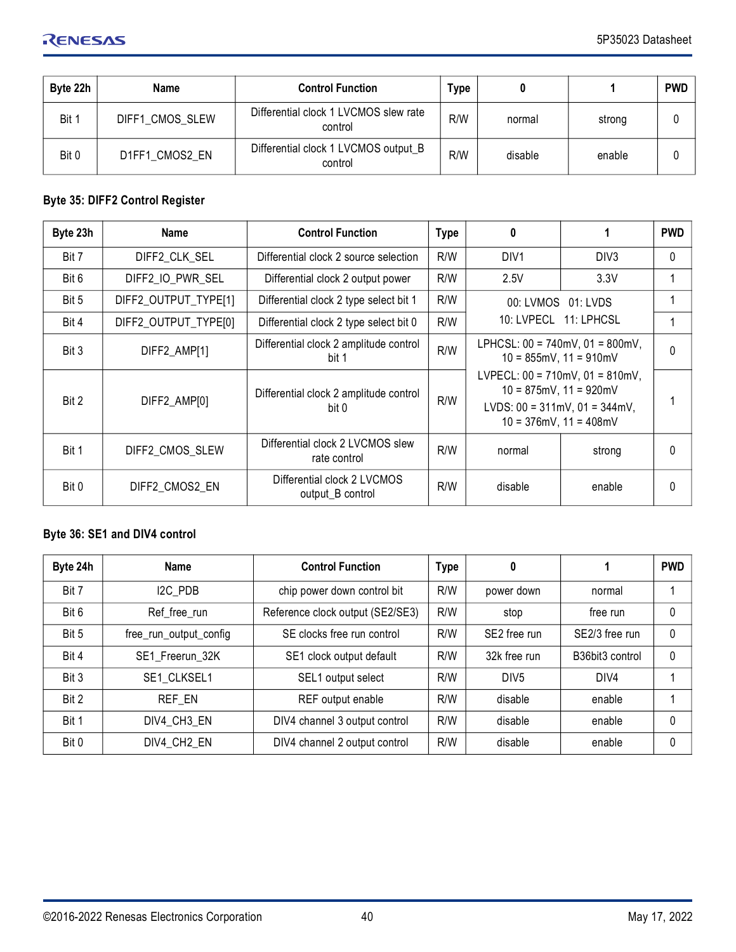| Byte 22h | Name            | <b>Control Function</b>                          | Type |         |        | <b>PWD</b> |
|----------|-----------------|--------------------------------------------------|------|---------|--------|------------|
| Bit 1    | DIFF1 CMOS SLEW | Differential clock 1 LVCMOS slew rate<br>control | R/W  | normal  | strong |            |
| Bit 0    | D1FF1 CMOS2 EN  | Differential clock 1 LVCMOS output B<br>control  | R/W  | disable | enable |            |

## **Byte 35: DIFF2 Control Register**

| Byte 23h | <b>Name</b>          | <b>Control Function</b>                          | <b>Type</b> | 0                                                                                                                                                           |                  | <b>PWD</b> |
|----------|----------------------|--------------------------------------------------|-------------|-------------------------------------------------------------------------------------------------------------------------------------------------------------|------------------|------------|
| Bit 7    | DIFF2 CLK SEL        | Differential clock 2 source selection            | R/W         | DIV <sub>1</sub>                                                                                                                                            | DIV <sub>3</sub> | 0          |
| Bit 6    | DIFF2_IO_PWR_SEL     | Differential clock 2 output power                | R/W         | 2.5V                                                                                                                                                        | 3.3V             |            |
| Bit 5    | DIFF2_OUTPUT_TYPE[1] | Differential clock 2 type select bit 1           | R/W         | 00: LVMOS  01: LVDS<br>10: LVPECL 11: LPHCSL                                                                                                                |                  |            |
| Bit 4    | DIFF2_OUTPUT_TYPE[0] | Differential clock 2 type select bit 0           | R/W         |                                                                                                                                                             |                  |            |
| Bit 3    | DIFF2_AMP[1]         | Differential clock 2 amplitude control<br>bit 1  | R/W         | LPHCSL: $00 = 740$ mV, $01 = 800$ mV,<br>$10 = 855$ mV, $11 = 910$ mV                                                                                       |                  | $\Omega$   |
| Bit 2    | DIFF2 AMP[0]         | Differential clock 2 amplitude control<br>bit 0  | R/W         | LVPECL: $00 = 710$ mV, $01 = 810$ mV,<br>$10 = 875 \text{mV}$ , $11 = 920 \text{mV}$<br>LVDS: $00 = 311$ mV, $01 = 344$ mV,<br>$10 = 376$ mV, $11 = 408$ mV |                  |            |
| Bit 1    | DIFF2 CMOS SLEW      | Differential clock 2 LVCMOS slew<br>rate control | R/W         | normal                                                                                                                                                      | strong           | $\Omega$   |
| Bit 0    | DIFF2 CMOS2 EN       | Differential clock 2 LVCMOS<br>output_B control  | R/W         | disable                                                                                                                                                     | enable           | 0          |

## **Byte 36: SE1 and DIV4 control**

| Byte 24h | <b>Name</b>            | <b>Control Function</b>          | <b>Type</b> | 0                        |                                          | <b>PWD</b> |
|----------|------------------------|----------------------------------|-------------|--------------------------|------------------------------------------|------------|
| Bit 7    | I2C PDB                | chip power down control bit      | R/W         | power down               | normal                                   |            |
| Bit 6    | Ref_free_run           | Reference clock output (SE2/SE3) | R/W         | stop                     | free run                                 | 0          |
| Bit 5    | free_run_output_config | SE clocks free run control       | R/W         | SE <sub>2</sub> free run | SE2/3 free run                           | 0          |
| Bit 4    | SE1_Freerun_32K        | SE1 clock output default         | R/W         | 32k free run             | B <sub>36</sub> bit <sub>3</sub> control | 0          |
| Bit 3    | SE1 CLKSEL1            | SEL1 output select               | R/W         | DIV <sub>5</sub>         | DIV4                                     |            |
| Bit 2    | REF EN                 | REF output enable                | R/W         | disable                  | enable                                   |            |
| Bit 1    | DIV4 CH3 EN            | DIV4 channel 3 output control    | R/W         | disable                  | enable                                   | $\Omega$   |
| Bit 0    | DIV4 CH2 EN            | DIV4 channel 2 output control    | R/W         | disable                  | enable                                   | $\Omega$   |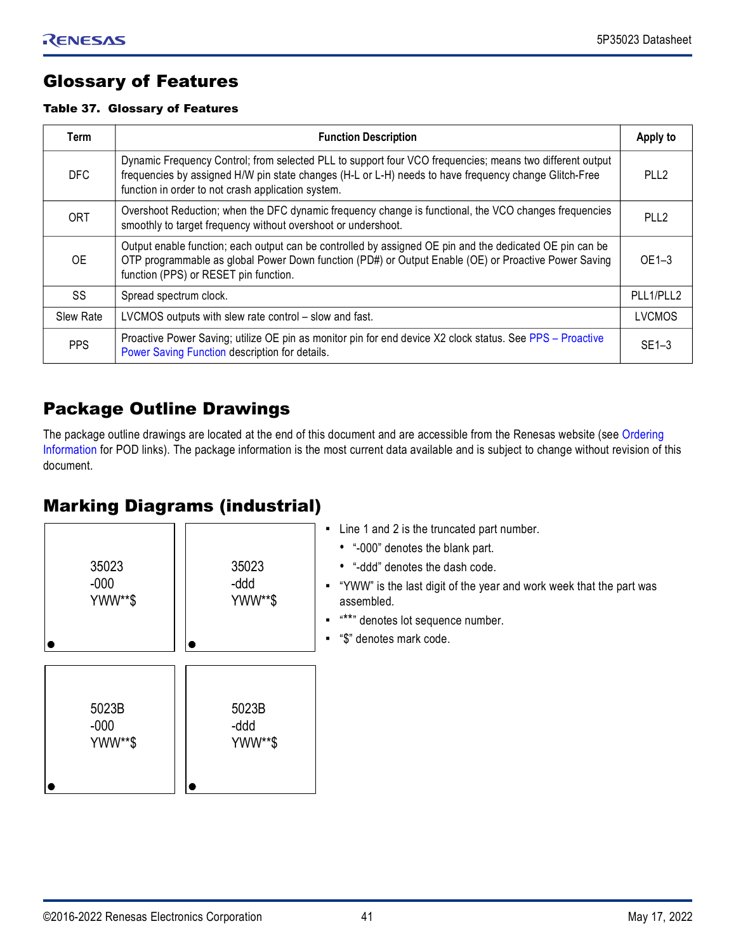## <span id="page-40-0"></span>Glossary of Features

## Table 37. Glossary of Features

| Term       | <b>Function Description</b>                                                                                                                                                                                                                                             |                  |
|------------|-------------------------------------------------------------------------------------------------------------------------------------------------------------------------------------------------------------------------------------------------------------------------|------------------|
| DFC        | Dynamic Frequency Control; from selected PLL to support four VCO frequencies; means two different output<br>frequencies by assigned H/W pin state changes (H-L or L-H) needs to have frequency change Glitch-Free<br>function in order to not crash application system. | PLL <sub>2</sub> |
| <b>ORT</b> | Overshoot Reduction; when the DFC dynamic frequency change is functional, the VCO changes frequencies<br>smoothly to target frequency without overshoot or undershoot.                                                                                                  | PLL <sub>2</sub> |
| <b>OE</b>  | Output enable function; each output can be controlled by assigned OE pin and the dedicated OE pin can be<br>OTP programmable as global Power Down function (PD#) or Output Enable (OE) or Proactive Power Saving<br>function (PPS) or RESET pin function.               | $OE1-3$          |
| SS         | Spread spectrum clock.                                                                                                                                                                                                                                                  | PLL1/PLL2        |
| Slew Rate  | LVCMOS outputs with slew rate control - slow and fast.                                                                                                                                                                                                                  | <b>LVCMOS</b>    |
| PPS        | Proactive Power Saving; utilize OE pin as monitor pin for end device X2 clock status. See PPS - Proactive<br>Power Saving Function description for details.                                                                                                             | $SE1-3$          |

## <span id="page-40-1"></span>Package Outline Drawings

The package outline drawings are located at the end of this document and are accessible from the Renesas website (see Ordering [Information](#page-41-1) for POD links). The package information is the most current data available and is subject to change without revision of this document.

## <span id="page-40-2"></span>Marking Diagrams (industrial)

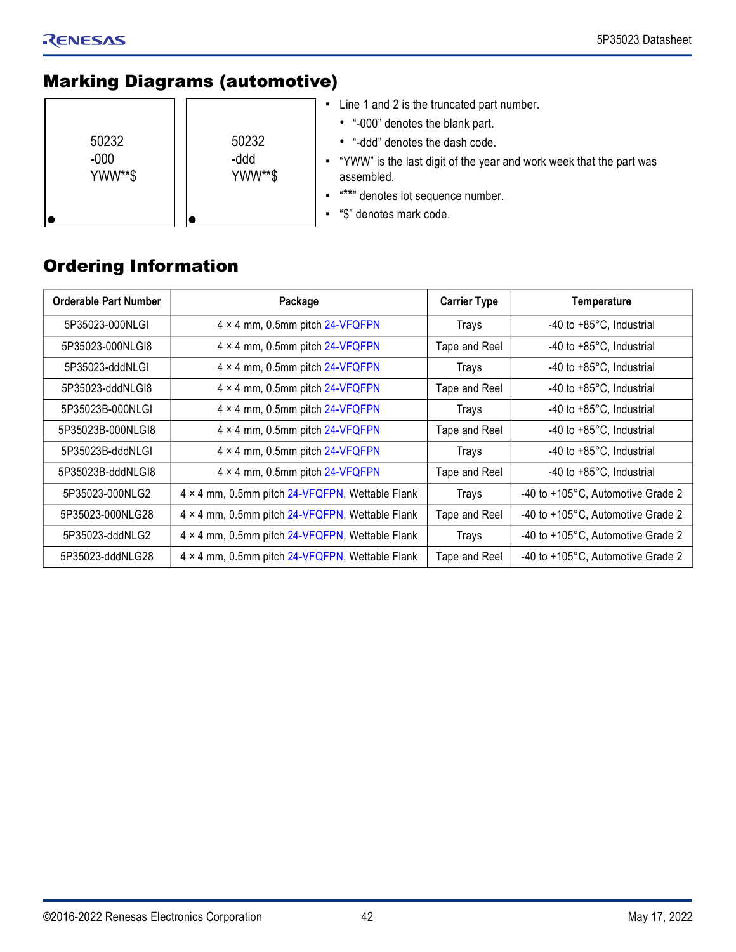## <span id="page-41-0"></span>Marking Diagrams (automotive)

| 50232<br>$-000$<br>YWW**\$ | 50232<br>-ddd<br>YWW**\$ | Line 1 and 2 is the truncated part number.<br>• "-000" denotes the blank part.<br>• "-ddd" denotes the dash code.<br>• "YWW" is the last digit of the year and work week that the part was<br>assembled.<br>"**" denotes lot sequence number.<br>"\$" denotes mark code. |
|----------------------------|--------------------------|--------------------------------------------------------------------------------------------------------------------------------------------------------------------------------------------------------------------------------------------------------------------------|
|----------------------------|--------------------------|--------------------------------------------------------------------------------------------------------------------------------------------------------------------------------------------------------------------------------------------------------------------------|

## <span id="page-41-1"></span>Ordering Information

| <b>Orderable Part Number</b> | Package                                         | <b>Carrier Type</b> | <b>Temperature</b>                |
|------------------------------|-------------------------------------------------|---------------------|-----------------------------------|
| 5P35023-000NLGI              | 4 × 4 mm, 0.5mm pitch 24-VFQFPN                 | Trays               | -40 to +85°C, Industrial          |
| 5P35023-000NLGI8             | 4 × 4 mm, 0.5mm pitch 24-VFQFPN                 | Tape and Reel       | -40 to +85°C, Industrial          |
| 5P35023-dddNLGI              | 4 × 4 mm, 0.5mm pitch 24-VFQFPN                 | <b>Trays</b>        | -40 to +85°C, Industrial          |
| 5P35023-dddNLGI8             | 4 × 4 mm, 0.5mm pitch 24-VFQFPN                 | Tape and Reel       | -40 to +85°C, Industrial          |
| 5P35023B-000NLGI             | 4 × 4 mm, 0.5mm pitch 24-VFQFPN                 | Trays               | -40 to +85°C, Industrial          |
| 5P35023B-000NLGI8            | 4 × 4 mm, 0.5mm pitch 24-VFQFPN                 | Tape and Reel       | -40 to +85°C, Industrial          |
| 5P35023B-dddNLGI             | 4 × 4 mm, 0.5mm pitch 24-VFQFPN                 | Trays               | -40 to +85°C, Industrial          |
| 5P35023B-dddNLGI8            | 4 × 4 mm, 0.5mm pitch 24-VFQFPN                 | Tape and Reel       | -40 to +85°C, Industrial          |
| 5P35023-000NLG2              | 4 × 4 mm, 0.5mm pitch 24-VFQFPN, Wettable Flank | Trays               | -40 to +105°C, Automotive Grade 2 |
| 5P35023-000NLG28             | 4 × 4 mm, 0.5mm pitch 24-VFQFPN, Wettable Flank | Tape and Reel       | -40 to +105°C, Automotive Grade 2 |
| 5P35023-dddNLG2              | 4 × 4 mm, 0.5mm pitch 24-VFQFPN, Wettable Flank | Trays               | -40 to +105°C, Automotive Grade 2 |
| 5P35023-dddNLG28             | 4 × 4 mm, 0.5mm pitch 24-VFQFPN, Wettable Flank | Tape and Reel       | -40 to +105°C, Automotive Grade 2 |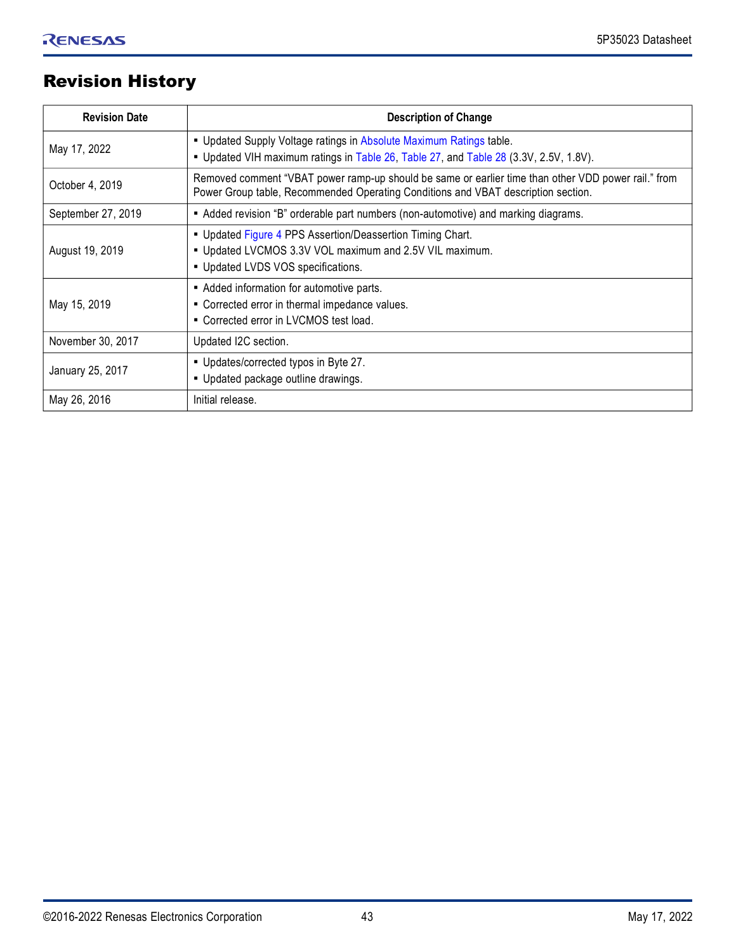## <span id="page-42-0"></span>Revision History

| <b>Revision Date</b>                                                                                                                                                         | <b>Description of Change</b>                                                                                                                                                             |  |
|------------------------------------------------------------------------------------------------------------------------------------------------------------------------------|------------------------------------------------------------------------------------------------------------------------------------------------------------------------------------------|--|
| . Updated Supply Voltage ratings in Absolute Maximum Ratings table.<br>May 17, 2022<br>. Updated VIH maximum ratings in Table 26, Table 27, and Table 28 (3.3V, 2.5V, 1.8V). |                                                                                                                                                                                          |  |
| October 4, 2019                                                                                                                                                              | Removed comment "VBAT power ramp-up should be same or earlier time than other VDD power rail." from<br>Power Group table, Recommended Operating Conditions and VBAT description section. |  |
| September 27, 2019<br>Added revision "B" orderable part numbers (non-automotive) and marking diagrams.                                                                       |                                                                                                                                                                                          |  |
| August 19, 2019                                                                                                                                                              | . Updated Figure 4 PPS Assertion/Deassertion Timing Chart.<br>• Updated LVCMOS 3.3V VOL maximum and 2.5V VIL maximum.<br>• Updated LVDS VOS specifications.                              |  |
| May 15, 2019                                                                                                                                                                 | - Added information for automotive parts.<br>• Corrected error in thermal impedance values.<br>• Corrected error in LVCMOS test load.                                                    |  |
| November 30, 2017<br>Updated I2C section.                                                                                                                                    |                                                                                                                                                                                          |  |
| January 25, 2017                                                                                                                                                             | . Updates/corrected typos in Byte 27.<br>. Updated package outline drawings.                                                                                                             |  |
| May 26, 2016<br>Initial release.                                                                                                                                             |                                                                                                                                                                                          |  |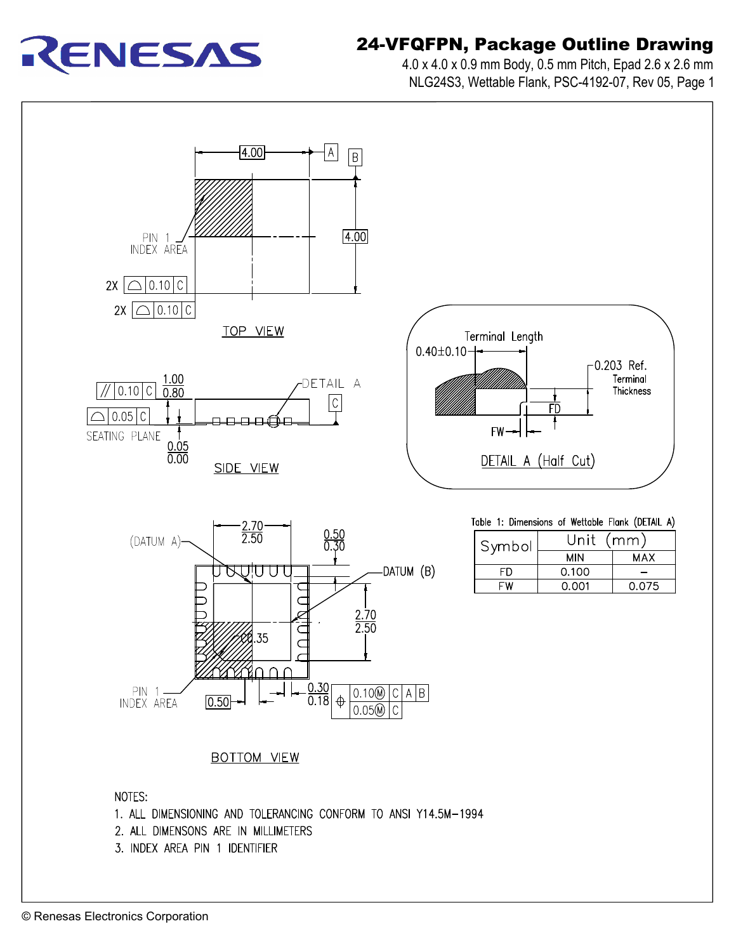

# 24-VFQFPN, Package Outline Drawing **FQFPN, Package Outline Drawing<br>4.0 x 4.0 x 0.9 mm Body, 0.5 mm Pitch, Epad 2.6 x 2.6 mm**

**QFPN, Package Outline Drawing**<br>0 x 4.0 x 0.9 mm Body, 0.5 mm Pitch, Epad 2.6 x 2.6 mm<br>NLG24S3, Wettable Flank, PSC-4192-07, Rev 05, Page 1

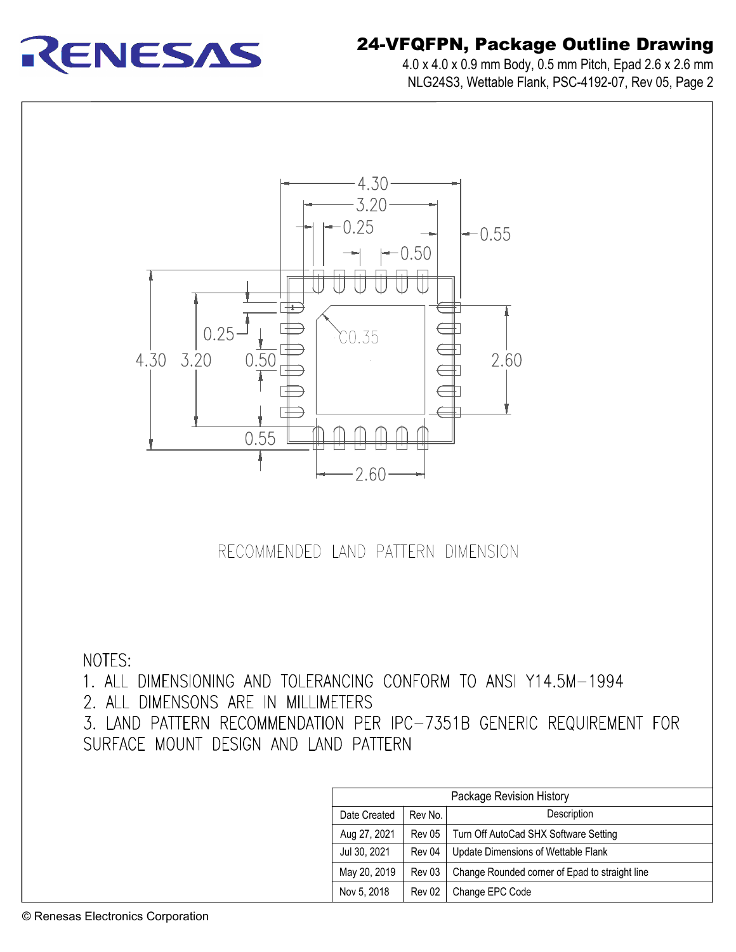

# 24-VFQFPN, Package Outline Drawing **FQFPN, Package Outline Drawing**<br>4.0 x 4.0 x 0.9 mm Body, 0.5 mm Pitch, Epad 2.6 x 2.6 mm

**QFPN, Package Outline Drawing**<br>.0 x 4.0 x 0.9 mm Body, 0.5 mm Pitch, Epad 2.6 x 2.6 mm<br>NLG24S3, Wettable Flank, PSC-4192-07, Rev 05, Page 2



RECOMMENDED LAND PATTERN DIMENSION

NOTES:

1. ALL DIMENSIONING AND TOLERANCING CONFORM TO ANSI Y14.5M-1994

2. ALL DIMENSONS ARE IN MILLIMETERS

3. LAND PATTERN RECOMMENDATION PER IPC-7351B GENERIC REQUIREMENT FOR SURFACE MOUNT DESIGN AND LAND PATTERN

| Package Revision History |         |                                                |  |
|--------------------------|---------|------------------------------------------------|--|
| Date Created             | Rev No. | Description                                    |  |
| Aug 27, 2021             | Rev 05  | Turn Off AutoCad SHX Software Setting          |  |
| Jul 30, 2021             | Rev 04  | Update Dimensions of Wettable Flank            |  |
| May 20, 2019             | Rev 03  | Change Rounded corner of Epad to straight line |  |
| Nov 5, 2018              | Rev 02  | Change EPC Code                                |  |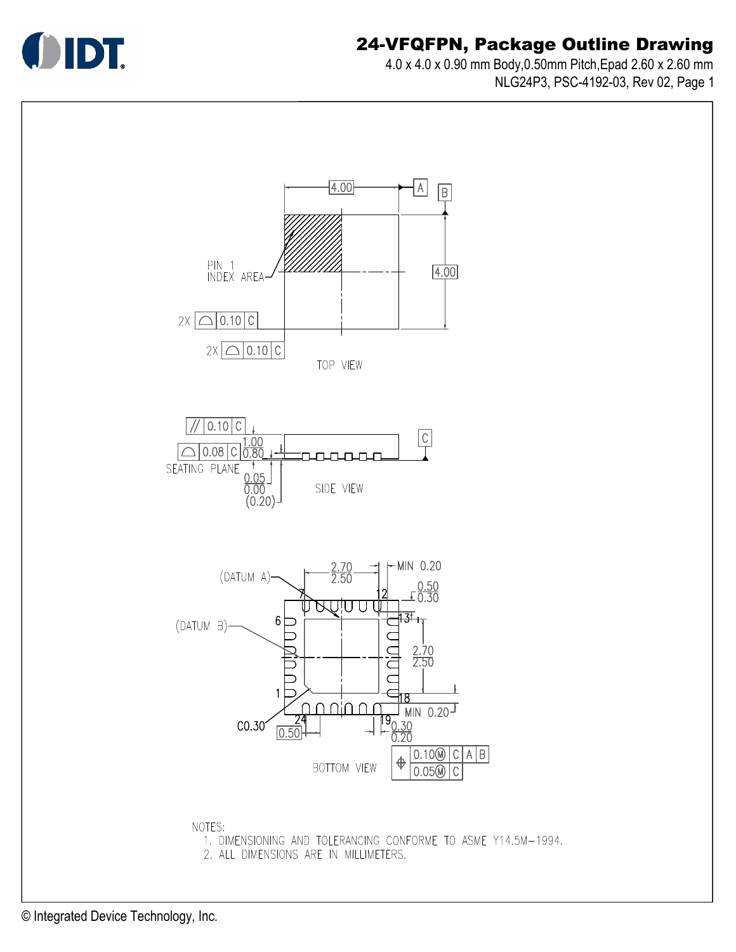